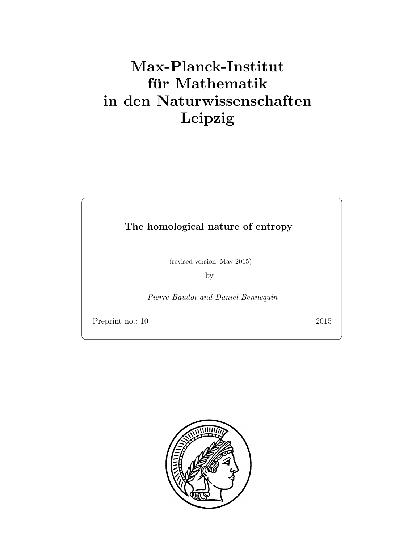# Max-Planck-Institut für Mathematik in den Naturwissenschaften Leipzig

The homological nature of entropy

(revised version: May 2015)

by

Pierre Baudot and Daniel Bennequin

Preprint no.: 10 2015

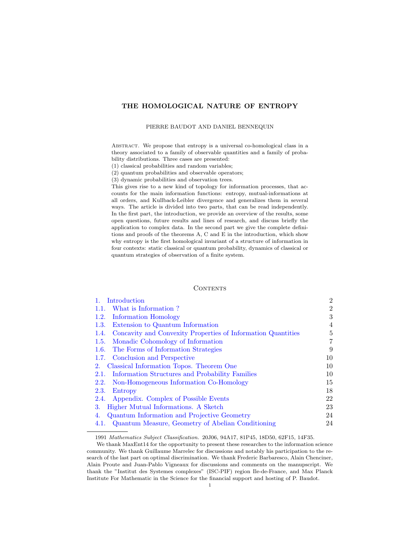# THE HOMOLOGICAL NATURE OF ENTROPY

### PIERRE BAUDOT AND DANIEL BENNEQUIN

Abstract. We propose that entropy is a universal co-homological class in a theory associated to a family of observable quantities and a family of probability distributions. Three cases are presented:

(1) classical probabilities and random variables;

(2) quantum probabilities and observable operators;

(3) dynamic probabilities and observation trees.

This gives rise to a new kind of topology for information processes, that accounts for the main information functions: entropy, mutual-informations at all orders, and Kullback-Leibler divergence and generalizes them in several ways. The article is divided into two parts, that can be read independently. In the first part, the introduction, we provide an overview of the results, some open questions, future results and lines of research, and discuss briefly the application to complex data. In the second part we give the complete definitions and proofs of the theorems A, C and E in the introduction, which show why entropy is the first homological invariant of a structure of information in four contexts: static classical or quantum probability, dynamics of classical or quantum strategies of observation of a finite system.

# CONTENTS

| Introduction                                                         | $\overline{2}$ |
|----------------------------------------------------------------------|----------------|
| What is Information?<br>1.1.                                         | $\overline{2}$ |
| Information Homology<br>1.2.                                         | 3              |
| Extension to Quantum Information<br>1.3.                             | $\overline{4}$ |
| Concavity and Convexity Properties of Information Quantities<br>1.4. | 5              |
| Monadic Cohomology of Information<br>1.5.                            | 7              |
| 1.6. The Forms of Information Strategies                             | 9              |
| 1.7. Conclusion and Perspective                                      | 10             |
| Classical Information Topos. Theorem One<br>2.                       | 10             |
| Information Structures and Probability Families<br>2.1.              | 10             |
| Non-Homogeneous Information Co-Homology<br>2.2.                      | 15             |
| 2.3.<br>Entropy                                                      | 18             |
| Appendix. Complex of Possible Events<br>2.4.                         | 22             |
| Higher Mutual Informations. A Sketch<br>3.                           | 23             |
| Quantum Information and Projective Geometry<br>4.                    | 24             |
| Quantum Measure, Geometry of Abelian Conditioning<br>4.1.            | 24             |
|                                                                      |                |

<sup>1991</sup> Mathematics Subject Classification. 20J06, 94A17, 81P45, 18D50, 62F15, 14F35.

We thank MaxEnt14 for the opportunity to present these researches to the information science community. We thank Guillaume Marrelec for discussions and notably his participation to the research of the last part on optimal discrimination. We thank Frederic Barbaresco, Alain Chenciner, Alain Proute and Juan-Pablo Vigneaux for discussions and comments on the manupscript. We thank the "Institut des Systemes complexes" (ISC-PIF) region Ile-de-France, and Max Planck Institute For Mathematic in the Science for the financial support and hosting of P. Baudot.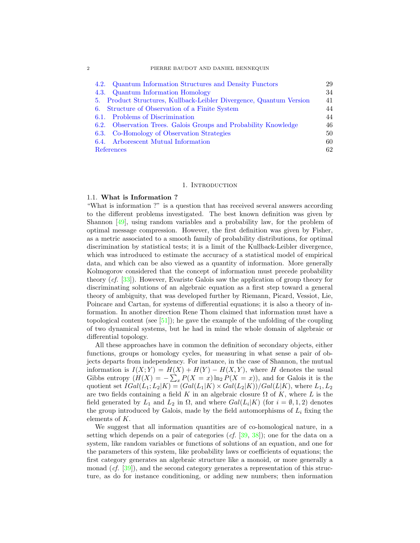| Quantum Information Structures and Density Functors<br>4.2.         | 29 |
|---------------------------------------------------------------------|----|
| 4.3. Quantum Information Homology                                   | 34 |
| 5. Product Structures, Kullback-Leibler Divergence, Quantum Version | 41 |
| 6. Structure of Observation of a Finite System                      | 44 |
| 6.1. Problems of Discrimination                                     | 44 |
| 6.2. Observation Trees. Galois Groups and Probability Knowledge     | 46 |
| 6.3. Co-Homology of Observation Strategies                          | 50 |
| 6.4. Arborescent Mutual Information                                 | 60 |
| References                                                          | 62 |

#### 1. Introduction

## <span id="page-3-1"></span><span id="page-3-0"></span>1.1. What is Information ?

"What is information ?" is a question that has received several answers according to the different problems investigated. The best known definition was given by Shannon [\[49\]](#page-65-0), using random variables and a probability law, for the problem of optimal message compression. However, the first definition was given by Fisher, as a metric associated to a smooth family of probability distributions, for optimal discrimination by statistical tests; it is a limit of the Kullback-Leibler divergence, which was introduced to estimate the accuracy of a statistical model of empirical data, and which can be also viewed as a quantity of information. More generally Kolmogorov considered that the concept of information must precede probability theory (cf. [\[33\]](#page-64-0)). However, Evariste Galois saw the application of group theory for discriminating solutions of an algebraic equation as a first step toward a general theory of ambiguity, that was developed further by Riemann, Picard, Vessiot, Lie, Poincare and Cartan, for systems of differential equations; it is also a theory of information. In another direction Rene Thom claimed that information must have a topological content (see  $[51]$ ); he gave the example of the unfolding of the coupling of two dynamical systems, but he had in mind the whole domain of algebraic or differential topology.

All these approaches have in common the definition of secondary objects, either functions, groups or homology cycles, for measuring in what sense a pair of objects departs from independency. For instance, in the case of Shannon, the mutual information is  $I(X;Y) = H(X) + H(Y) - H(X,Y)$ , where H denotes the usual Gibbs entropy  $(H(X) = -\sum_{x} P(X = x) \ln_2 P(X = x))$ , and for Galois it is the quotient set  $IGal(L_1; L_2|K) = (Gal(L_1|K) \times Gal(L_2|K))/Gal(L|K)$ , where  $L_1, L_2$ are two fields containing a field K in an algebraic closure  $\Omega$  of K, where L is the field generated by  $L_1$  and  $L_2$  in  $\Omega$ , and where  $Gal(L_i|K)$  (for  $i = \emptyset, 1, 2$ ) denotes the group introduced by Galois, made by the field automorphisms of  $L_i$  fixing the elements of K.

We suggest that all information quantities are of co-homological nature, in a setting which depends on a pair of categories  $(cf. [39, 38])$  $(cf. [39, 38])$  $(cf. [39, 38])$  $(cf. [39, 38])$  $(cf. [39, 38])$ ; one for the data on a system, like random variables or functions of solutions of an equation, and one for the parameters of this system, like probability laws or coefficients of equations; the first category generates an algebraic structure like a monoid, or more generally a monad  $(cf. [39])$  $(cf. [39])$  $(cf. [39])$ , and the second category generates a representation of this structure, as do for instance conditioning, or adding new numbers; then information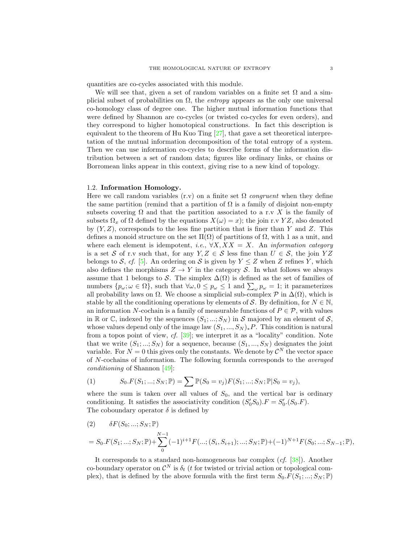quantities are co-cycles associated with this module.

We will see that, given a set of random variables on a finite set  $\Omega$  and a simplicial subset of probabilities on  $\Omega$ , the *entropy* appears as the only one universal co-homology class of degree one. The higher mutual information functions that were defined by Shannon are co-cycles (or twisted co-cycles for even orders), and they correspond to higher homotopical constructions. In fact this description is equivalent to the theorem of Hu Kuo Ting  $[27]$ , that gave a set theoretical interpretation of the mutual information decomposition of the total entropy of a system. Then we can use information co-cycles to describe forms of the information distribution between a set of random data; figures like ordinary links, or chains or Borromean links appear in this context, giving rise to a new kind of topology.

# <span id="page-4-0"></span>1.2. Information Homology.

Here we call random variables (r.v) on a finite set  $\Omega$  congruent when they define the same partition (remind that a partition of  $\Omega$  is a family of disjoint non-empty subsets covering  $\Omega$  and that the partition associated to a r.v X is the family of subsets  $\Omega_x$  of  $\Omega$  defined by the equations  $X(\omega) = x$ ; the join r.v YZ, also denoted by  $(Y, Z)$ , corresponds to the less fine partition that is finer than Y and Z. This defines a monoid structure on the set  $\Pi(\Omega)$  of partitions of  $\Omega$ , with 1 as a unit, and where each element is idempotent, *i.e.*,  $\forall X, XX = X$ . An *information category* is a set S of r.v such that, for any  $Y, Z \in S$  less fine than  $U \in S$ , the join YZ belongs to S, cf. [\[5\]](#page-63-1). An ordering on S is given by  $Y \leq Z$  when Z refines Y, which also defines the morphisms  $Z \to Y$  in the category S. In what follows we always assume that 1 belongs to S. The simplex  $\Delta(\Omega)$  is defined as the set of families of numbers  $\{p_{\omega}; \omega \in \Omega\}$ , such that  $\forall \omega, 0 \leq p_{\omega} \leq 1$  and  $\sum_{\omega} p_{\omega} = 1$ ; it parameterizes all probability laws on  $\Omega$ . We choose a simplicial sub-complex  $\mathcal P$  in  $\Delta(\Omega)$ , which is stable by all the conditioning operations by elements of S. By definition, for  $N \in \mathbb{N}$ , an information N-cochain is a family of measurable functions of  $P \in \mathcal{P}$ , with values in R or C, indexed by the sequences  $(S_1; \ldots; S_N)$  in S majored by an element of S, whose values depend only of the image law  $(S_1, ..., S_N)_*P$ . This condition is natural from a topos point of view,  $cf.$  [\[39\]](#page-65-2); we interpret it as a "locality" condition. Note that we write  $(S_1; \ldots; S_N)$  for a sequence, because  $(S_1, \ldots, S_N)$  designates the joint variable. For  $N = 0$  this gives only the constants. We denote by  $\mathcal{C}^N$  the vector space of N-cochains of information. The following formula corresponds to the averaged conditioning of Shannon [\[49\]](#page-65-0):

<span id="page-4-1"></span>(1) 
$$
S_0.F(S_1; ...; S_N; \mathbb{P}) = \sum \mathbb{P}(S_0 = v_j)F(S_1; ...; S_N; \mathbb{P}|S_0 = v_j),
$$

where the sum is taken over all values of  $S_0$ , and the vertical bar is ordinary conditioning. It satisfies the associativity condition  $(S'_0S_0)$ .  $F = S'_0$ .  $(S_0.F)$ . The coboundary operator  $\delta$  is defined by

$$
(2) \qquad \delta F(S_0; \dots; S_N; \mathbb{P})
$$
  
=  $S_0.F(S_1; \dots; S_N; \mathbb{P}) + \sum_{0}^{N-1} (-1)^{i+1} F(\dots; (S_i, S_{i+1}); \dots; S_N; \mathbb{P}) + (-1)^{N+1} F(S_0; \dots; S_{N-1}; \mathbb{P}),$ 

It corresponds to a standard non-homogeneous bar complex  $(cf. [38])$  $(cf. [38])$  $(cf. [38])$ . Another co-boundary operator on  $\mathcal{C}^N$  is  $\delta_t$  (t for twisted or trivial action or topological complex), that is defined by the above formula with the first term  $S_0.F(S_1; \ldots; S_N; \mathbb{P})$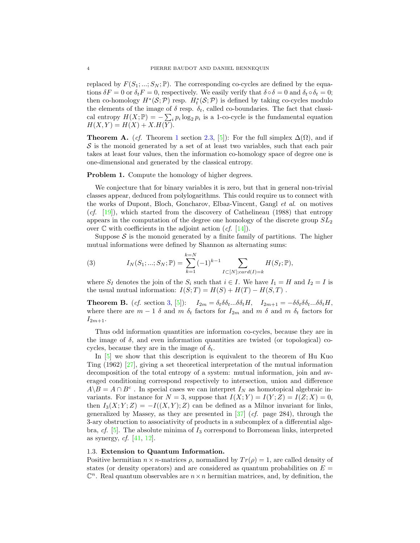replaced by  $F(S_1; ...; S_N; \mathbb{P})$ . The corresponding co-cycles are defined by the equations  $\delta F = 0$  or  $\delta_t F = 0$ , respectively. We easily verify that  $\delta \circ \delta = 0$  and  $\delta_t \circ \delta_t = 0$ ; then co-homology  $H^*(\mathcal{S}; \mathcal{P})$  resp.  $H_t^*(\mathcal{S}; \mathcal{P})$  is defined by taking co-cycles modulo the elements of the image of  $\delta$  resp.  $\delta_t$ , called co-boundaries. The fact that classical entropy  $H(X; \mathbb{P}) = -\sum_i p_i \log_2 p_i$  is a 1-co-cycle is the fundamental equation  $H(X, Y) = H(X) + X.H(Y).$ 

**Theorem A.** (cf. Theorem [1](#page-22-0) section [2.3,](#page-19-0) [\[5\]](#page-63-1)): For the full simplex  $\Delta(\Omega)$ , and if  $S$  is the monoid generated by a set of at least two variables, such that each pair takes at least four values, then the information co-homology space of degree one is one-dimensional and generated by the classical entropy.

#### **Problem 1.** Compute the homology of higher degrees.

We conjecture that for binary variables it is zero, but that in general non-trivial classes appear, deduced from polylogarithms. This could require us to connect with the works of Dupont, Bloch, Goncharov, Elbaz-Vincent, Gangl et al. on motives  $(cf. [19])$  $(cf. [19])$  $(cf. [19])$ , which started from the discovery of Cathelineau (1988) that entropy appears in the computation of the degree one homology of the discrete group  $SL<sub>2</sub>$ over  $\mathbb C$  with coefficients in the adjoint action  $(cf. [14])$  $(cf. [14])$  $(cf. [14])$ .

Suppose  $S$  is the monoid generated by a finite family of partitions. The higher mutual informations were defined by Shannon as alternating sums:

(3) 
$$
I_N(S_1; ...; S_N; \mathbb{P}) = \sum_{k=1}^{k=N} (-1)^{k-1} \sum_{I \subset [N]: card(I) = k} H(S_I; \mathbb{P}),
$$

where  $S_I$  denotes the join of the  $S_i$  such that  $i \in I$ . We have  $I_1 = H$  and  $I_2 = I$  is the usual mutual information:  $I(S;T) = H(S) + H(T) - H(S,T)$ .

**Theorem B.** (*cf.* section [3,](#page-24-0) [\[5\]](#page-63-1)):  $I_{2m} = \delta_t \delta \delta_t ... \delta \delta_t H$ ,  $I_{2m+1} = -\delta \delta_t \delta \delta_t ... \delta \delta_t H$ , where there are  $m-1$  δ and m  $\delta_t$  factors for  $I_{2m}$  and m  $\delta$  and m  $\delta_t$  factors for  $I_{2m+1}$ .

Thus odd information quantities are information co-cycles, because they are in the image of  $\delta$ , and even information quantities are twisted (or topological) cocycles, because they are in the image of  $\delta_t$ .

In [\[5\]](#page-63-1) we show that this description is equivalent to the theorem of Hu Kuo Ting (1962) [\[27\]](#page-64-2), giving a set theoretical interpretation of the mutual information decomposition of the total entropy of a system: mutual information, join and averaged conditioning correspond respectively to intersection, union and difference  $A \backslash B = A \cap B^c$ . In special cases we can interpret  $I_N$  as homotopical algebraic invariants. For instance for  $N = 3$ , suppose that  $I(X; Y) = I(Y; Z) = I(Z; X) = 0$ , then  $I_3(X; Y; Z) = -I((X, Y); Z)$  can be defined as a Milnor invariant for links, generalized by Massey, as they are presented in  $[37]$  (*cf.* page 284), through the 3-ary obstruction to associativity of products in a subcomplex of a differential algebra, cf.  $[5]$ . The absolute minima of  $I_3$  correspond to Borromean links, interpreted as synergy,  $cf. [41, 12]$  $cf. [41, 12]$  $cf. [41, 12]$  $cf. [41, 12]$ .

# <span id="page-5-0"></span>1.3. Extension to Quantum Information.

Positive hermitian  $n \times n$ -matrices  $\rho$ , normalized by  $Tr(\rho) = 1$ , are called density of states (or density operators) and are considered as quantum probabilities on  $E =$  $\mathbb{C}^n$ . Real quantum observables are  $n \times n$  hermitian matrices, and, by definition, the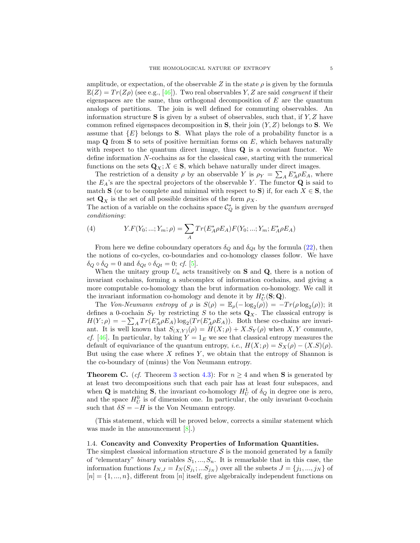amplitude, or expectation, of the observable Z in the state  $\rho$  is given by the formula  $\mathbb{E}(Z) = Tr(Z\rho)$  (see e.g., [\[46\]](#page-65-4)). Two real observables Y, Z are said *congruent* if their eigenspaces are the same, thus orthogonal decomposition of  $E$  are the quantum analogs of partitions. The join is well defined for commuting observables. An information structure  $S$  is given by a subset of observables, such that, if  $Y, Z$  have common refined eigenspaces decomposition in  $S$ , their join  $(Y, Z)$  belongs to  $S$ . We assume that  ${E}$  belongs to S. What plays the role of a probability functor is a map  $Q$  from  $S$  to sets of positive hermitian forms on  $E$ , which behaves naturally with respect to the quantum direct image, thus **Q** is a covariant functor. We define information N-cochains as for the classical case, starting with the numerical functions on the sets  $\mathbf{Q}_X$ ;  $X \in \mathbf{S}$ , which behave naturally under direct images.

The restriction of a density  $\rho$  by an observable Y is  $\rho_Y = \sum_A E_A^* \rho E_A$ , where the  $E_A$ 's are the spectral projectors of the observable Y. The functor  $\bf{Q}$  is said to match **S** (or to be complete and minimal with respect to **S**) if, for each  $X \in S$ , the set  $\mathbf{Q}_X$  is the set of all possible densities of the form  $\rho_X$ .

The action of a variable on the cochains space  $\mathcal{C}_Q^*$  is given by the *quantum averaged* conditioning:

(4) 
$$
Y.F(Y_0; ...; Y_m; \rho) = \sum_{A} Tr(E_A^* \rho E_A) F(Y_0; ...; Y_m; E_A^* \rho E_A)
$$

From here we define coboundary operators  $\delta_Q$  and  $\delta_{Qt}$  by the formula [\(22\)](#page-17-0), then the notions of co-cycles, co-boundaries and co-homology classes follow. We have  $\delta_Q \circ \delta_Q = 0$  and  $\delta_{Qt} \circ \delta_{Qt} = 0$ ; cf. [\[5\]](#page-63-1).

When the unitary group  $U_n$  acts transitively on **S** and **Q**, there is a notion of invariant cochains, forming a subcomplex of information cochains, and giving a more computable co-homology than the brut information co-homology. We call it the invariant information co-homology and denote it by  $H^*_{U}(\mathbf{S};\mathbf{Q})$ .

The Von-Neumann entropy of  $\rho$  is  $S(\rho) = \mathbb{E}_{\rho}(-\log_2(\rho)) = -Tr(\rho \log_2(\rho));$  it defines a 0-cochain  $S_Y$  by restricting S to the sets  $\mathbf{Q}_X$ . The classical entropy is  $H(Y; \rho) = -\sum_{A} Tr(E_A^* \rho E_A) \log_2(Tr(E_A^* \rho E_A)).$  Both these co-chains are invariant. It is well known that  $S_{(X,Y)}(\rho) = H(X;\rho) + X.S_Y(\rho)$  when X, Y commute, *cf.* [\[46\]](#page-65-4). In particular, by taking  $Y = 1_E$  we see that classical entropy measures the default of equivariance of the quantum entropy, i.e.,  $H(X; \rho) = S_X(\rho) - (X.S)(\rho)$ . But using the case where  $X$  refines  $Y$ , we obtain that the entropy of Shannon is the co-boundary of (minus) the Von Neumann entropy.

**Theorem C.** (cf. Theorem [3](#page-39-0) section [4.3\)](#page-35-0): For  $n \geq 4$  and when **S** is generated by at least two decompositions such that each pair has at least four subspaces, and when **Q** is matching **S**, the invariant co-homology  $H_U^1$  of  $\delta_Q$  in degree one is zero, and the space  $H_U^0$  is of dimension one. In particular, the only invariant 0-cochain such that  $\delta S = -H$  is the Von Neumann entropy.

(This statement, which will be proved below, corrects a similar statement which was made in the announcement [\[8\]](#page-63-2).)

# <span id="page-6-0"></span>1.4. Concavity and Convexity Properties of Information Quantities.

The simplest classical information structure  $S$  is the monoid generated by a family of "elementary" binary variables  $S_1, ..., S_n$ . It is remarkable that in this case, the information functions  $I_{N,J} = I_N(S_{j_1};...S_{j_N})$  over all the subsets  $J = \{j_1,...,j_N\}$  of  $[n] = \{1, ..., n\}$ , different from [n] itself, give algebraically independent functions on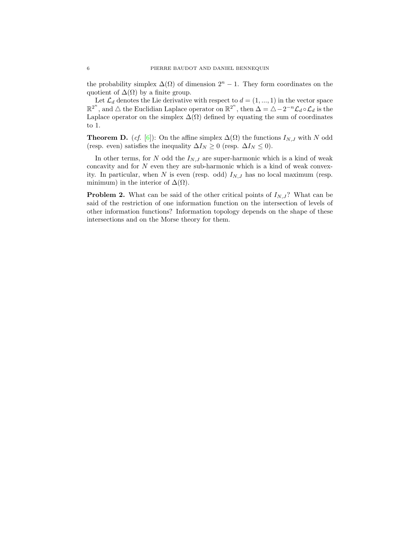the probability simplex  $\Delta(\Omega)$  of dimension  $2^{n} - 1$ . They form coordinates on the quotient of  $\Delta(\Omega)$  by a finite group.

Let  $\mathcal{L}_d$  denotes the Lie derivative with respect to  $d = (1, ..., 1)$  in the vector space  $\mathbb{R}^{2^n}$ , and  $\triangle$  the Euclidian Laplace operator on  $\mathbb{R}^{2^n}$ , then  $\Delta = \triangle - 2^{-n} \mathcal{L}_d \circ \mathcal{L}_d$  is the Laplace operator on the simplex  $\Delta(\Omega)$  defined by equating the sum of coordinates to 1.

**Theorem D.** (*cf.* [\[6\]](#page-63-3)): On the affine simplex  $\Delta(\Omega)$  the functions  $I_{N,J}$  with N odd (resp. even) satisfies the inequality  $\Delta I_N \geq 0$  (resp.  $\Delta I_N \leq 0$ ).

In other terms, for N odd the  $I_{N,J}$  are super-harmonic which is a kind of weak concavity and for  $N$  even they are sub-harmonic which is a kind of weak convexity. In particular, when N is even (resp. odd)  $I_{N,J}$  has no local maximum (resp. minimum) in the interior of  $\Delta(\Omega)$ .

**Problem 2.** What can be said of the other critical points of  $I_{N,J}$ ? What can be said of the restriction of one information function on the intersection of levels of other information functions? Information topology depends on the shape of these intersections and on the Morse theory for them.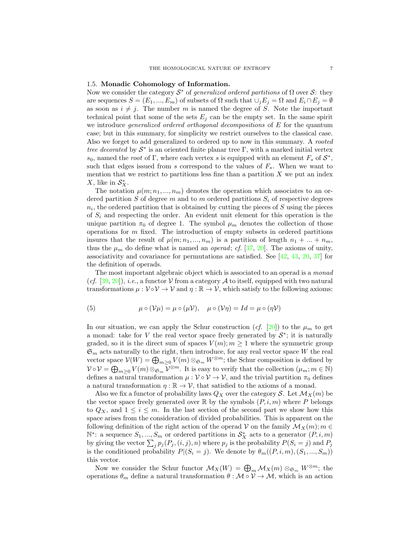#### <span id="page-8-0"></span>1.5. Monadic Cohomology of Information.

Now we consider the category  $S^*$  of *generalized ordered partitions* of  $\Omega$  over S: they are sequences  $S = (E_1, ..., E_m)$  of subsets of  $\Omega$  such that  $\cup_j E_j = \Omega$  and  $E_i \cap E_j = \emptyset$ as soon as  $i \neq j$ . The number m is named the degree of S. Note the important technical point that some of the sets  $E_i$  can be the empty set. In the same spirit we introduce *generalized ordered orthogonal decompositions* of E for the quantum case; but in this summary, for simplicity we restrict ourselves to the classical case. Also we forget to add generalized to ordered up to now in this summary. A rooted tree decorated by  $S^*$  is an oriented finite planar tree  $\Gamma$ , with a marked initial vertex s<sub>0</sub>, named the root of Γ, where each vertex s is equipped with an element  $F_s$  of  $S^*$ , such that edges issued from s correspond to the values of  $F_s$ . When we want to mention that we restrict to partitions less fine than a partition  $X$  we put an index X, like in  $S_X^*$ .

The notation  $\mu(m; n_1, ..., n_m)$  denotes the operation which associates to an ordered partition S of degree m and to m ordered partitions  $S_i$  of respective degrees  $n_i$ , the ordered partition that is obtained by cutting the pieces of S using the pieces of  $S_i$  and respecting the order. An evident unit element for this operation is the unique partition  $\pi_0$  of degree 1. The symbol  $\mu_m$  denotes the collection of those operations for  $m$  fixed. The introduction of empty subsets in ordered partitions insures that the result of  $\mu(m; n_1, ..., n_m)$  is a partition of length  $n_1 + ... + n_m$ , thus the  $\mu_m$  do define what is named an *operad*; *cf.* [\[37,](#page-64-5) [20\]](#page-64-7). The axioms of unity, associativity and covariance for permutations are satisfied. See  $[42, 43, 20, 37]$  $[42, 43, 20, 37]$  $[42, 43, 20, 37]$  $[42, 43, 20, 37]$  $[42, 43, 20, 37]$  $[42, 43, 20, 37]$  for the definition of operads.

The most important algebraic object which is associated to an operad is a *monad* (cf. [\[39,](#page-65-2) [20\]](#page-64-7)), *i.e.*, a functor  $V$  from a category A to itself, equipped with two natural transformations  $\mu : \mathcal{V} \circ \mathcal{V} \to \mathcal{V}$  and  $\eta : \mathbb{R} \to \mathcal{V}$ , which satisfy to the following axioms:

(5) 
$$
\mu \circ (\mathcal{V}\mu) = \mu \circ (\mu \mathcal{V}), \quad \mu \circ (\mathcal{V}\eta) = Id = \mu \circ (\eta \mathcal{V})
$$

In our situation, we can apply the Schur construction (*cf.* [\[20\]](#page-64-7)) to the  $\mu_m$  to get a monad: take for V the real vector space freely generated by  $S^*$ ; it is naturally graded, so it is the direct sum of spaces  $V(m); m \geq 1$  where the symmetric group  $\mathfrak{S}_m$  acts naturally to the right, then introduce, for any real vector space W the real vector space  $V(W) = \bigoplus_{m \geq 0} V(m) \otimes_{\mathfrak{S}_m} W^{\otimes m}$ ; the Schur composition is defined by  $\mathcal{V} \circ \mathcal{V} = \bigoplus_{m \geq 0} V(m) \otimes_{\mathfrak{S}_m} \bar{\mathcal{V}}^{\otimes m}$ . It is easy to verify that the collection  $(\mu_m; m \in \mathbb{N})$ defines a natural transformation  $\mu : \mathcal{V} \circ \mathcal{V} \to \mathcal{V}$ , and the trivial partition  $\pi_0$  defines a natural transformation  $\eta : \mathbb{R} \to \mathcal{V}$ , that satisfied to the axioms of a monad.

Also we fix a functor of probability laws  $Q_X$  over the category S. Let  $\mathcal{M}_X(m)$  be the vector space freely generated over  $\mathbb R$  by the symbols  $(P, i, m)$  where P belongs to  $Q_X$ , and  $1 \leq i \leq m$ . In the last section of the second part we show how this space arises from the consideration of divided probabilities. This is apparent on the following definition of the right action of the operad V on the family  $\mathcal{M}_X(m)$ ;  $m \in$ N<sup>∗</sup>: a sequence  $S_1, ..., S_m$  or ordered partitions in  $S_X^*$  acts to a generator  $(P, i, m)$ by giving the vector  $\sum_j p_j(P_j, (i, j), n)$  where  $p_j$  is the probability  $P(S_i = j)$  and  $P_j$ is the conditioned probability  $P|(S_i = j)$ . We denote by  $\theta_m((P, i, m), (S_1, ..., S_m))$ this vector.

Now we consider the Schur functor  $\mathcal{M}_X(W) = \bigoplus_m \mathcal{M}_X(m) \otimes_{\mathfrak{S}_m} W^{\otimes m}$ ; the operations  $\theta_m$  define a natural transformation  $\theta : \mathcal{M} \circ \mathcal{V} \to \mathcal{M}$ , which is an action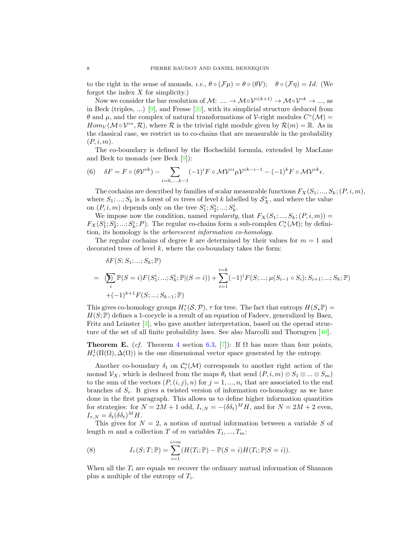to the right in the sense of monads, *i.e.*,  $\theta \circ (\mathcal{F}\mu) = \theta \circ (\theta \mathcal{V}); \quad \theta \circ (\mathcal{F}\eta) = Id.$  (We forgot the index  $X$  for simplicity.)

Now we consider the bar resolution of M: ....  $\to \mathcal{M} \circ \mathcal{V}^{\circ(k+1)} \to \mathcal{M} \circ \mathcal{V}^{\circ k} \to \dots$ , as in Beck (triples, ...) [\[9\]](#page-64-8), and Fresse  $[20]$ , with its simplicial structure deduced from θ and μ, and the complex of natural transformations of V-right modules  $C^*(\mathcal{M}) =$  $Hom_V(\mathcal{M} \circ \mathcal{V}^{o*}, \mathcal{R})$ , where  $\mathcal R$  is the trivial right module given by  $\mathcal{R}(m) = \mathbb R$ . As in the classical case, we restrict us to co-chains that are measurable in the probability  $(P, i, m)$ .

The co-boundary is defined by the Hochschild formula, extended by MacLane and Beck to monads (see Beck [\[9\]](#page-64-8)):

(6) 
$$
\delta F = F \circ (\theta \mathcal{V}^{\circ k}) - \sum_{i=0,...,k-1} (-1)^i F \circ \mathcal{M} \mathcal{V}^{\circ i} \mu \mathcal{V}^{\circ k-i-1} - (-1)^k F \circ \mathcal{M} \mathcal{V}^{\circ k} \epsilon.
$$

The cochains are described by families of scalar measurable functions  $F_X(S_1; ..., S_k; (P, i, m),$ where  $S_1; \ldots; S_k$  is a forest of m trees of level k labelled by  $S_X^*$ , and where the value on  $(P, i, m)$  depends only on the tree  $S_1^i, S_2^i, ..., S_k^i$ .

We impose now the condition, named *regularity*, that  $F_X(S_1; ..., S_k; (P, i, m)) =$  $F_X(S_1^i; S_2^i; \ldots; S_k^i; P)$ . The regular co-chains form a sub-complex  $C_r^*(\mathcal{M})$ ; by definition, its homology is the arborescent information co-homology.

The regular cochains of degree k are determined by their values for  $m = 1$  and decorated trees of level  $k$ , where the co-boundary takes the form:

$$
\delta F(S; S_1; ...; S_k; \mathbb{P})
$$
\n
$$
= \bigotimes_i \mathbb{P}(S = i) F(S_1^i; ...; S_k^i; \mathbb{P} | (S = i)) + \sum_{i=1}^{i=k} (-1)^i F(S; ...; \mu(S_{i-1} \circ S_i); S_{i+1}; ...; S_k; \mathbb{P})
$$
\n
$$
+ (-1)^{k+1} F(S; ...; S_{k-1}; \mathbb{P})
$$

This gives co-homology groups  $H^*_{\tau}(S, \mathcal{P}), \tau$  for tree. The fact that entropy  $H(S_*\mathbb{P}) =$  $H(S; \mathbb{P})$  defines a 1-cocycle is a result of an equation of Fadeev, generalized by Baez, Fritz and Leinster [\[3\]](#page-63-4), who gave another interpretation, based on the operad structure of the set of all finite probability laws. See also Marcolli and Thorngren [\[40\]](#page-65-7).

**Theorem E.** (cf. Theorem [4](#page-61-1) section [6.3,](#page-51-0) [\[7\]](#page-63-5)): If  $\Omega$  has more than four points,  $H^1_\tau(\Pi(\Omega), \Delta(\Omega))$  is the one dimensional vector space generated by the entropy.

Another co-boundary  $\delta_t$  on  $\mathcal{C}_r^*(\mathcal{M})$  corresponds to another right action of the monad  $\mathcal{V}_X$ , which is deduced from the maps  $\theta_t$  that send  $(P, i, m) \otimes S_1 \otimes ... \otimes S_m$ to the sum of the vectors  $(P,(i,j),n)$  for  $j=1,\ldots,n_i$  that are associated to the end branches of  $S_i$ . It gives a twisted version of information co-homology as we have done in the first paragraph. This allows us to define higher information quantities for strategies: for  $N = 2M + 1$  odd,  $I_{\tau,N} = -(\delta \delta_t)^M H$ , and for  $N = 2M + 2$  even,  $I_{\tau,N} = \delta_t(\delta \delta_t)^M H$ .

This gives for  $N = 2$ , a notion of mutual information between a variable S of length m and a collection T of m variables  $T_1, ..., T_m$ :

(8) 
$$
I_{\tau}(S;T; \mathbb{P}) = \sum_{i=1}^{i=m} (H(T_i; \mathbb{P}) - \mathbb{P}(S = i)H(T_i; \mathbb{P}|S = i)).
$$

When all the  $T_i$  are equals we recover the ordinary mutual information of Shannon plus a multiple of the entropy of  $T_i$ .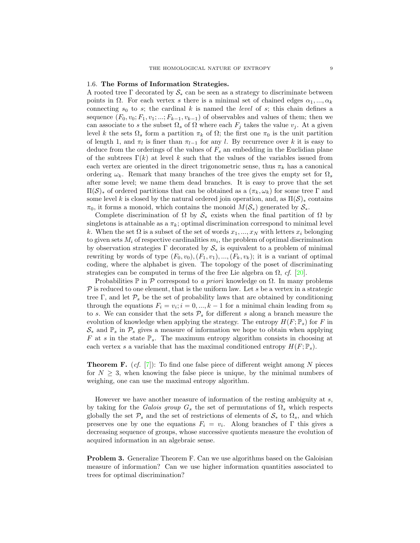#### <span id="page-10-0"></span>1.6. The Forms of Information Strategies.

A rooted tree Γ decorated by  $S_*$  can be seen as a strategy to discriminate between points in  $\Omega$ . For each vertex s there is a minimal set of chained edges  $\alpha_1, ..., \alpha_k$ connecting  $s_0$  to s; the cardinal k is named the *level* of s; this chain defines a sequence  $(F_0, v_0; F_1, v_1; \ldots; F_{k-1}, v_{k-1})$  of observables and values of them; then we can associate to s the subset  $\Omega_s$  of  $\Omega$  where each  $F_j$  takes the value  $v_j$ . At a given level k the sets  $\Omega_s$  form a partition π<sub>k</sub> of  $\Omega$ ; the first one π<sub>0</sub> is the unit partition of length 1, and  $\pi_l$  is finer than  $\pi_{l-1}$  for any l. By recurrence over k it is easy to deduce from the orderings of the values of  $F_s$  an embedding in the Euclidian plane of the subtrees  $\Gamma(k)$  at level k such that the values of the variables issued from each vertex are oriented in the direct trigonometric sense, thus  $\pi_k$  has a canonical ordering  $\omega_k$ . Remark that many branches of the tree gives the empty set for  $\Omega_s$ after some level; we name them dead branches. It is easy to prove that the set  $\Pi(\mathcal{S})_*$  of ordered partitions that can be obtained as a  $(\pi_k, \omega_k)$  for some tree Γ and some level k is closed by the natural ordered join operation, and, as  $\Pi(\mathcal{S})_*$  contains  $\pi_0$ , it forms a monoid, which contains the monoid  $M(\mathcal{S}_*)$  generated by  $\mathcal{S}_*$ .

Complete discrimination of  $\Omega$  by  $\mathcal{S}_*$  exists when the final partition of  $\Omega$  by singletons is attainable as a  $\pi_k$ ; optimal discrimination correspond to minimal level k. When the set  $\Omega$  is a subset of the set of words  $x_1, ..., x_N$  with letters  $x_i$  belonging to given sets  $M_i$  of respective cardinalities  $m_i$ , the problem of optimal discrimination by observation strategies  $\Gamma$  decorated by  $S_*$  is equivalent to a problem of minimal rewriting by words of type  $(F_0, v_0), (F_1, v_1), ..., (F_k, v_k)$ ; it is a variant of optimal coding, where the alphabet is given. The topology of the poset of discriminating strategies can be computed in terms of the free Lie algebra on  $\Omega$ , cf. [\[20\]](#page-64-7).

Probabilities  $\mathbb P$  in  $\mathcal P$  correspond to a priori knowledge on  $\Omega$ . In many problems  $P$  is reduced to one element, that is the uniform law. Let s be a vertex in a strategic tree Γ, and let  $P_s$  be the set of probability laws that are obtained by conditioning through the equations  $F_i = v_i; i = 0, ..., k-1$  for a minimal chain leading from  $s_0$ to s. We can consider that the sets  $P_s$  for different s along a branch measure the evolution of knowledge when applying the strategy. The entropy  $H(F; \mathbb{P}_s)$  for F in  $\mathcal{S}_*$  and  $\mathbb{P}_s$  in  $\mathcal{P}_s$  gives a measure of information we hope to obtain when applying F at s in the state  $\mathbb{P}_s$ . The maximum entropy algorithm consists in choosing at each vertex s a variable that has the maximal conditioned entropy  $H(F; \mathbb{P}_s)$ .

**Theorem F.** (cf. [\[7\]](#page-63-5)): To find one false piece of different weight among N pieces for  $N \geq 3$ , when knowing the false piece is unique, by the minimal numbers of weighing, one can use the maximal entropy algorithm.

However we have another measure of information of the resting ambiguity at s, by taking for the Galois group  $G_s$  the set of permutations of  $\Omega_s$  which respects globally the set  $\mathcal{P}_s$  and the set of restrictions of elements of  $\mathcal{S}_*$  to  $\Omega_s$ , and which preserves one by one the equations  $F_i = v_i$ . Along branches of  $\Gamma$  this gives a decreasing sequence of groups, whose successive quotients measure the evolution of acquired information in an algebraic sense.

Problem 3. Generalize Theorem F. Can we use algorithms based on the Galoisian measure of information? Can we use higher information quantities associated to trees for optimal discrimination?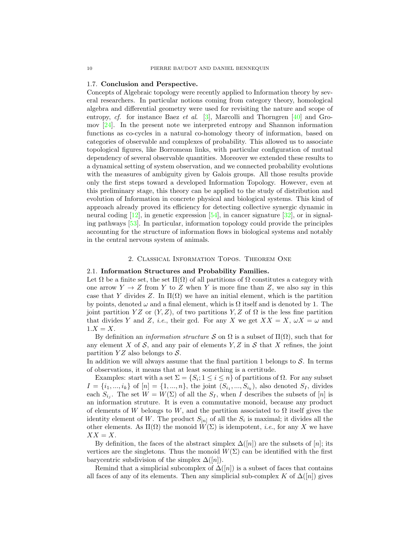#### <span id="page-11-0"></span>1.7. Conclusion and Perspective.

Concepts of Algebraic topology were recently applied to Information theory by several researchers. In particular notions coming from category theory, homological algebra and differential geometry were used for revisiting the nature and scope of entropy, cf. for instance Baez et al. [\[3\]](#page-63-4), Marcolli and Thorngren [\[40\]](#page-65-7) and Gromov [\[24\]](#page-64-9). In the present note we interpreted entropy and Shannon information functions as co-cycles in a natural co-homology theory of information, based on categories of observable and complexes of probability. This allowed us to associate topological figures, like Borromean links, with particular configuration of mutual dependency of several observable quantities. Moreover we extended these results to a dynamical setting of system observation, and we connected probability evolutions with the measures of ambiguity given by Galois groups. All those results provide only the first steps toward a developed Information Topology. However, even at this preliminary stage, this theory can be applied to the study of distribution and evolution of Information in concrete physical and biological systems. This kind of approach already proved its efficiency for detecting collective synergic dynamic in neural coding  $[12]$ , in genetic expression  $[54]$ , in cancer signature  $[32]$ , or in signaling pathways [\[53\]](#page-65-9). In particular, information topology could provide the principles accounting for the structure of information flows in biological systems and notably in the central nervous system of animals.

# 2. Classical Information Topos. Theorem One

# <span id="page-11-2"></span><span id="page-11-1"></span>2.1. Information Structures and Probability Families.

Let  $\Omega$  be a finite set, the set  $\Pi(\Omega)$  of all partitions of  $\Omega$  constitutes a category with one arrow  $Y \to Z$  from Y to Z when Y is more fine than Z, we also say in this case that Y divides Z. In  $\Pi(\Omega)$  we have an initial element, which is the partition by points, denoted  $\omega$  and a final element, which is  $\Omega$  itself and is denoted by 1. The joint partition  $YZ$  or  $(Y, Z)$ , of two partitions  $Y, Z$  of  $\Omega$  is the less fine partition that divides Y and Z, i.e., their gcd. For any X we get  $XX = X$ ,  $\omega X = \omega$  and  $1.X = X$ .

By definition an *information structure* S on  $\Omega$  is a subset of  $\Pi(\Omega)$ , such that for any element X of S, and any pair of elements  $Y, Z$  in S that X refines, the joint partition  $YZ$  also belongs to  $S$ .

In addition we will always assume that the final partition 1 belongs to  $S$ . In terms of observations, it means that at least something is a certitude.

Examples: start with a set  $\Sigma = \{S_i; 1 \leq i \leq n\}$  of partitions of  $\Omega$ . For any subset  $I = \{i_1, ..., i_k\}$  of  $[n] = \{1, ..., n\}$ , the joint  $(S_{i_1}, ..., S_{i_k})$ , also denoted  $S_I$ , divides each  $S_{i_j}$ . The set  $W = W(\Sigma)$  of all the  $S_I$ , when I describes the subsets of [n] is an information struture. It is even a commutative monoid, because any product of elements of W belongs to W, and the partition associated to  $\Omega$  itself gives the identity element of W. The product  $S_{[n]}$  of all the  $S_i$  is maximal; it divides all the other elements. As  $\Pi(\Omega)$  the monoid  $W(\Sigma)$  is idempotent, *i.e.*, for any X we have  $XX = X$ .

By definition, the faces of the abstract simplex  $\Delta(|n|)$  are the subsets of  $|n|$ ; its vertices are the singletons. Thus the monoid  $W(\Sigma)$  can be identified with the first barycentric subdivision of the simplex  $\Delta([n])$ .

Remind that a simplicial subcomplex of  $\Delta([n])$  is a subset of faces that contains all faces of any of its elements. Then any simplicial sub-complex K of  $\Delta([n])$  gives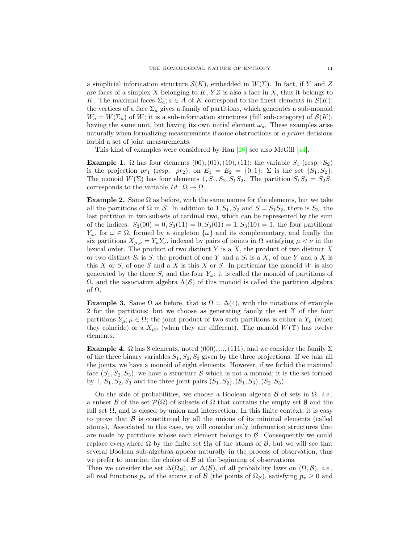a simplicial information structure  $\mathcal{S}(K)$ , embedded in  $W(\Sigma)$ . In fact, if Y and Z are faces of a simplex X belonging to  $K, YZ$  is also a face in X, thus it belongs to K. The maximal faces  $\Sigma_a$ ;  $a \in A$  of K correspond to the finest elements in  $\mathcal{S}(K)$ ; the vertices of a face  $\Sigma_a$  gives a family of partitions, which generates a sub-monoid  $W_a = W(\Sigma_a)$  of W; it is a sub-information structures (full sub-category) of  $\mathcal{S}(K)$ , having the same unit, but having its own initial element  $\omega_a$ . These examples arise naturally when formalizing measurements if some obstructions or a *priori* decisions forbid a set of joint measurements.

This kind of examples were considered by Han [\[26\]](#page-64-11) see also McGill [\[44\]](#page-65-10).

<span id="page-12-0"></span>Example 1.  $\Omega$  has four elements  $(00), (01), (10), (11)$ ; the variable  $S_1$  (resp.  $S_2$ ) is the projection  $pr_1$  (resp.  $pr_2$ ), on  $E_1 = E_2 = \{0, 1\}; \Sigma$  is the set  $\{S_1, S_2\}.$ The monoid  $W(\Sigma)$  has four elements  $1, S_1, S_2, S_1S_2$ . The partition  $S_1S_2 = S_2S_1$ corresponds to the variable  $Id: \Omega \to \Omega$ .

Example 2. Same  $\Omega$  as before, with the same names for the elements, but we take all the partitions of  $\Omega$  in S. In addition to  $1, S_1, S_2$  and  $S = S_1S_2$ , there is  $S_3$ , the last partition in two subsets of cardinal two, which can be represented by the sum of the indices:  $S_3(00) = 0, S_3(11) = 0, S_3(01) = 1, S_3(10) = 1$ , the four partitions  $Y_\omega$ , for  $\omega \in \Omega$ , formed by a singleton  $\{\omega\}$  and its complementary, and finally the six partitions  $X_{\mu,\nu} = Y_{\mu}Y_{\nu}$ , indexed by pairs of points in  $\Omega$  satisfying  $\mu < \nu$  in the lexical order. The product of two distinct  $Y$  is a  $X$ , the product of two distinct  $X$ or two distinct  $S_i$  is S, the product of one Y and a  $S_i$  is a X, of one Y and a X is this X or S, of one S and a X is this X or S. In particular the monoid  $W$  is also generated by the three  $S_i$  and the four  $Y_{\omega}$ ; it is called the monoid of partitions of  $Ω$ , and the associative algebra  $Λ(δ)$  of this monoid is called the partition algebra of Ω.

**Example 3.** Same  $\Omega$  as before, that is  $\Omega = \Delta(4)$ , with the notations of example 2 for the partitions; but we choose as generating family the set Υ of the four partitions  $Y_{\mu}$ ;  $\mu \in \Omega$ ; the joint product of two such partitions is either a  $Y_{\mu}$  (when they coincide) or a  $X_{\mu\nu}$  (when they are different). The monoid  $W(\Upsilon)$  has twelve elements.

Example 4.  $\Omega$  has 8 elements, noted  $(000), ..., (111)$ , and we consider the family  $\Sigma$ of the three binary variables  $S_1, S_2, S_3$  given by the three projections. If we take all the joints, we have a monoid of eight elements. However, if we forbid the maximal face  $(S_1, S_2, S_3)$ , we have a structure S which is not a monoid; it is the set formed by 1,  $S_1, S_2, S_3$  and the three joint pairs  $(S_1, S_2), (S_1, S_3), (S_2, S_3)$ .

On the side of probabilities, we choose a Boolean algebra  $\mathcal B$  of sets in  $\Omega$ , *i.e.*, a subset B of the set  $\mathcal{P}(\Omega)$  of subsets of  $\Omega$  that contains the empty set  $\emptyset$  and the full set  $\Omega$ , and is closed by union and intersection. In this finite context, it is easy to prove that  $\beta$  is constituted by all the unions of its minimal elements (called atoms). Associated to this case, we will consider only information structures that are made by partitions whose each element belongs to  $\beta$ . Consequently we could replace everywhere  $\Omega$  by the finite set  $\Omega_B$  of the atoms of  $\mathcal{B}$ , but we will see that several Boolean sub-algebras appear naturally in the process of observation, thus we prefer to mention the choice of  $\beta$  at the beginning of observations.

Then we consider the set  $\Delta(\Omega_{\mathcal{B}})$ , or  $\Delta(\mathcal{B})$ , of all probability laws on  $(\Omega, \mathcal{B})$ , *i.e.*, all real functions  $p_x$  of the atoms x of B (the points of  $\Omega_{\mathcal{B}}$ ), satisfying  $p_x \geq 0$  and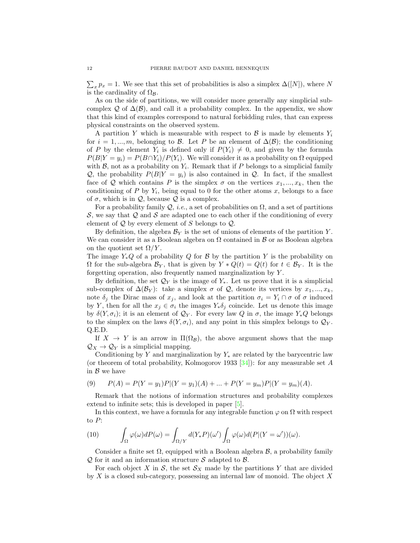$\sum_{x} p_x = 1$ . We see that this set of probabilities is also a simplex  $\Delta([N])$ , where N is the cardinality of  $\Omega_{\mathcal{B}}$ .

As on the side of partitions, we will consider more generally any simplicial subcomplex Q of  $\Delta(\mathcal{B})$ , and call it a probability complex. In the appendix, we show that this kind of examples correspond to natural forbidding rules, that can express physical constraints on the observed system.

A partition Y which is measurable with respect to  $\mathcal{B}$  is made by elements  $Y_i$ for  $i = 1, ..., m$ , belonging to B. Let P be an element of  $\Delta(\mathcal{B})$ ; the conditioning of P by the element  $Y_i$  is defined only if  $P(Y_i) \neq 0$ , and given by the formula  $P(B|Y = y_i) = P(B \cap Y_i)/P(Y_i)$ . We will consider it as a probability on  $\Omega$  equipped with  $\mathcal{B}$ , not as a probability on  $Y_i$ . Remark that if P belongs to a simplicial family Q, the probability  $P(B|Y = y_i)$  is also contained in Q. In fact, if the smallest face of Q which contains P is the simplex  $\sigma$  on the vertices  $x_1, ..., x_k$ , then the conditioning of P by  $Y_i$ , being equal to 0 for the other atoms x, belongs to a face of  $\sigma$ , which is in  $\mathcal{Q}$ , because  $\mathcal Q$  is a complex.

For a probability family  $Q$ , *i.e.*, a set of probabilities on  $\Omega$ , and a set of partitions  $S$ , we say that  $Q$  and  $S$  are adapted one to each other if the conditioning of every element of  $\mathcal Q$  by every element of S belongs to  $\mathcal Q$ .

By definition, the algebra  $\mathcal{B}_Y$  is the set of unions of elements of the partition Y. We can consider it as a Boolean algebra on  $\Omega$  contained in  $\beta$  or as Boolean algebra on the quotient set  $\Omega/Y$ .

The image  $Y_*Q$  of a probability Q for B by the partition Y is the probability on  $\Omega$  for the sub-algebra  $\mathcal{B}_Y$ , that is given by  $Y * Q(t) = Q(t)$  for  $t \in \mathcal{B}_Y$ . It is the forgetting operation, also frequently named marginalization by Y .

By definition, the set  $\mathcal{Q}_Y$  is the image of  $Y_*$ . Let us prove that it is a simplicial sub-complex of  $\Delta(\mathcal{B}_Y)$ : take a simplex  $\sigma$  of  $\mathcal{Q}$ , denote its vertices by  $x_1, ..., x_k$ , note  $\delta_i$  the Dirac mass of  $x_i$ , and look at the partition  $\sigma_i = Y_i \cap \sigma$  of  $\sigma$  induced by Y, then for all the  $x_j \in \sigma_i$  the images  $Y_*\delta_j$  coincide. Let us denote this image by  $\delta(Y, \sigma_i)$ ; it is an element of  $\mathcal{Q}_Y$ . For every law Q in  $\sigma$ , the image  $Y_*Q$  belongs to the simplex on the laws  $\delta(Y, \sigma_i)$ , and any point in this simplex belongs to  $\mathcal{Q}_Y$ . Q.E.D.

If  $X \to Y$  is an arrow in  $\Pi(\Omega_{\mathcal{B}})$ , the above argument shows that the map  $\mathcal{Q}_X \to \mathcal{Q}_Y$  is a simplicial mapping.

Conditioning by Y and marginalization by  $Y_*$  are related by the barycentric law (or theorem of total probability, Kolmogorov 1933 [\[34\]](#page-64-12)): for any measurable set A in  $\beta$  we have

(9) 
$$
P(A) = P(Y = y_1)P|(Y = y_1)(A) + ... + P(Y = y_m)P|(Y = y_m)(A).
$$

Remark that the notions of information structures and probability complexes extend to infinite sets; this is developed in paper [\[5\]](#page-63-1).

In this context, we have a formula for any integrable function  $\varphi$  on  $\Omega$  with respect to P:

(10) 
$$
\int_{\Omega} \varphi(\omega) dP(\omega) = \int_{\Omega/Y} d(Y_*P)(\omega') \int_{\Omega} \varphi(\omega) d(P|(Y=\omega'))(\omega).
$$

Consider a finite set  $\Omega$ , equipped with a Boolean algebra  $\mathcal{B}$ , a probability family  $Q$  for it and an information structure S adapted to  $B$ .

For each object X in S, the set  $S_X$  made by the partitions Y that are divided by  $X$  is a closed sub-category, possessing an internal law of monoid. The object  $X$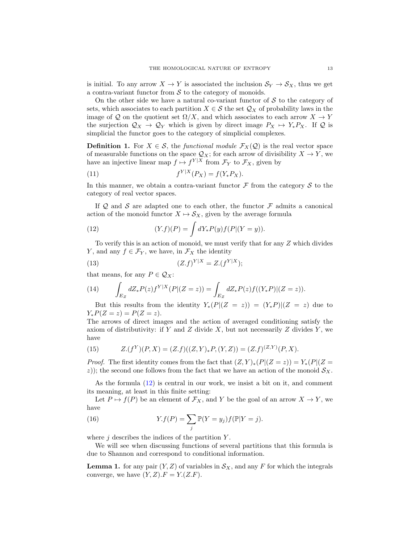is initial. To any arrow  $X \to Y$  is associated the inclusion  $S_Y \to S_X$ , thus we get a contra-variant functor from  $S$  to the category of monoids.

On the other side we have a natural co-variant functor of  $S$  to the category of sets, which associates to each partition  $X \in \mathcal{S}$  the set  $\mathcal{Q}_X$  of probability laws in the image of Q on the quotient set  $\Omega/X$ , and which associates to each arrow  $X \to Y$ the surjection  $\mathcal{Q}_X \to \mathcal{Q}_Y$  which is given by direct image  $P_X \mapsto Y_*P_X$ . If  $\mathcal Q$  is simplicial the functor goes to the category of simplicial complexes.

**Definition 1.** For  $X \in \mathcal{S}$ , the *functional module*  $\mathcal{F}_X(\mathcal{Q})$  is the real vector space of measurable functions on the space  $\mathcal{Q}_X$ ; for each arrow of divisibility  $X \to Y$ , we have an injective linear map  $f \mapsto f^{Y|X}$  from  $\mathcal{F}_Y$  to  $\mathcal{F}_X$ , given by

(11) 
$$
f^{Y|X}(P_X) = f(Y_* P_X).
$$

In this manner, we obtain a contra-variant functor  $\mathcal F$  from the category  $\mathcal S$  to the category of real vector spaces.

If  $Q$  and  $S$  are adapted one to each other, the functor  $\mathcal F$  admits a canonical action of the monoid functor  $X \mapsto \mathcal{S}_X$ , given by the average formula

<span id="page-14-0"></span>(12) 
$$
(Y.f)(P) = \int dY_* P(y) f(P|(Y = y)).
$$

To verify this is an action of monoid, we must verify that for any Z which divides Y, and any  $f \in \mathcal{F}_Y$ , we have, in  $\mathcal{F}_X$  the identity

(13) 
$$
(Z.f)^{Y|X} = Z.(f^{Y|X});
$$

that means, for any  $P \in \mathcal{Q}_X$ :

(14) 
$$
\int_{E_Z} dZ_* P(z) f^{Y|X}(P|(Z=z)) = \int_{E_Z} dZ_* P(z) f((Y_* P)|(Z=z)).
$$

But this results from the identity  $Y_*(P|(Z = z)) = (Y_*P)|(Z = z)$  due to  $Y_*P(Z = z) = P(Z = z).$ 

The arrows of direct images and the action of averaged conditioning satisfy the axiom of distributivity: if Y and Z divide X, but not necessarily Z divides Y, we have

(15) 
$$
Z.(f^Y)(P,X) = (Z.f)((Z,Y)_*P,(Y,Z)) = (Z.f)^{(Z,Y)}(P,X).
$$

*Proof.* The first identity comes from the fact that  $(Z, Y)_*(P|(Z = z)) = Y_*(P|(Z = z))$ z)); the second one follows from the fact that we have an action of the monoid  $S_X$ .

As the formula [\(12\)](#page-14-0) is central in our work, we insist a bit on it, and comment its meaning, at least in this finite setting:

Let  $P \mapsto f(P)$  be an element of  $\mathcal{F}_X$ , and Y be the goal of an arrow  $X \to Y$ , we have

(16) 
$$
Y.f(P) = \sum_{j} \mathbb{P}(Y = y_j) f(\mathbb{P}|Y = j).
$$

where  $j$  describes the indices of the partition  $Y$ .

We will see when discussing functions of several partitions that this formula is due to Shannon and correspond to conditional information.

<span id="page-14-1"></span>**Lemma 1.** for any pair  $(Y, Z)$  of variables in  $\mathcal{S}_X$ , and any F for which the integrals converge, we have  $(Y, Z)$ .  $F = Y(Z.F)$ .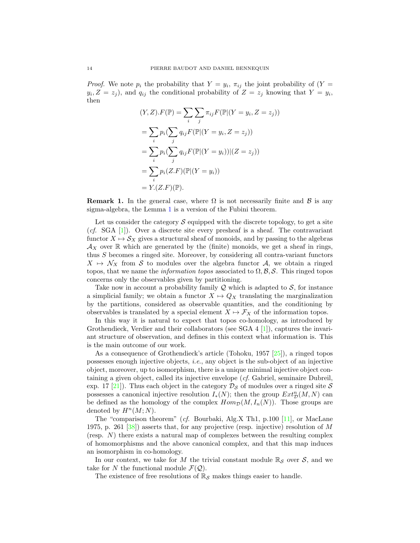*Proof.* We note  $p_i$  the probability that  $Y = y_i$ ,  $\pi_{ij}$  the joint probability of  $(Y =$  $y_i, Z = z_j$ , and  $q_{ij}$  the conditional probability of  $Z = z_j$  knowing that  $Y = y_i$ , then

$$
(Y, Z).F(\mathbb{P}) = \sum_{i} \sum_{j} \pi_{ij} F(\mathbb{P} | (Y = y_i, Z = z_j))
$$
  
= 
$$
\sum_{i} p_i (\sum_{j} q_{ij} F(\mathbb{P} | (Y = y_i, Z = z_j))
$$
  
= 
$$
\sum_{i} p_i (\sum_{j} q_{ij} F(\mathbb{P} | (Y = y_i)) | (Z = z_j))
$$
  
= 
$$
\sum_{i} p_i (Z.F)(\mathbb{P} | (Y = y_i))
$$
  
= 
$$
Y.(Z.F)(\mathbb{P}).
$$

**Remark 1.** In the general case, where  $\Omega$  is not necessarily finite and  $\beta$  is any sigma-algebra, the Lemma [1](#page-14-1) is a version of the Fubini theorem.

Let us consider the category  $\mathcal S$  equipped with the discrete topology, to get a site  $(cf. SGA [1])$  $(cf. SGA [1])$  $(cf. SGA [1])$ . Over a discrete site every presheaf is a sheaf. The contravariant functor  $X \mapsto S_X$  gives a structural sheaf of monoids, and by passing to the algebras  $\mathcal{A}_X$  over  $\mathbb R$  which are generated by the (finite) monoids, we get a sheaf in rings, thus S becomes a ringed site. Moreover, by considering all contra-variant functors  $X \mapsto \mathcal{N}_X$  from S to modules over the algebra functor A, we obtain a ringed topos, that we name the *information topos* associated to  $\Omega$ ,  $\mathcal{B}$ ,  $\mathcal{S}$ . This ringed topos concerns only the observables given by partitioning.

Take now in account a probability family  $\mathcal Q$  which is adapted to  $\mathcal S$ , for instance a simplicial family; we obtain a functor  $X \mapsto Q_X$  translating the marginalization by the partitions, considered as observable quantities, and the conditioning by observables is translated by a special element  $X \mapsto \mathcal{F}_X$  of the information topos.

In this way it is natural to expect that topos co-homology, as introduced by Grothendieck, Verdier and their collaborators (see SGA  $4$  [\[1\]](#page-63-6)), captures the invariant structure of observation, and defines in this context what information is. This is the main outcome of our work.

As a consequence of Grothendieck's article (Tohoku, 1957 [\[25\]](#page-64-13)), a ringed topos possesses enough injective objects, i.e., any object is the sub-object of an injective object, moreover, up to isomorphism, there is a unique minimal injective object containing a given object, called its injective envelope (cf. Gabriel, seminaire Dubreil, exp. 17 [\[21\]](#page-64-14)). Thus each object in the category  $\mathcal{D}_{\mathcal{S}}$  of modules over a ringed site  $\mathcal{S}$ possesses a canonical injective resolution  $I_*(N)$ ; then the group  $Ext^n_{\mathcal{D}}(M, N)$  can be defined as the homology of the complex  $Hom_{\mathcal{D}}(M, I_n(N))$ . Those groups are denoted by  $H^n(M;N)$ .

The "comparison theorem" (cf. Bourbaki, Alg.X Th1, p.100 [\[11\]](#page-64-15), or MacLane 1975, p. 261  $[38]$ ) asserts that, for any projective (resp. injective) resolution of M (resp. N) there exists a natural map of complexes between the resulting complex of homomorphisms and the above canonical complex, and that this map induces an isomorphism in co-homology.

In our context, we take for M the trivial constant module  $\mathbb{R}_{\mathcal{S}}$  over  $\mathcal{S}$ , and we take for N the functional module  $\mathcal{F}(\mathcal{Q})$ .

The existence of free resolutions of  $\mathbb{R}_{\mathcal{S}}$  makes things easier to handle.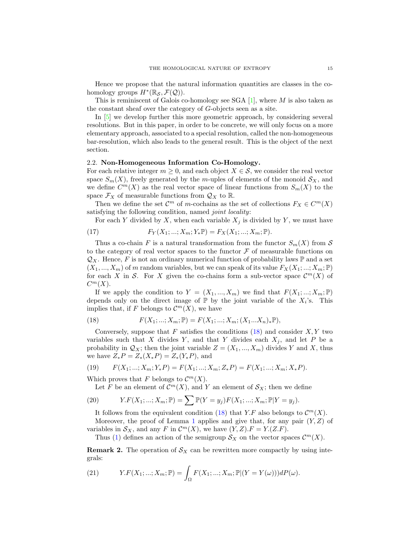Hence we propose that the natural information quantities are classes in the cohomology groups  $H^*(\mathbb{R}_{\mathcal{S}}, \mathcal{F}(\mathcal{Q})).$ 

This is reminiscent of Galois co-homology see SGA  $[1]$ , where M is also taken as the constant sheaf over the category of G-objects seen as a site.

In [\[5\]](#page-63-1) we develop further this more geometric approach, by considering several resolutions. But in this paper, in order to be concrete, we will only focus on a more elementary approach, associated to a special resolution, called the non-homogeneous bar-resolution, which also leads to the general result. This is the object of the next section.

# <span id="page-16-0"></span>2.2. Non-Homogeneous Information Co-Homology.

For each relative integer  $m \geq 0$ , and each object  $X \in \mathcal{S}$ , we consider the real vector space  $S_m(X)$ , freely generated by the m-uples of elements of the monoid  $S_X$ , and we define  $C^m(X)$  as the real vector space of linear functions from  $S_m(X)$  to the space  $\mathcal{F}_X$  of measurable functions from  $\mathcal{Q}_X$  to  $\mathbb{R}$ .

Then we define the set  $\mathcal{C}^m$  of m-cochains as the set of collections  $F_X \in C^m(X)$ satisfying the following condition, named *joint locality*:

For each Y divided by X, when each variable  $X_j$  is divided by Y, we must have

(17) 
$$
F_Y(X_1; ...; X_m; Y_*\mathbb{P}) = F_X(X_1; ...; X_m; \mathbb{P}).
$$

Thus a co-chain F is a natural transformation from the functor  $S_m(X)$  from S to the category of real vector spaces to the functor  $\mathcal F$  of measurable functions on  $\mathcal{Q}_X$ . Hence, F is not an ordinary numerical function of probability laws P and a set  $(X_1, ..., X_m)$  of m random variables, but we can speak of its value  $F_X(X_1; ...; X_m; \mathbb{P})$ for each X in S. For X given the co-chains form a sub-vector space  $\mathcal{C}^m(X)$  of  $C^m(X)$ .

If we apply the condition to  $Y = (X_1, ..., X_m)$  we find that  $F(X_1; ...; X_m; \mathbb{P})$ depends only on the direct image of  $\mathbb P$  by the joint variable of the  $X_i$ 's. This implies that, if F belongs to  $\mathcal{C}^m(X)$ , we have

<span id="page-16-1"></span>(18) 
$$
F(X_1; ...; X_m; \mathbb{P}) = F(X_1; ...; X_m; (X_1...X_n)_{*}\mathbb{P}),
$$

Conversely, suppose that  $F$  satisfies the conditions  $(18)$  and consider  $X, Y$  two variables such that X divides Y, and that Y divides each  $X_i$ , and let P be a probability in  $\mathcal{Q}_X$ ; then the joint variable  $Z = (X_1, ..., X_m)$  divides Y and X, thus we have  $Z_*P = Z_*(X_*P) = Z_*(Y_*P)$ , and

(19) 
$$
F(X_1; \ldots; X_m; Y_*P) = F(X_1; \ldots; X_m; Z_*P) = F(X_1; \ldots; X_m; X_*P).
$$

Which proves that F belongs to  $\mathcal{C}^m(X)$ .

<span id="page-16-2"></span>Let F be an element of  $\mathcal{C}^m(X)$ , and Y an element of  $\mathcal{S}_X$ ; then we define

(20) 
$$
Y.F(X_1; ...; X_m; \mathbb{P}) = \sum \mathbb{P}(Y = y_j)F(X_1; ...; X_m; \mathbb{P}|Y = y_j).
$$

It follows from the equivalent condition [\(18\)](#page-16-1) that Y.F also belongs to  $\mathcal{C}^m(X)$ .

Moreover, the proof of Lemma [1](#page-14-1) applies and give that, for any pair  $(Y, Z)$  of variables in  $S_X$ , and any F in  $\mathcal{C}^m(X)$ , we have  $(Y, Z)$ .  $F = Y(Z.F)$ .

Thus [\(1\)](#page-4-1) defines an action of the semigroup  $S_X$  on the vector spaces  $\mathcal{C}^m(X)$ .

**Remark 2.** The operation of  $S_X$  can be rewritten more compactly by using integrals:

(21) 
$$
Y.F(X_1; \ldots; X_m; \mathbb{P}) = \int_{\Omega} F(X_1; \ldots; X_m; \mathbb{P} | (Y = Y(\omega))) dP(\omega).
$$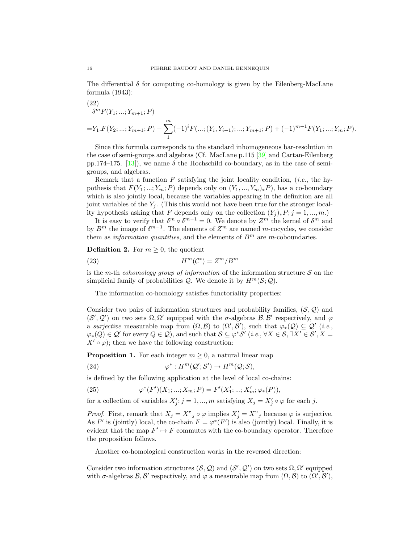The differential  $\delta$  for computing co-homology is given by the Eilenberg-MacLane formula (1943):

<span id="page-17-0"></span>(22)  
\n
$$
\delta^m F(Y_1; \dots; Y_{m+1}; P)
$$
\n
$$
= Y_1 \cdot F(Y_2; \dots; Y_{m+1}; P) + \sum_{1}^{m} (-1)^i F(\dots; (Y_i, Y_{i+1}); \dots; Y_{m+1}; P) + (-1)^{m+1} F(Y_1; \dots; Y_m; P).
$$

Since this formula corresponds to the standard inhomogeneous bar-resolution in the case of semi-groups and algebras (Cf. MacLane p.115 [\[39\]](#page-65-2) and Cartan-Eilenberg pp.174–175. [\[13\]](#page-64-16)), we name  $\delta$  the Hochschild co-boundary, as in the case of semigroups, and algebras.

Remark that a function  $F$  satisfying the joint locality condition, (*i.e.*, the hypothesis that  $F(Y_1; ...; Y_m; P)$  depends only on  $(Y_1, ..., Y_m)_*P$ , has a co-boundary which is also jointly local, because the variables appearing in the definition are all joint variables of the  $Y_i$ . (This this would not have been true for the stronger locality hypothesis asking that F depends only on the collection  $(Y_j)_*P; j = 1, ..., m$ .)

It is easy to verify that  $\delta^m \circ \delta^{m-1} = 0$ . We denote by  $Z^m$  the kernel of  $\delta^m$  and by  $B^m$  the image of  $\delta^{m-1}$ . The elements of  $Z^m$  are named m-cocycles, we consider them as *information quantities*, and the elements of  $B<sup>m</sup>$  are *m*-coboundaries.

**Definition 2.** For  $m \geq 0$ , the quotient

$$
(23) \t\t\t H^m(\mathcal{C}^*) = Z^m/B^m
$$

is the m-th cohomology group of information of the information structure  $S$  on the simplicial family of probabilities  $\mathcal{Q}$ . We denote it by  $H^m(\mathcal{S}; \mathcal{Q})$ .

The information co-homology satisfies functoriality properties:

Consider two pairs of information structures and probability families,  $(S, Q)$  and  $(S', Q')$  on two sets  $\Omega, \Omega'$  equipped with the  $\sigma$ -algebras  $\mathcal{B}, \mathcal{B}'$  respectively, and  $\varphi$ a surjective measurable map from  $(\Omega, \mathcal{B})$  to  $(\Omega', \mathcal{B}')$ , such that  $\varphi_*(\mathcal{Q}) \subseteq \mathcal{Q}'$  (i.e.,  $\varphi_*(Q) \in \mathcal{Q}'$  for every  $Q \in \mathcal{Q}$ ), and such that  $\mathcal{S} \subseteq \varphi^* \mathcal{S}'$  (*i.e.*,  $\forall X \in \mathcal{S}, \exists X' \in \mathcal{S}', X =$  $X' \circ \varphi$ ; then we have the following construction:

**Proposition 1.** For each integer  $m \geq 0$ , a natural linear map

(24) 
$$
\varphi^*: H^m(\mathcal{Q}'; \mathcal{S}') \to H^m(\mathcal{Q}; \mathcal{S}),
$$

is defined by the following application at the level of local co-chains:

(25) 
$$
\varphi^*(F')(X_1; \dots; X_m; P) = F'(X'_1; \dots; X'_m; \varphi_*(P)),
$$

for a collection of variables  $X'_j$ ;  $j = 1, ..., m$  satisfying  $X_j = X'_j \circ \varphi$  for each j.

*Proof.* First, remark that  $X_j = X^{\prime\prime}{}_j \circ \varphi$  implies  $X'_j = X^{\prime\prime}{}_j$  because  $\varphi$  is surjective. As F' is (jointly) local, the co-chain  $F = \varphi^*(F')$  is also (jointly) local. Finally, it is evident that the map  $F' \mapsto F$  commutes with the co-boundary operator. Therefore the proposition follows.

Another co-homological construction works in the reversed direction:

Consider two information structures  $(S, Q)$  and  $(S', Q')$  on two sets  $\Omega, \Omega'$  equipped with  $\sigma$ -algebras  $\mathcal{B}, \mathcal{B}'$  respectively, and  $\varphi$  a measurable map from  $(\Omega, \mathcal{B})$  to  $(\Omega', \mathcal{B}')$ ,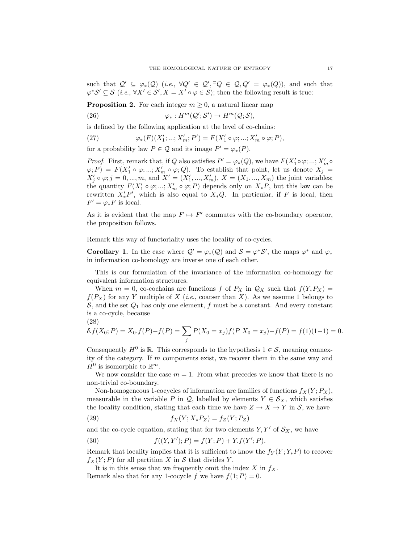such that  $\mathcal{Q}' \subseteq \varphi_*(\mathcal{Q})$  (*i.e.*,  $\forall Q' \in \mathcal{Q}', \exists Q \in \mathcal{Q}, Q' = \varphi_*(Q)$ ), and such that  $\varphi^* \mathcal{S}' \subseteq \mathcal{S}$  (i.e.,  $\forall X' \in \mathcal{S}', X = X' \circ \varphi \in \mathcal{S}$ ); then the following result is true:

**Proposition 2.** For each integer  $m \geq 0$ , a natural linear map

(26)  $\varphi_*: H^m(\mathcal{Q}';\mathcal{S}') \to H^m(\mathcal{Q};\mathcal{S}),$ 

is defined by the following application at the level of co-chains:

(27) 
$$
\varphi_*(F)(X'_1; ...; X'_m; P') = F(X'_1 \circ \varphi; ...; X'_m \circ \varphi; P),
$$

for a probability law  $P \in \mathcal{Q}$  and its image  $P' = \varphi_*(P)$ .

*Proof.* First, remark that, if Q also satisfies  $P' = \varphi_*(Q)$ , we have  $F(X'_1 \circ \varphi; \dots; X'_m \circ$  $(\varphi; P) = F(X'_1 \circ \varphi; ...; X'_m \circ \varphi; Q)$ . To establish that point, let us denote  $X_j =$  $X'_{j} \circ \varphi$ ;  $j = 0, ..., m$ , and  $X' = (X'_{1}, ..., X'_{m})$ ,  $X = (X_{1}, ..., X_{m})$  the joint variables; the quantity  $F(X'_1 \circ \varphi; \ldots; X'_m \circ \varphi; P)$  depends only on  $X_*P$ , but this law can be rewritten  $X_*'P'$ , which is also equal to  $X_*Q$ . In particular, if F is local, then  $F' = \varphi_* F$  is local.

As it is evident that the map  $F \mapsto F'$  commutes with the co-boundary operator, the proposition follows.

Remark this way of functoriality uses the locality of co-cycles.

**Corollary 1.** In the case where  $Q' = \varphi_*(Q)$  and  $S = \varphi^* S'$ , the maps  $\varphi^*$  and  $\varphi_*$ in information co-homology are inverse one of each other.

This is our formulation of the invariance of the information co-homology for equivalent information structures.

When  $m = 0$ , co-cochains are functions f of  $P_X$  in  $\mathcal{Q}_X$  such that  $f(Y_*P_X) =$  $f(P_X)$  for any Y multiple of X (*i.e.*, coarser than X). As we assume 1 belongs to  $S$ , and the set  $Q_1$  has only one element,  $f$  must be a constant. And every constant is a co-cycle, because

$$
(28)
$$

$$
\delta.f(X_0; P) = X_0.f(P) - f(P) = \sum_j P(X_0 = x_j)f(P|X_0 = x_j) - f(P) = f(1)(1-1) = 0.
$$

Consequently  $H^0$  is  $\mathbb R$ . This corresponds to the hypothesis  $1 \in \mathcal S$ , meaning connexity of the category. If m components exist, we recover them in the same way and  $H^0$  is isomorphic to  $\mathbb{R}^m$ .

We now consider the case  $m = 1$ . From what precedes we know that there is no non-trivial co-boundary.

Non-homogeneous 1-cocycles of information are families of functions  $f_X(Y; P_X)$ , measurable in the variable P in Q, labelled by elements  $Y \in S_X$ , which satisfies the locality condition, stating that each time we have  $Z \to X \to Y$  in S, we have

$$
(29) \t\t fX(Y; X_*P_Z) = fZ(Y; P_Z)
$$

and the co-cycle equation, stating that for two elements  $Y, Y'$  of  $S_X$ , we have

<span id="page-18-0"></span>(30) 
$$
f((Y,Y');P) = f(Y;P) + Y.f(Y';P).
$$

Remark that locality implies that it is sufficient to know the  $f_Y(Y; Y_*P)$  to recover  $f_X(Y; P)$  for all partition X in S that divides Y.

It is in this sense that we frequently omit the index  $X$  in  $f_X$ . Remark also that for any 1-cocycle f we have  $f(1; P) = 0$ .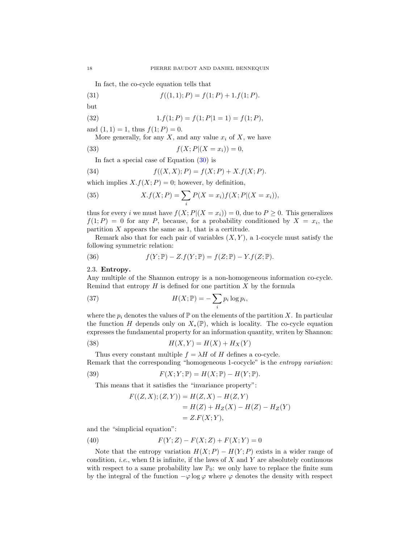In fact, the co-cycle equation tells that

(31) 
$$
f((1,1);P) = f(1;P) + 1.f(1;P).
$$

$$
but
$$

(32) 
$$
1.f(1;P) = f(1;P|1 = 1) = f(1;P),
$$

and  $(1, 1) = 1$ , thus  $f(1; P) = 0$ .

More generally, for any  $X$ , and any value  $x_i$  of  $X$ , we have

(33) 
$$
f(X;P|(X = x_i)) = 0,
$$

<span id="page-19-1"></span>In fact a special case of Equation  $(30)$  is

(34) 
$$
f((X,X);P) = f(X;P) + X.f(X;P).
$$

which implies  $X.f(X; P) = 0$ ; however, by definition,

(35) 
$$
X.f(X; P) = \sum_{i} P(X = x_i) f(X; P | (X = x_i)),
$$

thus for every *i* we must have  $f(X; P|(X = x_i)) = 0$ , due to  $P \ge 0$ . This generalizes  $f(1;P) = 0$  for any P, because, for a probability conditioned by  $X = x_i$ , the partition  $X$  appears the same as 1, that is a certitude.

Remark also that for each pair of variables  $(X, Y)$ , a 1-cocycle must satisfy the following symmetric relation:

<span id="page-19-2"></span>(36) 
$$
f(Y; \mathbb{P}) - Z.f(Y; \mathbb{P}) = f(Z; \mathbb{P}) - Y.f(Z; \mathbb{P}).
$$

<span id="page-19-0"></span>2.3. Entropy.

Any multiple of the Shannon entropy is a non-homogeneous information co-cycle. Remind that entropy  $H$  is defined for one partition  $X$  by the formula

(37) 
$$
H(X; \mathbb{P}) = -\sum_{i} p_i \log p_i,
$$

where the  $p_i$  denotes the values of  $\mathbb P$  on the elements of the partition X. In particular the function H depends only on  $X_*(\mathbb{P})$ , which is locality. The co-cycle equation expresses the fundamental property for an information quantity, writen by Shannon:

$$
(38)\qquad H(X,Y) = H(X) + H_X(Y)
$$

Thus every constant multiple  $f = \lambda H$  of H defines a co-cycle. Remark that the corresponding "homogeneous 1-cocycle" is the *entropy variation*:

(39) 
$$
F(X;Y; \mathbb{P}) = H(X; \mathbb{P}) - H(Y; \mathbb{P}).
$$

This means that it satisfies the "invariance property":

$$
F((Z, X); (Z, Y)) = H(Z, X) - H(Z, Y)
$$
  
= H(Z) + H<sub>Z</sub>(X) - H(Z) - H<sub>Z</sub>(Y)  
= Z.F(X;Y),

and the "simplicial equation":

(40) 
$$
F(Y;Z) - F(X;Z) + F(X;Y) = 0
$$

Note that the entropy variation  $H(X; P) - H(Y; P)$  exists in a wider range of condition, *i.e.*, when  $\Omega$  is infinite, if the laws of X and Y are absolutely continuous with respect to a same probability law  $\mathbb{P}_0$ : we only have to replace the finite sum by the integral of the function  $-\varphi \log \varphi$  where  $\varphi$  denotes the density with respect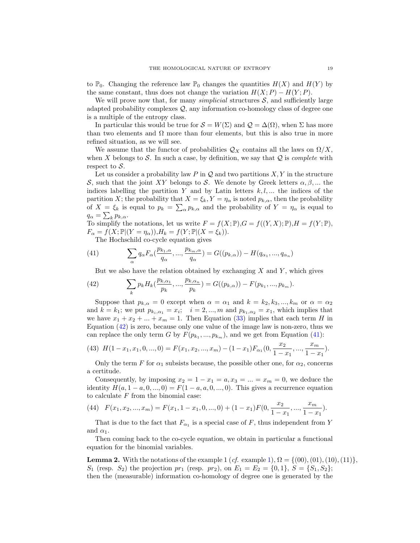to  $\mathbb{P}_0$ . Changing the reference law  $\mathbb{P}_0$  changes the quantities  $H(X)$  and  $H(Y)$  by the same constant, thus does not change the variation  $H(X; P) - H(Y; P)$ .

We will prove now that, for many *simplicial* structures  $S$ , and sufficiently large adapted probability complexes Q, any information co-homology class of degree one is a multiple of the entropy class.

In particular this would be true for  $S = W(\Sigma)$  and  $\mathcal{Q} = \Delta(\Omega)$ , when  $\Sigma$  has more than two elements and  $\Omega$  more than four elements, but this is also true in more refined situation, as we will see.

We assume that the functor of probabilities  $\mathcal{Q}_X$  contains all the laws on  $\Omega/X$ , when X belongs to S. In such a case, by definition, we say that  $Q$  is *complete* with respect to  $S$ .

Let us consider a probability law  $P$  in  $Q$  and two partitions  $X, Y$  in the structure S, such that the joint XY belongs to S. We denote by Greek letters  $\alpha, \beta, ...$  the indices labelling the partition Y and by Latin letters  $k, l, \ldots$  the indices of the partition X; the probability that  $X = \xi_k$ ,  $Y = \eta_\alpha$  is noted  $p_{k,\alpha}$ , then the probability of  $X = \xi_k$  is equal to  $p_k = \sum_{\alpha} p_{k,\alpha}$  and the probability of  $Y = \eta_\alpha$  is equal to  $q_{\alpha} = \sum_{k} p_{k,\alpha}.$ 

To simplify the notations, let us write  $F = f(X; \mathbb{P}), G = f((Y, X); \mathbb{P}), H = f(Y; \mathbb{P}),$  $F_{\alpha} = f(X; \mathbb{P} | (Y = \eta_{\alpha})), H_k = f(Y; \mathbb{P} | (X = \xi_k)).$ 

<span id="page-20-1"></span>The Hochschild co-cycle equation gives

(41) 
$$
\sum_{\alpha} q_{\alpha} F_{\alpha}(\frac{p_{k_1,\alpha}}{q_{\alpha}}, ..., \frac{p_{k_m,\alpha}}{q_{\alpha}}) = G((p_{k,\alpha})) - H(q_{\alpha_1}, ..., q_{\alpha_n})
$$

<span id="page-20-0"></span>But we also have the relation obtained by exchanging  $X$  and  $Y$ , which gives

(42) 
$$
\sum_{k} p_{k} H_{k}(\frac{p_{k,\alpha_1}}{p_k}, ..., \frac{p_{k,\alpha_n}}{p_k}) = G((p_{k,\alpha})) - F(p_{k_1}, ..., p_{k_m}).
$$

Suppose that  $p_{k,\alpha} = 0$  except when  $\alpha = \alpha_1$  and  $k = k_2, k_3, ..., k_m$  or  $\alpha = \alpha_2$ and  $k = k_1$ ; we put  $p_{k_i, \alpha_1} = x_i$ ;  $i = 2, ..., m$  and  $p_{k_1, \alpha_2} = x_1$ , which implies that we have  $x_1 + x_2 + ... + x_m = 1$ . Then Equation [\(33\)](#page-19-1) implies that each term H in Equation [\(42\)](#page-20-0) is zero, because only one value of the image law is non-zero, thus we can replace the only term G by  $F(p_{k_1},...,p_{k_m})$ , and we get from Equation [\(41\)](#page-20-1):

(43) 
$$
H(1-x_1, x_1, 0, ..., 0) = F(x_1, x_2, ..., x_m) - (1-x_1)F_{\alpha_1}(0, \frac{x_2}{1-x_1}, ..., \frac{x_m}{1-x_1}).
$$

Only the term F for  $\alpha_1$  subsists because, the possible other one, for  $\alpha_2$ , concerns a certitude.

Consequently, by imposing  $x_2 = 1 - x_1 = a, x_3 = ... = x_m = 0$ , we deduce the identity  $H(a, 1 - a, 0, ..., 0) = F(1 - a, a, 0, ..., 0)$ . This gives a recurrence equation to calculate  $F$  from the binomial case:

(44) 
$$
F(x_1, x_2, ..., x_m) = F(x_1, 1 - x_1, 0, ..., 0) + (1 - x_1)F(0, \frac{x_2}{1 - x_1}, ..., \frac{x_m}{1 - x_1}).
$$

That is due to the fact that  $F_{\alpha_1}$  is a special case of F, thus independent from Y and  $\alpha_1$ .

Then coming back to the co-cycle equation, we obtain in particular a functional equation for the binomial variables.

<span id="page-20-2"></span>**Lemma 2.** With the notations of the example 1 (*cf.* example [1\)](#page-12-0),  $\Omega = \{(00), (01), (10), (11)\},$  $S_1$  (resp.  $S_2$ ) the projection  $pr_1$  (resp.  $pr_2$ ), on  $E_1 = E_2 = \{0, 1\}$ ,  $S = \{S_1, S_2\}$ ; then the (measurable) information co-homology of degree one is generated by the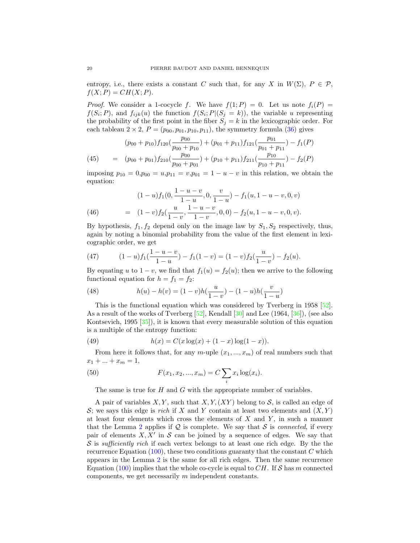entropy, i.e., there exists a constant C such that, for any X in  $W(\Sigma)$ ,  $P \in \mathcal{P}$ ,  $f(X; P) = CH(X; P).$ 

*Proof.* We consider a 1-cocycle f. We have  $f(1; P) = 0$ . Let us note  $f_i(P) =$  $f(S_i; P)$ , and  $f_{ijk}(u)$  the function  $f(S_i; P | (S_j = k))$ , the variable u representing the probability of the first point in the fiber  $S_j = k$  in the lexicographic order. For each tableau  $2 \times 2$ ,  $P = (p_{00}, p_{01}, p_{10}, p_{11})$ , the symmetry formula [\(36\)](#page-19-2) gives

(45) 
$$
(p_{00} + p_{10})f_{120}(\frac{p_{00}}{p_{00} + p_{10}}) + (p_{01} + p_{11})f_{121}(\frac{p_{01}}{p_{01} + p_{11}}) - f_1(P)
$$

$$
= (p_{00} + p_{01})f_{210}(\frac{p_{00}}{p_{00} + p_{01}}) + (p_{10} + p_{11})f_{211}(\frac{p_{10}}{p_{10} + p_{11}}) - f_2(P)
$$

imposing  $p_{10} = 0, p_{00} = u, p_{11} = v, p_{01} = 1 - u - v$  in this relation, we obtain the equation:

(46) 
$$
(1-u)f_1(0, \frac{1-u-v}{1-u}, 0, \frac{v}{1-u}) - f_1(u, 1-u-v, 0, v)
$$

$$
= (1-v)f_2(\frac{u}{1-v}, \frac{1-u-v}{1-v}, 0, 0) - f_2(u, 1-u-v, 0, v).
$$

By hypothesis,  $f_1, f_2$  depend only on the image law by  $S_1, S_2$  respectively, thus, again by noting a binomial probability from the value of the first element in lexicographic order, we get

(47) 
$$
(1-u)f_1(\frac{1-u-v}{1-u}) - f_1(1-v) = (1-v)f_2(\frac{u}{1-v}) - f_2(u).
$$

By equating u to  $1 - v$ , we find that  $f_1(u) = f_2(u)$ ; then we arrive to the following functional equation for  $h = f_1 = f_2$ :

(48) 
$$
h(u) - h(v) = (1 - v)h(\frac{u}{1 - v}) - (1 - u)h(\frac{v}{1 - u})
$$

This is the functional equation which was considered by Tverberg in 1958 [\[52\]](#page-65-11). As a result of the works of Tverberg [\[52\]](#page-65-11), Kendall [\[30\]](#page-64-17) and Lee (1964, [\[36\]](#page-64-18)), (see also Kontsevich, 1995 [\[35\]](#page-64-19)), it is known that every measurable solution of this equation is a multiple of the entropy function:

(49) 
$$
h(x) = C(x \log(x) + (1 - x) \log(1 - x)).
$$

From here it follows that, for any m-uple  $(x_1, ..., x_m)$  of real numbers such that  $x_1 + ... + x_m = 1,$ 

(50) 
$$
F(x_1, x_2, ..., x_m) = C \sum_i x_i \log(x_i).
$$

The same is true for  $H$  and  $G$  with the appropriate number of variables.

A pair of variables  $X, Y$ , such that  $X, Y, (XY)$  belong to S, is called an edge of S; we says this edge is *rich* if X and Y contain at least two elements and  $(X, Y)$ at least four elements which cross the elements of  $X$  and  $Y$ , in such a manner that the Lemma [2](#page-20-2) applies if  $\mathcal Q$  is complete. We say that S is *connected*, if every pair of elements  $X, X'$  in S can be joined by a sequence of edges. We say that  $\mathcal S$  is sufficiently rich if each vertex belongs to at least one rich edge. By the the recurrence Equation  $(100)$ , these two conditions guaranty that the constant C which appears in the Lemma [2](#page-20-2) is the same for all rich edges. Then the same recurrence Equation [\(100\)](#page-40-0) implies that the whole co-cycle is equal to  $CH$ . If S has m connected components, we get necessarily m independent constants.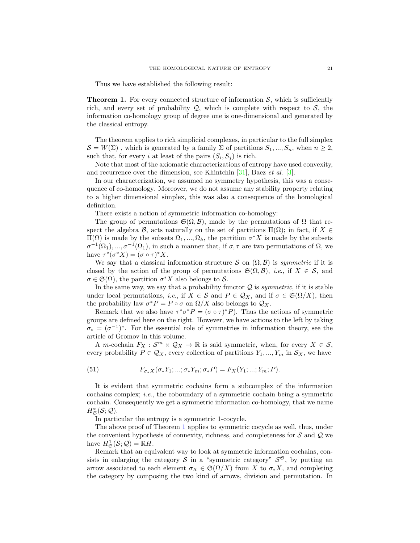Thus we have established the following result:

<span id="page-22-0"></span>**Theorem 1.** For every connected structure of information  $S$ , which is sufficiently rich, and every set of probability  $Q$ , which is complete with respect to  $S$ , the information co-homology group of degree one is one-dimensional and generated by the classical entropy.

The theorem applies to rich simplicial complexes, in particular to the full simplex  $S = W(\Sigma)$ , which is generated by a family  $\Sigma$  of partitions  $S_1, ..., S_n$ , when  $n \geq 2$ , such that, for every i at least of the pairs  $(S_i, S_j)$  is rich.

Note that most of the axiomatic characterizations of entropy have used convexity, and recurrence over the dimension, see Khintchin [\[31\]](#page-64-20), Baez et al. [\[3\]](#page-63-4).

In our characterization, we assumed no symmetry hypothesis, this was a consequence of co-homology. Moreover, we do not assume any stability property relating to a higher dimensional simplex, this was also a consequence of the homological definition.

There exists a notion of symmetric information co-homology:

The group of permutations  $\mathfrak{S}(\Omega,\mathcal{B})$ , made by the permutations of  $\Omega$  that respect the algebra B, acts naturally on the set of partitions  $\Pi(\Omega)$ ; in fact, if  $X \in$  $\Pi(Ω)$  is made by the subsets  $Ω_1, ..., Ω_k$ , the partition  $σ^*X$  is made by the subsets  $\sigma^{-1}(\Omega_1), ..., \sigma^{-1}(\Omega_1)$ , in such a manner that, if  $\sigma, \tau$  are two permutations of  $\Omega$ , we have  $\tau^*(\sigma^* X) = (\sigma \circ \tau)^* X$ .

We say that a classical information structure S on  $(\Omega, \mathcal{B})$  is symmetric if it is closed by the action of the group of permutations  $\mathfrak{S}(\Omega,\mathcal{B})$ , *i.e.*, if  $X \in \mathcal{S}$ , and  $\sigma \in \mathfrak{S}(\Omega)$ , the partition  $\sigma^* X$  also belongs to S.

In the same way, we say that a probability functor  $\mathcal Q$  is *symmetric*, if it is stable under local permutations, *i.e.*, if  $X \in S$  and  $P \in \mathcal{Q}_X$ , and if  $\sigma \in \mathfrak{S}(\Omega/X)$ , then the probability law  $\sigma^* P = P \circ \sigma$  on  $\Omega/X$  also belongs to  $\mathcal{Q}_X$ .

Remark that we also have  $\tau^* \sigma^* P = (\sigma \circ \tau)^* P$ . Thus the actions of symmetric groups are defined here on the right. However, we have actions to the left by taking  $\sigma_* = (\sigma^{-1})^*$ . For the essential role of symmetries in information theory, see the article of Gromov in this volume.

A *m*-cochain  $F_X : \mathcal{S}^m \times \mathcal{Q}_X \to \mathbb{R}$  is said symmetric, when, for every  $X \in \mathcal{S}$ , every probability  $P \in \mathcal{Q}_X$ , every collection of partitions  $Y_1, ..., Y_m$  in  $\mathcal{S}_X$ , we have

(51) 
$$
F_{\sigma_* X}(\sigma_* Y_1; \dots; \sigma_* Y_m; \sigma_* P) = F_X(Y_1; \dots; Y_m; P).
$$

It is evident that symmetric cochains form a subcomplex of the information cochains complex; i.e., the coboundary of a symmetric cochain being a symmetric cochain. Consequently we get a symmetric information co-homology, that we name  $H^*_{\mathfrak{S}}(\mathcal{S};\mathcal{Q}).$ 

In particular the entropy is a symmetric 1-cocycle.

The above proof of Theorem [1](#page-22-0) applies to symmetric cocycle as well, thus, under the convenient hypothesis of connexity, richness, and completeness for  $S$  and  $Q$  we have  $H^1_{\mathfrak{S}}(\mathcal{S};\mathcal{Q}) = \mathbb{R}H$ .

Remark that an equivalent way to look at symmetric information cochains, consists in enlarging the category S in a "symmetric category"  $S^{\mathfrak{S}}$ , by putting an arrow associated to each element  $\sigma_X \in \mathfrak{S}(\Omega/X)$  from X to  $\sigma_* X$ , and completing the category by composing the two kind of arrows, division and permutation. In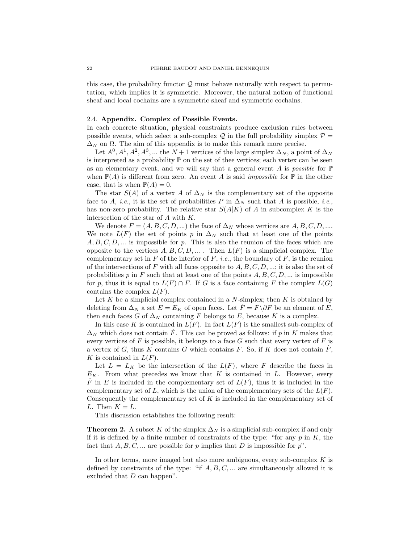this case, the probability functor  $\mathcal{Q}$  must behave naturally with respect to permutation, which implies it is symmetric. Moreover, the natural notion of functional sheaf and local cochains are a symmetric sheaf and symmetric cochains.

# <span id="page-23-0"></span>2.4. Appendix. Complex of Possible Events.

In each concrete situation, physical constraints produce exclusion rules between possible events, which select a sub-complex  $\mathcal{Q}$  in the full probability simplex  $\mathcal{P} =$  $\Delta_N$  on  $\Omega$ . The aim of this appendix is to make this remark more precise.

Let  $A^0, A^1, A^2, A^3, \dots$  the  $N+1$  vertices of the large simplex  $\Delta_N$ , a point of  $\Delta_N$ is interpreted as a probability  $\mathbb P$  on the set of thee vertices; each vertex can be seen as an elementary event, and we will say that a general event A is possible for  $\mathbb P$ when  $\mathbb{P}(A)$  is different from zero. An event A is said *impossible* for  $\mathbb{P}$  in the other case, that is when  $\mathbb{P}(A) = 0$ .

The star  $S(A)$  of a vertex A of  $\Delta_N$  is the complementary set of the opposite face to A, *i.e.*, it is the set of probabilities P in  $\Delta_N$  such that A is possible, *i.e.*, has non-zero probability. The relative star  $S(A|K)$  of A in subcomplex K is the intersection of the star of A with K.

We denote  $F = (A, B, C, D, ...)$  the face of  $\Delta_N$  whose vertices are  $A, B, C, D, ...$ We note  $L(F)$  the set of points p in  $\Delta_N$  such that at least one of the points  $A, B, C, D, \ldots$  is impossible for p. This is also the reunion of the faces which are opposite to the vertices  $A, B, C, D, \ldots$ . Then  $L(F)$  is a simplicial complex. The complementary set in F of the interior of F, *i.e.*, the boundary of F, is the reunion of the intersections of F with all faces opposite to  $A, B, C, D, \ldots$ ; it is also the set of probabilities p in F such that at least one of the points  $A, B, C, D, \dots$  is impossible for p, thus it is equal to  $L(F) \cap F$ . If G is a face containing F the complex  $L(G)$ contains the complex  $L(F)$ .

Let K be a simplicial complex contained in a  $N$ -simplex; then K is obtained by deleting from  $\Delta_N$  a set  $E = E_K$  of open faces. Let  $\overline{F} = F \backslash \partial F$  be an element of E, then each faces G of  $\Delta_N$  containing F belongs to E, because K is a complex.

In this case K is contained in  $L(F)$ . In fact  $L(F)$  is the smallest sub-complex of  $\Delta_N$  which does not contain  $\dot{F}$ . This can be proved as follows: if p in K makes that every vertices of F is possible, it belongs to a face  $G$  such that every vertex of F is a vertex of G, thus K contains G which contains F. So, if K does not contain  $\dot{F}$ , K is contained in  $L(F)$ .

Let  $L = L_K$  be the intersection of the  $L(F)$ , where F describe the faces in  $E_K$ . From what precedes we know that K is contained in L. However, every  $\dot{F}$  in E is included in the complementary set of  $L(F)$ , thus it is included in the complementary set of L, which is the union of the complementary sets of the  $L(F)$ . Consequently the complementary set of  $K$  is included in the complementary set of L. Then  $K = L$ .

This discussion establishes the following result:

**Theorem 2.** A subset K of the simplex  $\Delta_N$  is a simplicial sub-complex if and only if it is defined by a finite number of constraints of the type: "for any  $p$  in  $K$ , the fact that  $A, B, C, \dots$  are possible for p implies that D is impossible for  $p$ ".

In other terms, more imaged but also more ambiguous, every sub-complex  $K$  is defined by constraints of the type: "if  $A, B, C, \ldots$  are simultaneously allowed it is excluded that  $D$  can happen".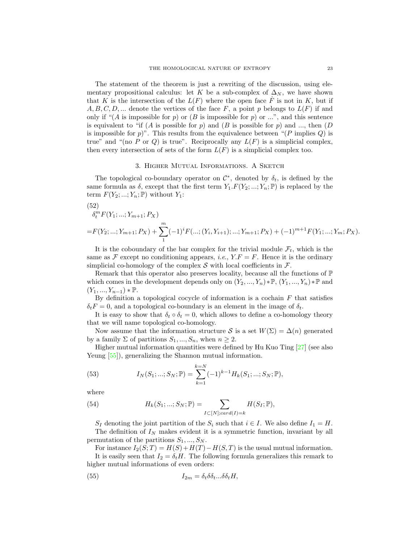The statement of the theorem is just a rewriting of the discussion, using elementary propositional calculus: let K be a sub-complex of  $\Delta_N$ , we have shown that K is the intersection of the  $L(F)$  where the open face  $\dot{F}$  is not in K, but if  $A, B, C, D, \dots$  denote the vertices of the face F, a point p belongs to  $L(F)$  if and only if " $(A \text{ is impossible for } p)$  or  $(B \text{ is impossible for } p)$  or ...", and this sentence is equivalent to "if (A is possible for p) and (B is possible for p) and ..., then  $(D)$ is impossible for p)". This results from the equivalence between " $(P \text{ implies } Q)$  is true" and "(no P or Q) is true". Reciprocally any  $L(F)$  is a simplicial complex, then every intersection of sets of the form  $L(F)$  is a simplicial complex too.

# 3. Higher Mutual Informations. A Sketch

<span id="page-24-0"></span>The topological co-boundary operator on  $\mathcal{C}^*$ , denoted by  $\delta_t$ , is defined by the same formula as  $\delta$ , except that the first term  $Y_1.F(Y_2; ...; Y_n; \mathbb{P})$  is replaced by the term  $F(Y_2; ...; Y_n; \mathbb{P})$  without  $Y_1$ :

(52)  
\n
$$
\delta_t^m F(Y_1; \ldots; Y_{m+1}; P_X)
$$
\n
$$
= F(Y_2; \ldots; Y_{m+1}; P_X) + \sum_{1}^{m} (-1)^i F(\ldots; (Y_i, Y_{i+1}); \ldots; Y_{m+1}; P_X) + (-1)^{m+1} F(Y_1; \ldots; Y_m; P_X).
$$

It is the coboundary of the bar complex for the trivial module  $\mathcal{F}_t$ , which is the same as F except no conditioning appears, *i.e.*,  $Y.F = F$ . Hence it is the ordinary simplicial co-homology of the complex  $S$  with local coefficients in  $\mathcal{F}$ .

Remark that this operator also preserves locality, because all the functions of  $\mathbb P$ which comes in the development depends only on  $(Y_2, ..., Y_n) * \mathbb{P}, (Y_1, ..., Y_n) * \mathbb{P}$  and  $(Y_1, ..., Y_{n-1}) * \mathbb{P}.$ 

By definition a topological cocycle of information is a cochain  $F$  that satisfies  $\delta_t F = 0$ , and a topological co-boundary is an element in the image of  $\delta_t$ .

It is easy to show that  $\delta_t \circ \delta_t = 0$ , which allows to define a co-homology theory that we will name topological co-homology.

Now assume that the information structure S is a set  $W(\Sigma) = \Delta(n)$  generated by a family  $\Sigma$  of partitions  $S_1, ..., S_n$ , when  $n \geq 2$ .

Higher mutual information quantities were defined by Hu Kuo Ting [\[27\]](#page-64-2) (see also Yeung  $[55]$ , generalizing the Shannon mutual information.

(53) 
$$
I_N(S_1; \dots; S_N; \mathbb{P}) = \sum_{k=1}^{k=N} (-1)^{k-1} H_k(S_1; \dots; S_N; \mathbb{P}),
$$

where

(54) 
$$
H_k(S_1; \ldots; S_N; \mathbb{P}) = \sum_{I \subset [N]; card(I) = k} H(S_I; \mathbb{P}),
$$

 $S_I$  denoting the joint partition of the  $S_i$  such that  $i \in I$ . We also define  $I_1 = H$ . The definition of  $I<sub>N</sub>$  makes evident it is a symmetric function, invariant by all permutation of the partitions  $S_1, ..., S_N$ .

For instance  $I_2(S;T) = H(S) + H(T) - H(S,T)$  is the usual mutual information.

It is easily seen that  $I_2 = \delta_t H$ . The following formula generalizes this remark to higher mutual informations of even orders:

<span id="page-24-1"></span>(55) 
$$
I_{2m} = \delta_t \delta \delta_t ... \delta \delta_t H,
$$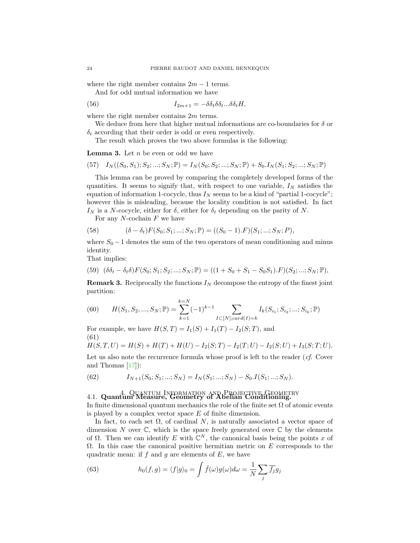where the right member contains  $2m - 1$  terms.

<span id="page-25-2"></span>And for odd mutual information we have

(56) 
$$
I_{2m+1} = -\delta \delta_t \delta \delta_t ... \delta \delta_t H,
$$

where the right member contains  $2m$  terms.

We deduce from here that higher mutual informations are co-boundaries for  $\delta$  or  $\delta_t$  according that their order is odd or even respectively.

The result which proves the two above formulas is the following:

**Lemma 3.** Let  $n$  be even or odd we have

$$
(57) \quad I_N((S_0, S_1); S_2; \dots; S_N; \mathbb{P}) = I_N(S_0; S_2; \dots; S_N; \mathbb{P}) + S_0.I_N(S_1; S_2; \dots; S_N; \mathbb{P})
$$

This lemma can be proved by comparing the completely developed forms of the quantities. It seems to signify that, with respect to one variable,  $I_N$  satisfies the equation of information 1-cocycle, thus  $I_N$  seems to be a kind of "partial 1-cocycle"; however this is misleading, because the locality condition is not satisfied. In fact  $I_N$  is a N-cocycle, either for  $\delta$ , either for  $\delta_t$  depending on the parity of N.

For any  $N$ -cochain  $F$  we have

(58) 
$$
(\delta - \delta_t) F(S_0; S_1; \dots; S_N; \mathbb{P}) = ((S_0 - 1).F)(S_1; \dots; S_N; P),
$$

where  $S_0 - 1$  denotes the sum of the two operators of mean conditioning and minus identity.

That implies:

$$
(59) \quad (\delta \delta_t - \delta_t \delta) F(S_0; S_1; S_2; \dots; S_N; \mathbb{P}) = ((1 + S_0 + S_1 - S_0 S_1).F)(S_2; \dots; S_N; \mathbb{P}),
$$

**Remark 3.** Reciprocally the functions  $I_N$  decompose the entropy of the finest joint partition:

(60) 
$$
H(S_1, S_2, ..., S_N; \mathbb{P}) = \sum_{k=1}^{k=N} (-1)^{k-1} \sum_{I \subset [N]; card(I) = k} I_k(S_{i_1}; S_{i_2}; ...; S_{i_k}; \mathbb{P})
$$

For example, we have  $H(S,T) = I_1(S) + I_1(T) - I_2(S;T)$ , and (61)

$$
H(S,T,U) = H(S) + H(T) + H(U) - I_2(S;T) - I_2(T;U) - I_2(S;U) + I_3(S;T;U).
$$

Let us also note the recurrence formula whose proof is left to the reader  $(cf.$  Cover and Thomas [\[17\]](#page-64-21)):

(62) 
$$
I_{N+1}(S_0; S_1; ...; S_N) = I_N(S_1; ...; S_N) - S_0 \cdot I(S_1; ...; S_N).
$$

# <span id="page-25-1"></span><span id="page-25-0"></span>4. Quantum Information and Projective Geometry 4.1. Quantum Measure, Geometry of Abelian Conditioning.

In finite dimensional quantum mechanics the role of the finite set  $\Omega$  of atomic events is played by a complex vector space  $E$  of finite dimension.

In fact, to each set  $\Omega$ , of cardinal N, is naturally associated a vector space of dimension N over  $\mathbb C$ , which is the space freely generated over  $\mathbb C$  by the elements of  $\Omega$ . Then we can identify E with  $\mathbb{C}^N$ , the canonical basis being the points x of  $\Omega$ . In this case the canonical positive hermitian metric on E corresponds to the quadratic mean: if f and q are elements of  $E$ , we have

(63) 
$$
h_0(f,g) = \langle f|g\rangle_0 = \int \bar{f}(\omega)g(\omega)d\omega = \frac{1}{N}\sum_j \overline{f_j}g_j
$$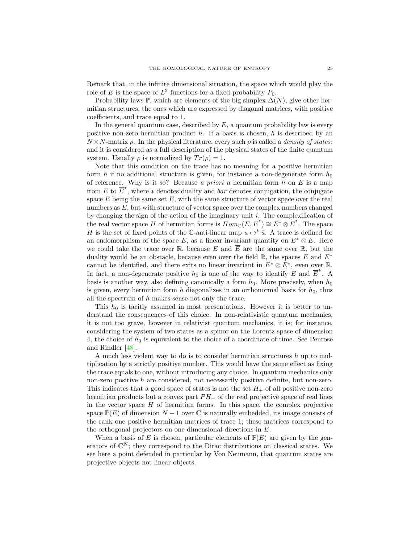Remark that, in the infinite dimensional situation, the space which would play the role of E is the space of  $L^2$  functions for a fixed probability  $P_0$ .

Probability laws  $\mathbb{P}$ , which are elements of the big simplex  $\Delta(N)$ , give other hermitian structures, the ones which are expressed by diagonal matrices, with positive coefficients, and trace equal to 1.

In the general quantum case, described by  $E$ , a quantum probability law is every positive non-zero hermitian product h. If a basis is chosen, h is described by an  $N \times N$ -matrix  $\rho$ . In the physical literature, every such  $\rho$  is called a *density of states*; and it is considered as a full description of the physical states of the finite quantum system. Usually  $\rho$  is normalized by  $Tr(\rho) = 1$ .

Note that this condition on the trace has no meaning for a positive hermitian form h if no additional structure is given, for instance a non-degenerate form  $h_0$ of reference. Why is it so? Because a priori a hermitian form h on E is a map from E to  $\overline{E}^*$ , where  $*$  denotes duality and *bar* denotes conjugation, the conjugate space  $\overline{E}$  being the same set E, with the same structure of vector space over the real numbers as  $E$ , but with structure of vector space over the complex numbers changed by changing the sign of the action of the imaginary unit  $i$ . The complexification of the real vector space H of hermitian forms is  $Hom_{\mathbb{C}}(E, \overline{E}^*) \cong E^* \otimes \overline{E}^*$ . The space H is the set of fixed points of the C-anti-linear map  $u \mapsto t \bar{u}$ . A trace is defined for an endomorphism of the space E, as a linear invariant quantity on  $E^* \otimes E$ . Here we could take the trace over  $\mathbb R$ , because E and  $\overline E$  are the same over  $\mathbb R$ , but the duality would be an obstacle, because even over the field  $\mathbb{R}$ , the spaces E and  $E^*$ cannot be identified, and there exits no linear invariant in  $E^* \otimes \overline{E}^*$ , even over R. In fact, a non-degenerate positive  $h_0$  is one of the way to identify E and  $\overline{E}^*$ . A basis is another way, also defining canonically a form  $h_0$ . More precisely, when  $h_0$ is given, every hermitian form h diagonalizes in an orthonormal basis for  $h_0$ , thus all the spectrum of h makes sense not only the trace.

This  $h_0$  is tacitly assumed in most presentations. However it is better to understand the consequences of this choice. In non-relativistic quantum mechanics, it is not too grave, however in relativist quantum mechanics, it is; for instance, considering the system of two states as a spinor on the Lorentz space of dimension 4, the choice of  $h_0$  is equivalent to the choice of a coordinate of time. See Penrose and Rindler [\[48\]](#page-65-13).

A much less violent way to do is to consider hermitian structures  $h$  up to multiplication by a strictly positive number. This would have the same effect as fixing the trace equals to one, without introducing any choice. In quantum mechanics only non-zero positive h are considered, not necessarily positive definite, but non-zero. This indicates that a good space of states is not the set  $H_+$  of all positive non-zero hermitian products but a convex part  $PH_+$  of the real projective space of real lines in the vector space  $H$  of hermitian forms. In this space, the complex projective space  $\mathbb{P}(E)$  of dimension  $N-1$  over C is naturally embedded, its image consists of the rank one positive hermitian matrices of trace 1; these matrices correspond to the orthogonal projectors on one dimensional directions in E.

When a basis of E is chosen, particular elements of  $\mathbb{P}(E)$  are given by the generators of  $\mathbb{C}^N$ ; they correspond to the Dirac distributions on classical states. We see here a point defended in particular by Von Neumann, that quantum states are projective objects not linear objects.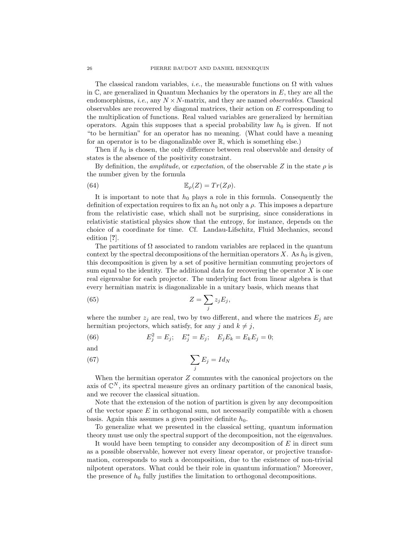The classical random variables, *i.e.*, the measurable functions on  $\Omega$  with values in  $\mathbb{C}$ , are generalized in Quantum Mechanics by the operators in  $E$ , they are all the endomorphisms, *i.e.*, any  $N \times N$ -matrix, and they are named *observables*. Classical observables are recovered by diagonal matrices, their action on E corresponding to the multiplication of functions. Real valued variables are generalized by hermitian operators. Again this supposes that a special probability law  $h_0$  is given. If not "to be hermitian" for an operator has no meaning. (What could have a meaning for an operator is to be diagonalizable over R, which is something else.)

Then if  $h_0$  is chosen, the only difference between real observable and density of states is the absence of the positivity constraint.

By definition, the *amplitude*, or *expectation*, of the observable Z in the state  $\rho$  is the number given by the formula

(64) 
$$
\mathbb{E}_{\rho}(Z) = Tr(Z\rho).
$$

It is important to note that  $h_0$  plays a role in this formula. Consequently the definition of expectation requires to fix an  $h_0$  not only a  $\rho$ . This imposes a departure from the relativistic case, which shall not be surprising, since considerations in relativistic statistical physics show that the entropy, for instance, depends on the choice of a coordinate for time. Cf. Landau-Lifschitz, Fluid Mechanics, second edition [?].

The partitions of  $\Omega$  associated to random variables are replaced in the quantum context by the spectral decompositions of the hermitian operators X. As  $h_0$  is given, this decomposition is given by a set of positive hermitian commuting projectors of sum equal to the identity. The additional data for recovering the operator  $X$  is one real eigenvalue for each projector. The underlying fact from linear algebra is that every hermitian matrix is diagonalizable in a unitary basis, which means that

(65) 
$$
Z = \sum_{j} z_j E_j,
$$

where the number  $z_i$  are real, two by two different, and where the matrices  $E_i$  are hermitian projectors, which satisfy, for any j and  $k \neq j$ ,

(66) 
$$
E_j^2 = E_j; \quad E_j^* = E_j; \quad E_j E_k = E_k E_j = 0;
$$

and

$$
\sum_{j} E_j = Id_N
$$

When the hermitian operator  $Z$  commutes with the canonical projectors on the axis of  $\mathbb{C}^N$ , its spectral measure gives an ordinary partition of the canonical basis, and we recover the classical situation.

Note that the extension of the notion of partition is given by any decomposition of the vector space  $E$  in orthogonal sum, not necessarily compatible with a chosen basis. Again this assumes a given positive definite  $h_0$ .

To generalize what we presented in the classical setting, quantum information theory must use only the spectral support of the decomposition, not the eigenvalues.

It would have been tempting to consider any decomposition of E in direct sum as a possible observable, however not every linear operator, or projective transformation, corresponds to such a decomposition, due to the existence of non-trivial nilpotent operators. What could be their role in quantum information? Moreover, the presence of  $h_0$  fully justifies the limitation to orthogonal decompositions.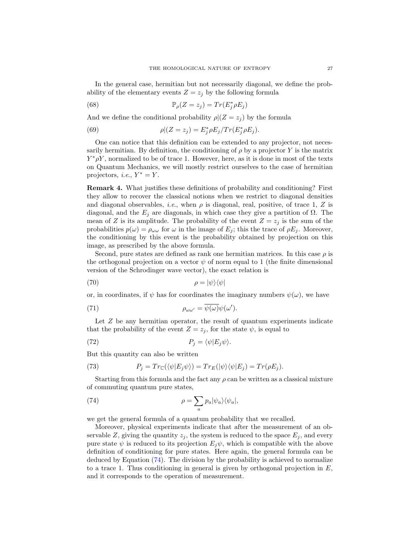In the general case, hermitian but not necessarily diagonal, we define the probability of the elementary events  $Z = z_j$  by the following formula

(68) 
$$
\mathbb{P}_{\rho}(Z=z_j) = Tr(E_j^* \rho E_j)
$$

And we define the conditional probability  $\rho|(Z=z_i)$  by the formula

(69) 
$$
\rho|(Z=z_j) = E_j^* \rho E_j / Tr(E_j^* \rho E_j).
$$

One can notice that this definition can be extended to any projector, not necessarily hermitian. By definition, the conditioning of  $\rho$  by a projector Y is the matrix  $Y^*\rho Y$ , normalized to be of trace 1. However, here, as it is done in most of the texts on Quantum Mechanics, we will mostly restrict ourselves to the case of hermitian projectors, *i.e.*,  $Y^* = Y$ .

Remark 4. What justifies these definitions of probability and conditioning? First they allow to recover the classical notions when we restrict to diagonal densities and diagonal observables, *i.e.*, when  $\rho$  is diagonal, real, positive, of trace 1, Z is diagonal, and the  $E_i$  are diagonals, in which case they give a partition of  $\Omega$ . The mean of Z is its amplitude. The probability of the event  $Z = z_j$  is the sum of the probabilities  $p(\omega) = \rho_{\omega\omega}$  for  $\omega$  in the image of  $E_j$ ; this the trace of  $\rho E_j$ . Moreover, the conditioning by this event is the probability obtained by projection on this image, as prescribed by the above formula.

Second, pure states are defined as rank one hermitian matrices. In this case  $\rho$  is the orthogonal projection on a vector  $\psi$  of norm equal to 1 (the finite dimensional version of the Schrodinger wave vector), the exact relation is

$$
\rho = |\psi\rangle\langle\psi|
$$

or, in coordinates, if  $\psi$  has for coordinates the imaginary numbers  $\psi(\omega)$ , we have

(71) 
$$
\rho_{\omega\omega'} = \overline{\psi(\omega)}\psi(\omega').
$$

Let Z be any hermitian operator, the result of quantum experiments indicate that the probability of the event  $Z = z_i$ , for the state  $\psi$ , is equal to

(72) 
$$
P_j = \langle \psi | E_j \psi \rangle.
$$

But this quantity can also be written

(73) 
$$
P_j = Tr_{\mathbb{C}}(\langle \psi | E_j \psi \rangle) = Tr_E(|\psi\rangle \langle \psi | E_j) = Tr(\rho E_j).
$$

Starting from this formula and the fact any  $\rho$  can be written as a classical mixture of commuting quantum pure states,

<span id="page-28-0"></span>(74) 
$$
\rho = \sum_{a} p_a |\psi_a\rangle \langle \psi_a|,
$$

we get the general formula of a quantum probability that we recalled.

Moreover, physical experiments indicate that after the measurement of an observable Z, giving the quantity  $z_i$ , the system is reduced to the space  $E_i$ , and every pure state  $\psi$  is reduced to its projection  $E_i\psi$ , which is compatible with the above definition of conditioning for pure states. Here again, the general formula can be deduced by Equation [\(74\)](#page-28-0). The division by the probability is achieved to normalize to a trace 1. Thus conditioning in general is given by orthogonal projection in  $E$ , and it corresponds to the operation of measurement.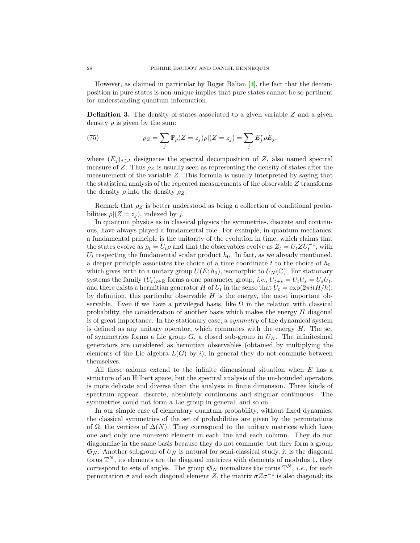However, as claimed in particular by Roger Balian [\[4\]](#page-63-7), the fact that the decomposition in pure states is non-unique implies that pure states cannot be so pertinent for understanding quantum information.

**Definition 3.** The density of states associated to a given variable  $Z$  and a given density  $\rho$  is given by the sum:

(75) 
$$
\rho_Z = \sum_j \mathbb{P}_\rho(Z = z_j) \rho | (Z = z_j) = \sum_j E_j^* \rho E_j,
$$

where  $(E_j)_{j\in J}$  designates the spectral decomposition of Z, also named spectral measure of Z. Thus  $\rho_Z$  is usually seen as representing the density of states after the measurement of the variable Z. This formula is usually interpreted by saying that the statistical analysis of the repeated measurements of the observable Z transforms the density  $\rho$  into the density  $\rho_Z$ .

Remark that  $\rho_Z$  is better understood as being a collection of conditional probabilities  $\rho|(Z=z_i)$ , indexed by j.

In quantum physics as in classical physics the symmetries, discrete and continuous, have always played a fundamental role. For example, in quantum mechanics, a fundamental principle is the unitarity of the evolution in time, which claims that the states evolve as  $\rho_t = U_t \rho$  and that the observables evolve as  $Z_t = U_t Z U_t^{-1}$ , with  $U_t$  respecting the fundamental scalar product  $h_0$ . In fact, as we already mentioned, a deeper principle associates the choice of a time coordinate t to the choice of  $h_0$ , which gives birth to a unitary group  $U(E; h_0)$ , isomorphic to  $U_N(\mathbb{C})$ . For stationary systems the family  $(U_t)_{t \in \mathbb{R}}$  forms a one parameter group, *i.e.*,  $U_{t+s} = U_t U_s = U_s U_t$ , and there exists a hermitian generator H of  $U_t$  in the sense that  $U_t = \exp(2\pi i t H/h);$ by definition, this particular observable  $H$  is the energy, the most important observable. Even if we have a privileged basis, like  $\Omega$  in the relation with classical probability, the consideration of another basis which makes the energy  $H$  diagonal is of great importance. In the stationary case, a symmetry of the dynamical system is defined as any unitary operator, which commutes with the energy  $H$ . The set of symmetries forms a Lie group  $G$ , a closed sub-group in  $U_N$ . The infinitesimal generators are considered as hermitian observables (obtained by multiplying the elements of the Lie algebra  $L(G)$  by i); in general they do not commute between themselves.

All these axioms extend to the infinite dimensional situation when  $E$  has a structure of an Hilbert space, but the spectral analysis of the un-bounded operators is more delicate and diverse than the analysis in finite dimension. Three kinds of spectrum appear, discrete, absolutely continuous and singular continuous. The symmetries could not form a Lie group in general, and so on.

In our simple case of elementary quantum probability, without fixed dynamics, the classical symmetries of the set of probabilities are given by the permutations of  $\Omega$ , the vertices of  $\Delta(N)$ . They correspond to the unitary matrices which have one and only one non-zero element in each line and each column. They do not diagonalize in the same basis because they do not commute, but they form a group  $\mathfrak{S}_N$ . Another subgroup of  $U_N$  is natural for semi-classical study, it is the diagonal torus  $\mathbb{T}^N$ , its elements are the diagonal matrices with elements of modulus 1, they correspond to sets of angles. The group  $\mathfrak{S}_N$  normalizes the torus  $\mathbb{T}^N$ , *i.e.*, for each permutation  $\sigma$  and each diagonal element Z, the matrix  $\sigma Z \sigma^{-1}$  is also diagonal; its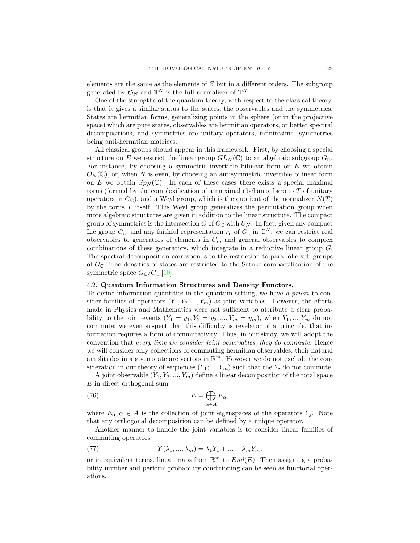elements are the same as the elements of Z but in a different orders. The subgroup generated by  $\mathfrak{S}_N$  and  $\mathbb{T}^N$  is the full normalizer of  $\mathbb{T}^N$ .

One of the strengths of the quantum theory, with respect to the classical theory, is that it gives a similar status to the states, the observables and the symmetries. States are hermitian forms, generalizing points in the sphere (or in the projective space) which are pure states, observables are hermitian operators, or better spectral decompositions, and symmetries are unitary operators, infinitesimal symmetries being anti-hermitian matrices.

All classical groups should appear in this framework. First, by choosing a special structure on E we restrict the linear group  $GL_N(\mathbb{C})$  to an algebraic subgroup  $G_{\mathbb{C}}$ . For instance, by choosing a symmetric invertible bilinear form on  $E$  we obtain  $O<sub>N</sub>(\mathbb{C})$ , or, when N is even, by choosing an antisymmetric invertible bilinear form on E we obtain  $Sp_N(\mathbb{C})$ . In each of these cases there exists a special maximal torus (formed by the complexification of a maximal abelian subgroup  $T$  of unitary operators in  $G_{\mathbb{C}}$ ), and a Weyl group, which is the quotient of the normalizer  $N(T)$ by the torus  $T$  itself. This Weyl group generalizes the permutation group when more algebraic structures are given in addition to the linear structure. The compact group of symmetries is the intersection G of  $G_{\mathbb{C}}$  with  $U_N$ . In fact, given any compact Lie group  $G_c$ , and any faithful representation  $r_c$  of  $G_c$  in  $\mathbb{C}^N$ , we can restrict real observables to generators of elements in  $C_c$ , and general observables to complex combinations of these generators, which integrate in a reductive linear group G. The spectral decomposition corresponds to the restriction to parabolic sub-groups of  $G_{\mathbb{C}}$ . The densities of states are restricted to the Satake compactification of the symmetric space  $G_{\mathbb{C}}/G_c$  [\[10\]](#page-64-22).

### <span id="page-30-0"></span>4.2. Quantum Information Structures and Density Functors.

To define information quantities in the quantum setting, we have a priori to consider families of operators  $(Y_1, Y_2, ..., Y_m)$  as joint variables. However, the efforts made in Physics and Mathematics were not sufficient to attribute a clear probability to the joint events  $(Y_1 = y_1, Y_2 = y_2, ..., Y_m = y_m)$ , when  $Y_1, ..., Y_m$  do not commute; we even suspect that this difficulty is revelator of a principle, that information requires a form of commutativity. Thus, in our study, we will adopt the convention that every time we consider joint observables, they do commute. Hence we will consider only collections of commuting hermitian observables; their natural amplitudes in a given state are vectors in  $\mathbb{R}^m$ . However we do not exclude the consideration in our theory of sequences  $(Y_1; \ldots; Y_m)$  such that the  $Y_i$  do not commute.

A joint observable  $(Y_1, Y_2, ..., Y_m)$  define a linear decomposition of the total space E in direct orthogonal sum

(76) 
$$
E = \bigoplus_{\alpha \in A} E_{\alpha},
$$

where  $E_{\alpha}$ ;  $\alpha \in A$  is the collection of joint eigenspaces of the operators  $Y_i$ . Note that any orthogonal decomposition can be defined by a unique operator.

Another manner to handle the joint variables is to consider linear families of commuting operators

(77) 
$$
Y(\lambda_1, ..., \lambda_m) = \lambda_1 Y_1 + ... + \lambda_m Y_m,
$$

or in equivalent terms, linear maps from  $\mathbb{R}^m$  to  $End(E)$ . Then assigning a probability number and perform probability conditioning can be seen as functorial operations.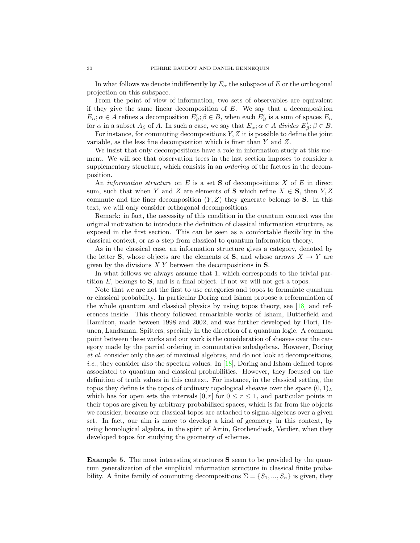In what follows we denote indifferently by  $E_{\alpha}$  the subspace of E or the orthogonal projection on this subspace.

From the point of view of information, two sets of observables are equivalent if they give the same linear decomposition of  $E$ . We say that a decomposition  $E_{\alpha}$ ;  $\alpha \in A$  refines a decomposition  $E_{\beta}'$ ;  $\beta \in B$ , when each  $E_{\beta}'$  is a sum of spaces  $E_{\alpha}$ for  $\alpha$  in a subset  $A_{\beta}$  of A. In such a case, we say that  $E_{\alpha}$ ;  $\alpha \in A$  divides  $E'_{\beta}$ ;  $\beta \in B$ .

For instance, for commuting decompositions  $Y, Z$  it is possible to define the joint variable, as the less fine decomposition which is finer than Y and Z.

We insist that only decompositions have a role in information study at this moment. We will see that observation trees in the last section imposes to consider a supplementary structure, which consists in an *ordering* of the factors in the decomposition.

An *information structure* on E is a set **S** of decompositions X of E in direct sum, such that when Y and Z are elements of S which refine  $X \in S$ , then  $Y, Z$ commute and the finer decomposition  $(Y, Z)$  they generate belongs to **S**. In this text, we will only consider orthogonal decompositions.

Remark: in fact, the necessity of this condition in the quantum context was the original motivation to introduce the definition of classical information structure, as exposed in the first section. This can be seen as a comfortable flexibility in the classical context, or as a step from classical to quantum information theory.

As in the classical case, an information structure gives a category, denoted by the letter **S**, whose objects are the elements of **S**, and whose arrows  $X \to Y$  are given by the divisions  $X|Y$  between the decompositions in S.

In what follows we always assume that 1, which corresponds to the trivial partition  $E$ , belongs to  $S$ , and is a final object. If not we will not get a topos.

Note that we are not the first to use categories and topos to formulate quantum or classical probability. In particular Doring and Isham propose a reformulation of the whole quantum and classical physics by using topos theory, see [\[18\]](#page-64-23) and references inside. This theory followed remarkable works of Isham, Butterfield and Hamilton, made beween 1998 and 2002, and was further developed by Flori, Heunen, Landsman, Spitters, specially in the direction of a quantum logic. A common point between these works and our work is the consideration of sheaves over the category made by the partial ordering in commutative subalgebras. However, Doring et al. consider only the set of maximal algebras, and do not look at decompositions, *i.e.*, they consider also the spectral values. In  $[18]$ , Doring and Isham defined topos associated to quantum and classical probabilities. However, they focused on the definition of truth values in this context. For instance, in the classical setting, the topos they define is the topos of ordinary topological sheaves over the space  $(0, 1)<sub>L</sub>$ which has for open sets the intervals  $[0, r]$  for  $0 \le r \le 1$ , and particular points in their topos are given by arbitrary probabilized spaces, which is far from the objects we consider, because our classical topos are attached to sigma-algebras over a given set. In fact, our aim is more to develop a kind of geometry in this context, by using homological algebra, in the spirit of Artin, Grothendieck, Verdier, when they developed topos for studying the geometry of schemes.

Example 5. The most interesting structures S seem to be provided by the quantum generalization of the simplicial information structure in classical finite probability. A finite family of commuting decompositions  $\Sigma = \{S_1, ..., S_n\}$  is given, they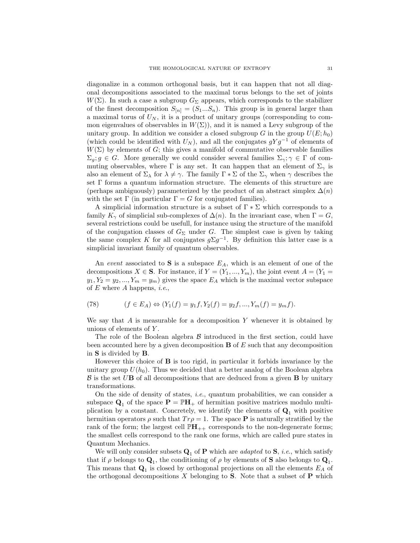diagonalize in a common orthogonal basis, but it can happen that not all diagonal decompositions associated to the maximal torus belongs to the set of joints  $W(\Sigma)$ . In such a case a subgroup  $G_{\Sigma}$  appears, which corresponds to the stabilizer of the finest decomposition  $S_{[n]} = (S_1...S_n)$ . This group is in general larger than a maximal torus of  $U_N$ , it is a product of unitary groups (corresponding to common eigenvalues of observables in  $W(\Sigma)$ , and it is named a Levy subgroup of the unitary group. In addition we consider a closed subgroup G in the group  $U(E; h_0)$ (which could be identified with  $U_N$ ), and all the conjugates  $gYg^{-1}$  of elements of  $W(\Sigma)$  by elements of G; this gives a manifold of commutative observable families  $\Sigma_g$ ;  $g \in G$ . More generally we could consider several families  $\Sigma_\gamma$ ;  $\gamma \in \Gamma$  of commuting observables, where  $\Gamma$  is any set. It can happen that an element of  $\Sigma_{\gamma}$  is also an element of  $\Sigma_{\lambda}$  for  $\lambda \neq \gamma$ . The family  $\Gamma * \Sigma$  of the  $\Sigma_{\gamma}$  when  $\gamma$  describes the set Γ forms a quantum information structure. The elements of this structure are (perhaps ambiguously) parameterized by the product of an abstract simplex  $\Delta(n)$ with the set  $\Gamma$  (in particular  $\Gamma = G$  for conjugated families).

A simplicial information structure is a subset of  $\Gamma * \Sigma$  which corresponds to a family  $K_{\gamma}$  of simplicial sub-complexes of  $\Delta(n)$ . In the invariant case, when  $\Gamma = G$ , several restrictions could be usefull, for instance using the structure of the manifold of the conjugation classes of  $G_{\Sigma}$  under G. The simplest case is given by taking the same complex K for all conjugates  $g\Sigma g^{-1}$ . By definition this latter case is a simplicial invariant family of quantum observables.

An event associated to S is a subspace  $E_A$ , which is an element of one of the decompositions  $X \in \mathbf{S}$ . For instance, if  $Y = (Y_1, ..., Y_m)$ , the joint event  $A = (Y_1 =$  $y_1, Y_2 = y_2, ..., Y_m = y_m$  gives the space  $E_A$  which is the maximal vector subspace of  $E$  where  $A$  happens, *i.e.*,

(78) 
$$
(f \in E_A) \Leftrightarrow (Y_1(f) = y_1 f, Y_2(f) = y_2 f, ..., Y_m(f) = y_m f).
$$

We say that  $A$  is measurable for a decomposition  $Y$  whenever it is obtained by unions of elements of Y .

The role of the Boolean algebra  $\beta$  introduced in the first section, could have been accounted here by a given decomposition  $\bf{B}$  of E such that any decomposition in S is divided by B.

However this choice of  $\bf{B}$  is too rigid, in particular it forbids invariance by the unitary group  $U(h_0)$ . Thus we decided that a better analog of the Boolean algebra  $\beta$  is the set UB of all decompositions that are deduced from a given **B** by unitary transformations.

On the side of density of states, *i.e.*, quantum probabilities, we can consider a subspace  $\mathbf{Q}_1$  of the space  $\mathbf{P} = \mathbb{P}\mathbf{H}_+$  of hermitian positive matrices modulo multiplication by a constant. Concretely, we identify the elements of  $\mathbf{Q}_1$  with positive hermitian operators  $\rho$  such that  $Tr \rho = 1$ . The space **P** is naturally stratified by the rank of the form; the largest cell  $\mathbb{P}H_{++}$  corresponds to the non-degenerate forms; the smallest cells correspond to the rank one forms, which are called pure states in Quantum Mechanics.

We will only consider subsets  $\mathbf{Q}_1$  of **P** which are *adapted* to **S**, *i.e.*, which satisfy that if  $\rho$  belongs to  $\mathbf{Q}_1$ , the conditioning of  $\rho$  by elements of **S** also belongs to  $\mathbf{Q}_1$ . This means that  $\mathbf{Q}_1$  is closed by orthogonal projections on all the elements  $E_A$  of the orthogonal decompositions  $X$  belonging to  $S$ . Note that a subset of  $P$  which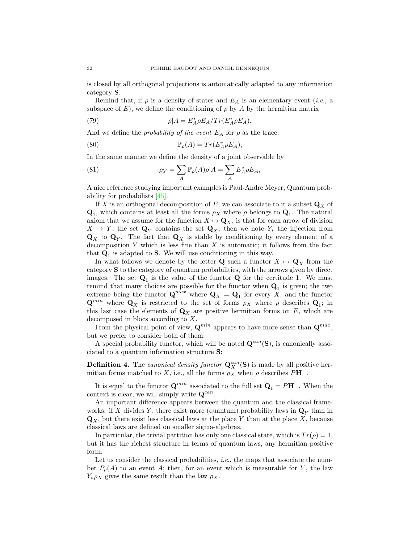is closed by all orthogonal projections is automatically adapted to any information category S.

Remind that, if  $\rho$  is a density of states and  $E_A$  is an elementary event (*i.e.*, a subspace of E), we define the conditioning of  $\rho$  by A by the hermitian matrix

(79) 
$$
\rho|A = E_A^* \rho E_A / Tr(E_A^* \rho E_A).
$$

And we define the *probability of the event*  $E_A$  for  $\rho$  as the trace:

(80) 
$$
\mathbb{P}_{\rho}(A) = Tr(E_A^* \rho E_A),
$$

In the same manner we define the density of a joint observable by

(81) 
$$
\rho_Y = \sum_A \mathbb{P}_{\rho}(A)\rho|A = \sum_A E_A^* \rho E_A,
$$

A nice reference studying important examples is Paul-Andre Meyer, Quantum probability for probabilists [\[45\]](#page-65-14).

If X is an orthogonal decomposition of E, we can associate to it a subset  $\mathbf{Q}_X$  of  $\mathbf{Q}_1$ , which contains at least all the forms  $\rho_X$  where  $\rho$  belongs to  $\mathbf{Q}_1$ . The natural axiom that we assume for the function  $X \mapsto \mathbf{Q}_X$ , is that for each arrow of division  $X \to Y$ , the set  $\mathbf{Q}_Y$  contains the set  $\mathbf{Q}_X$ ; then we note  $Y_*$  the injection from  $\mathbf{Q}_X$  to  $\mathbf{Q}_Y$ . The fact that  $\mathbf{Q}_X$  is stable by conditioning by every element of a decomposition  $Y$  which is less fine than  $X$  is automatic; it follows from the fact that  $\mathbf{Q}_1$  is adapted to **S**. We will use conditioning in this way.

In what follows we denote by the letter Q such a functor  $X \mapsto \mathbf{Q}_X$  from the category S to the category of quantum probabilities, with the arrows given by direct images. The set  $\mathbf{Q}_1$  is the value of the functor  $\mathbf{Q}$  for the certitude 1. We must remind that many choices are possible for the functor when  $Q_1$  is given; the two extreme being the functor  $\mathbf{Q}^{max}$  where  $\mathbf{Q}_X = \mathbf{Q}_1$  for every X, and the functor  $\mathbf{Q}^{min}$  where  $\mathbf{Q}_X$  is restricted to the set of forms  $\rho_X$  where  $\rho$  describes  $\mathbf{Q}_1$ ; in this last case the elements of  $\mathbf{Q}_X$  are positive hermitian forms on E, which are decomposed in blocs according to X.

From the physical point of view,  $\mathbf{Q}^{min}$  appears to have more sense than  $\mathbf{Q}^{max}$ , but we prefer to consider both of them.

A special probability functor, which will be noted  $\mathbf{Q}^{can}(\mathbf{S})$ , is canonically associated to a quantum information structure S:

**Definition 4.** The canonical density functor  $\mathbf{Q}_X^{can}(\mathbf{S})$  is made by all positive hermitian forms matched to X, i.e., all the forms  $\rho_X$  when  $\rho$  describes  $P\mathbf{H}_+$ .

It is equal to the functor  $\mathbf{Q}^{min}$  associated to the full set  $\mathbf{Q}_1 = P\mathbf{H}_+$ . When the context is clear, we will simply write  $\mathbf{Q}^{can}$ .

An important difference appears between the quantum and the classical frameworks: if X divides Y, there exist more (quantum) probability laws in  $\mathbf{Q}_Y$  than in  $\mathbf{Q}_X$ , but there exist less classical laws at the place Y than at the place X, because classical laws are defined on smaller sigma-algebras.

In particular, the trivial partition has only one classical state, which is  $Tr(\rho) = 1$ , but it has the richest structure in terms of quantum laws, any hermitian positive form.

Let us consider the classical probabilities, *i.e.*, the maps that associate the number  $P_o(A)$  to an event A; then, for an event which is measurable for Y, the law  $Y_*\rho_X$  gives the same result than the law  $\rho_X$ .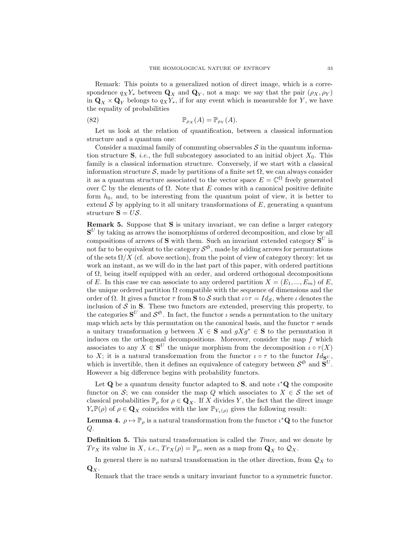Remark: This points to a generalized notion of direct image, which is a correspondence  $q_X Y_*$  between  $\mathbf{Q}_X$  and  $\mathbf{Q}_Y$ , not a map: we say that the pair  $(\rho_X, \rho_Y)$ in  $\mathbf{Q}_X \times \mathbf{Q}_Y$  belongs to  $q_X Y_*$ , if for any event which is measurable for Y, we have the equality of probabilities

(82) 
$$
\mathbb{P}_{\rho_X}(A) = \mathbb{P}_{\rho_Y}(A).
$$

Let us look at the relation of quantification, between a classical information structure and a quantum one:

Consider a maximal family of commuting observables  $S$  in the quantum information structure  $S$ , *i.e.*, the full subcategory associated to an initial object  $X_0$ . This family is a classical information structure. Conversely, if we start with a classical information structure S, made by partitions of a finite set  $\Omega$ , we can always consider it as a quantum structure associated to the vector space  $E = \mathbb{C}^{\Omega}$  freely generated over  $\mathbb C$  by the elements of  $\Omega$ . Note that E comes with a canonical positive definite form  $h_0$ , and, to be interesting from the quantum point of view, it is better to extend  $\mathcal S$  by applying to it all unitary transformations of  $E$ , generating a quantum structure  $S = U\mathcal{S}$ .

Remark 5. Suppose that S is unitary invariant, we can define a larger category  $S<sup>U</sup>$  by taking as arrows the isomorphisms of ordered decomposition, and close by all compositions of arrows of **S** with them. Such an invariant extended category  $S^U$  is not far to be equivalent to the category  $S^{\mathfrak{S}},$  made by adding arrows for permutations of the sets  $\Omega/X$  (cf. above section), from the point of view of category theory: let us work an instant, as we will do in the last part of this paper, with ordered partitions of  $\Omega$ , being itself equipped with an order, and ordered orthogonal decompositions of E. In this case we can associate to any ordered partition  $X = (E_1, ..., E_m)$  of E, the unique ordered partition  $\Omega$  compatible with the sequence of dimensions and the order of  $\Omega$ . It gives a functor  $\tau$  from **S** to S such that  $\iota \circ \tau = Id_{\mathcal{S}}$ , where  $\iota$  denotes the inclusion of  $\mathcal S$  in  $S$ . These two functors are extended, preserving this property, to the categories  $S^U$  and  $S^{\mathfrak{S}}$ . In fact, the functor  $\iota$  sends a permutation to the unitary map which acts by this permutation on the canonical basis, and the functor  $\tau$  sends a unitary transformation g between  $X \in \mathbf{S}$  and  $gXg^* \in \mathbf{S}$  to the permutation it induces on the orthogonal decompositions. Moreover, consider the map  $f$  which associates to any  $X \in S^U$  the unique morphism from the decomposition  $\iota \circ \tau(X)$ to X; it is a natural transformation from the functor  $\iota \circ \tau$  to the functor  $Id_{\mathbf{S}^U}$ , which is invertible, then it defines an equivalence of category between  $S^{\mathfrak{S}}$  and  $S^U$ . However a big difference begins with probability functors.

Let Q be a quantum density functor adapted to S, and note  $\iota^*{\bf Q}$  the composite functor on S; we can consider the map Q which associates to  $X \in \mathcal{S}$  the set of classical probabilities  $\mathbb{P}_{\rho}$  for  $\rho \in \mathbf{Q}_X$ . If X divides Y, the fact that the direct image  $Y_*\mathbb{P}(\rho)$  of  $\rho \in \mathbf{Q}_X$  coincides with the law  $\mathbb{P}_{Y_*(\rho)}$  gives the following result:

<span id="page-34-0"></span>**Lemma 4.**  $\rho \mapsto \mathbb{P}_{\rho}$  is a natural transformation from the functor  $\iota^* \mathbf{Q}$  to the functor Q.

Definition 5. This natural transformation is called the Trace, and we denote by  $Tr_X$  its value in X, i.e.,  $Tr_X(\rho) = \mathbb{P}_{\rho}$ , seen as a map from  $\mathbf{Q}_X$  to  $\mathcal{Q}_X$ .

In general there is no natural transformation in the other direction, from  $\mathcal{Q}_X$  to  $\mathbf{Q}_X$ .

Remark that the trace sends a unitary invariant functor to a symmetric functor.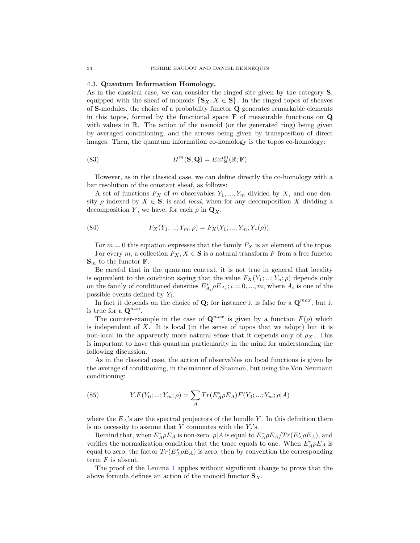#### <span id="page-35-0"></span>4.3. Quantum Information Homology.

As in the classical case, we can consider the ringed site given by the category S, equipped with the sheaf of monoids  $\{S_X; X \in \mathbf{S}\}\$ . In the ringed topos of sheaves of S-modules, the choice of a probability functor Q generates remarkable elements in this topos, formed by the functional space  $\bf{F}$  of measurable functions on  $\bf{Q}$ with values in  $\mathbb R$ . The action of the monoid (or the generated ring) being given by averaged conditioning, and the arrows being given by transposition of direct images. Then, the quantum information co-homology is the topos co-homology:

(83) 
$$
H^m(\mathbf{S}, \mathbf{Q}) = Ext^m_{\mathbf{S}}(\mathbb{R}; \mathbf{F})
$$

However, as in the classical case, we can define directly the co-homology with a bar resolution of the constant sheaf, as follows:

A set of functions  $F_X$  of m observables  $Y_1, ..., Y_m$  divided by X, and one density  $\rho$  indexed by  $X \in \mathbf{S}$ , is said *local*, when for any decomposition X dividing a decomposition Y, we have, for each  $\rho$  in  $\mathbf{Q}_X$ ,

(84) 
$$
F_X(Y_1; ...; Y_m; \rho) = F_X(Y_1; ...; Y_m; Y_*(\rho)).
$$

For  $m = 0$  this equation expresses that the family  $F_X$  is an element of the topos. For every m, a collection  $F_X, X \in \mathbf{S}$  is a natural transform F from a free functor  $\mathbf{S}_m$  to the functor **F**.

Be careful that in the quantum context, it is not true in general that locality is equivalent to the condition saying that the value  $F_X(Y_1; \ldots; Y_n; \rho)$  depends only on the family of conditioned densities  $E_{A_i}^* \rho E_{A_i}$ ;  $i = 0, ..., m$ , where  $A_i$  is one of the possible events defined by  $Y_i$ .

In fact it depends on the choice of  $\mathbf{Q}$ ; for instance it is false for a  $\mathbf{Q}^{max}$ , but it is true for a  $\mathbf{Q}^{min}$ .

The counter-example in the case of  $\mathbf{Q}^{max}$  is given by a function  $F(\rho)$  which is independent of X. It is local (in the sense of topos that we adopt) but it is non-local in the apparently more natural sense that it depends only of  $\rho_X$ . This is important to have this quantum particularity in the mind for understanding the following discussion.

As in the classical case, the action of observables on local functions is given by the average of conditioning, in the manner of Shannon, but using the Von Neumann conditioning:

(85) 
$$
Y.F(Y_0; ...; Y_m; \rho) = \sum_{A} Tr(E_A^* \rho E_A) F(Y_0; ...; Y_m; \rho | A)
$$

where the  $E_A$ 's are the spectral projectors of the bundle Y. In this definition there is no necessity to assume that Y commutes with the  $Y_j$ 's.

Remind that, when  $E_A^* \rho E_A$  is non-zero,  $\rho | A$  is equal to  $E_A^* \rho E_A / Tr(E_A^* \rho E_A)$ , and verifies the normalization condition that the trace equals to one. When  $E_A^* \rho E_A$  is equal to zero, the factor  $Tr(E_A^*\rho E_A)$  is zero, then by convention the corresponding term  $F$  is absent.

The proof of the Lemma [1](#page-14-1) applies without significant change to prove that the above formula defines an action of the monoid functor  $S_X$ .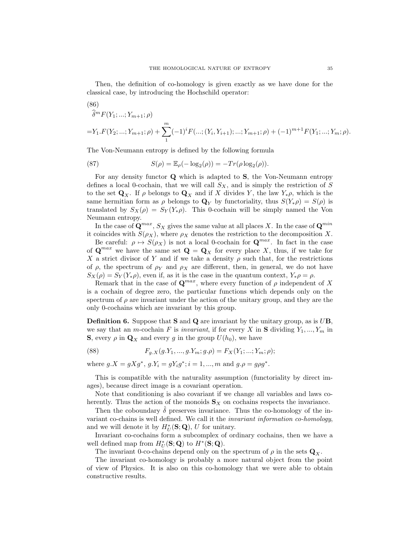Then, the definition of co-homology is given exactly as we have done for the classical case, by introducing the Hochschild operator:

(86)  
\n
$$
\hat{\delta}^m F(Y_1; \dots; Y_{m+1}; \rho)
$$
\n
$$
= Y_1.F(Y_2; \dots; Y_{m+1}; \rho) + \sum_{1}^{m} (-1)^i F(\dots; (Y_i, Y_{i+1}); \dots; Y_{m+1}; \rho) + (-1)^{m+1} F(Y_1; \dots; Y_m; \rho).
$$

The Von-Neumann entropy is defined by the following formula

(87) 
$$
S(\rho) = \mathbb{E}_{\rho}(-\log_2(\rho)) = -Tr(\rho \log_2(\rho)).
$$

For any density functor Q which is adapted to S, the Von-Neumann entropy defines a local 0-cochain, that we will call  $S_X$ , and is simply the restriction of S to the set  $\mathbf{Q}_X$ . If  $\rho$  belongs to  $\mathbf{Q}_X$  and if X divides Y, the law  $Y_*\rho$ , which is the same hermitian form as  $\rho$  belongs to  $\mathbf{Q}_Y$  by functoriality, thus  $S(Y_*\rho) = S(\rho)$  is translated by  $S_X(\rho) = S_Y(Y_*\rho)$ . This 0-cochain will be simply named the Von Neumann entropy.

In the case of  $\mathbf{Q}^{max}$ ,  $S_X$  gives the same value at all places X. In the case of  $\mathbf{Q}^{min}$ it coincides with  $S(\rho_X)$ , where  $\rho_X$  denotes the restriction to the decomposition X.

Be careful:  $\rho \mapsto S(\rho_X)$  is not a local 0-cochain for  $\mathbf{Q}^{max}$ . In fact in the case of  $\mathbf{Q}^{max}$  we have the same set  $\mathbf{Q} = \mathbf{Q}_X$  for every place X, thus, if we take for X a strict divisor of Y and if we take a density  $\rho$  such that, for the restrictions of  $\rho$ , the spectrum of  $\rho_Y$  and  $\rho_X$  are different, then, in general, we do not have  $S_X(\rho) = S_Y(Y_*\rho)$ , even if, as it is the case in the quantum context,  $Y_*\rho = \rho$ .

Remark that in the case of  $\mathbf{Q}^{max}$ , where every function of  $\rho$  independent of X is a cochain of degree zero, the particular functions which depends only on the spectrum of  $\rho$  are invariant under the action of the unitary group, and they are the only 0-cochains which are invariant by this group.

**Definition 6.** Suppose that **S** and **Q** are invariant by the unitary group, as is  $UB$ , we say that an *m*-cochain F is *invariant*, if for every X in S dividing  $Y_1, ..., Y_m$  in **S**, every  $\rho$  in  $\mathbf{Q}_X$  and every g in the group  $U(h_0)$ , we have

(88) 
$$
F_{g.X}(g.Y_1,...,g.Y_m; g.\rho) = F_X(Y_1; ...; Y_m; \rho);
$$

where  $g.X = gXg^*, g.Y_i = gY_ig^*; i = 1, ..., m$  and  $g.\rho = g\rho g^*$ .

This is compatible with the naturality assumption (functoriality by direct images), because direct image is a covariant operation.

Note that conditioning is also covariant if we change all variables and laws coherently. Thus the action of the monoids  $S_X$  on cochains respects the invariance.

Then the coboundary  $\hat{\delta}$  preserves invariance. Thus the co-homology of the invariant co-chains is well defined. We call it the invariant information co-homology, and we will denote it by  $H^*_{U}(\mathbf{S};\mathbf{Q}), U$  for unitary.

Invariant co-cochains form a subcomplex of ordinary cochains, then we have a well defined map from  $H^*_{U}(\mathbf{S};\mathbf{Q})$  to  $H^*(\mathbf{S};\mathbf{Q})$ .

The invariant 0-co-chains depend only on the spectrum of  $\rho$  in the sets  $\mathbf{Q}_x$ .

The invariant co-homology is probably a more natural object from the point of view of Physics. It is also on this co-homology that we were able to obtain constructive results.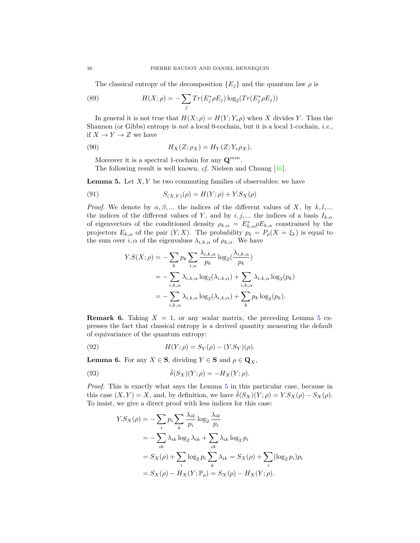The classical entropy of the decomposition  ${E_i}$  and the quantum law  $\rho$  is

(89) 
$$
H(X; \rho) = -\sum_{j} Tr(E_{j}^{*} \rho E_{j}) \log_{2}(Tr(E_{j}^{*} \rho E_{j}))
$$

In general it is not true that  $H(X; \rho) = H(Y; Y_*\rho)$  when X divides Y. Thus the Shannon (or Gibbs) entropy is not a local 0-cochain, but it is a local 1-cochain, *i.e.*, if  $X \to Y \to Z$  we have

(90) 
$$
H_X(Z; \rho_X) = H_Y(Z; Y_*\rho_X),
$$

Moreover it is a spectral 1-cochain for any  $\mathbf{Q}^{min}$ .

The following result is well known,  $cf.$  Nielsen and Chuang  $[46]$ .

<span id="page-37-0"></span>**Lemma 5.** Let  $X, Y$  be two commuting families of observables; we have

(91) 
$$
S_{(X,Y)}(\rho) = H(Y;\rho) + Y.S_X(\rho)
$$

*Proof.* We denote by  $\alpha, \beta, ...$  the indices of the different values of X, by k,l,... the indices of the different values of Y, and by  $i, j, ...$  the indices of a basis  $I_{k,\alpha}$ of eigenvectors of the conditioned density  $\rho_{k,\alpha} = E_{k,\alpha}^* \rho E_{k,\alpha}$  constrained by the projectors  $E_{k,\alpha}$  of the pair  $(Y, X)$ . The probability  $p_k = P_{\rho}(X = \xi_k)$  is equal to the sum over  $i, \alpha$  of the eigenvalues  $\lambda_{i,k,\alpha}$  of  $\rho_{k,\alpha}$ . We have

$$
Y.S(X; \rho) = -\sum_{k} p_k \sum_{i,\alpha} \frac{\lambda_{i,k,\alpha}}{p_k} \log_2(\frac{\lambda_{i,k,\alpha}}{p_k})
$$
  
= 
$$
-\sum_{i,k,\alpha} \lambda_{i,k,\alpha} \log_2(\lambda_{i,k,\alpha}) + \sum_{i,k,\alpha} \lambda_{i,k,\alpha} \log_2(p_k)
$$
  
= 
$$
-\sum_{i,k,\alpha} \lambda_{i,k,\alpha} \log_2(\lambda_{i,k,\alpha}) + \sum_{k} p_k \log_2(p_k).
$$

**Remark 6.** Taking  $X = 1$ , or any scalar matrix, the preceding Lemma [5](#page-37-0) expresses the fact that classical entropy is a derived quantity measuring the default of equivariance of the quantum entropy:

(92) 
$$
H(Y; \rho) = S_Y(\rho) - (Y.S_Y)(\rho).
$$

<span id="page-37-1"></span>**Lemma 6.** For any  $X \in \mathbf{S}$ , dividing  $Y \in \mathbf{S}$  and  $\rho \in \mathbf{Q}_X$ ,

(93) 
$$
\hat{\delta}(S_X)(Y;\rho) = -H_X(Y;\rho).
$$

Proof. This is exactly what says the Lemma [5](#page-37-0) in this particular case, because in this case  $(X, Y) = X$ , and, by definition, we have  $\delta(S_X)(Y; \rho) = Y.S_X(\rho) - S_X(\rho)$ . To insist, we give a direct proof with less indices for this case:

$$
Y.S_X(\rho) = -\sum_i p_i \sum_k \frac{\lambda_{ik}}{p_i} \log_2 \frac{\lambda_{ik}}{p_i}
$$
  
= 
$$
-\sum_{ik} \lambda_{ik} \log_2 \lambda_{ik} + \sum_{ik} \lambda_{ik} \log_2 p_i
$$
  
= 
$$
S_X(\rho) + \sum_i \log_2 p_i \sum_k \lambda_{ik} = S_X(\rho) + \sum_i (\log_2 p_i) p_i
$$
  
= 
$$
S_X(\rho) - H_X(Y; \mathbb{P}_\rho) = S_X(\rho) - H_X(Y; \rho).
$$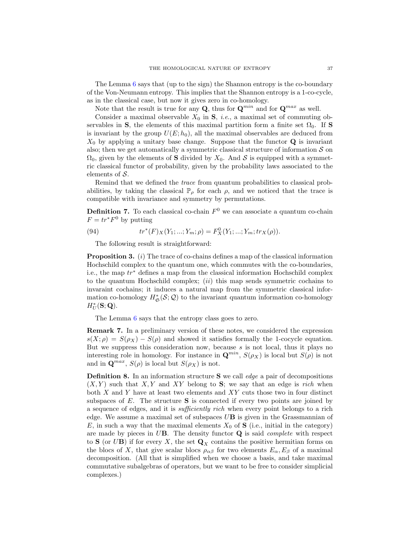The Lemma  $6$  says that (up to the sign) the Shannon entropy is the co-boundary of the Von-Neumann entropy. This implies that the Shannon entropy is a 1-co-cycle, as in the classical case, but now it gives zero in co-homology.

Note that the result is true for any **Q**, thus for  $\mathbf{Q}^{min}$  and for  $\mathbf{Q}^{max}$  as well.

Consider a maximal observable  $X_0$  in  $S$ , *i.e.*, a maximal set of commuting observables in S, the elements of this maximal partition form a finite set  $\Omega_0$ . If S is invariant by the group  $U(E; h_0)$ , all the maximal observables are deduced from  $X_0$  by applying a unitary base change. Suppose that the functor  $\bf{Q}$  is invariant also; then we get automatically a symmetric classical structure of information  $S$  on  $\Omega_0$ , given by the elements of S divided by  $X_0$ . And S is equipped with a symmetric classical functor of probability, given by the probability laws associated to the elements of  $S$ .

Remind that we defined the trace from quantum probabilities to classical probabilities, by taking the classical  $\mathbb{P}_{\rho}$  for each  $\rho$ , and we noticed that the trace is compatible with invariance and symmetry by permutations.

**Definition 7.** To each classical co-chain  $F^0$  we can associate a quantum co-chain  $F = tr^*F^0$  by putting

(94) 
$$
tr^*(F)_X(Y_1; ...; Y_m; \rho) = F_X^0(Y_1; ...; Y_m; tr_X(\rho)).
$$

The following result is straightforward:

<span id="page-38-0"></span>**Proposition 3.** (i) The trace of co-chains defines a map of the classical information Hochschild complex to the quantum one, which commutes with the co-boundaries, i.e., the map tr<sup>∗</sup> defines a map from the classical information Hochschild complex to the quantum Hochschild complex;  $(ii)$  this map sends symmetric cochains to invaraint cochains; it induces a natural map from the symmetric classical information co-homology  $H^*_{\mathfrak{S}}(\mathcal{S};\mathcal{Q})$  to the invariant quantum information co-homology  $H_U^*(\mathbf{S};\mathbf{Q})$ .

The Lemma [6](#page-37-1) says that the entropy class goes to zero.

Remark 7. In a preliminary version of these notes, we considered the expression  $s(X; \rho) = S(\rho_X) - S(\rho)$  and showed it satisfies formally the 1-cocycle equation. But we suppress this consideration now, because  $s$  is not local, thus it plays no interesting role in homology. For instance in  $\mathbf{Q}^{min}$ ,  $S(\rho_X)$  is local but  $S(\rho)$  is not and in  $\mathbf{Q}^{max}$ ,  $S(\rho)$  is local but  $S(\rho_X)$  is not.

Definition 8. In an information structure S we call edge a pair of decompositions  $(X, Y)$  such that X, Y and XY belong to S; we say that an edge is rich when both  $X$  and  $Y$  have at least two elements and  $XY$  cuts those two in four distinct subspaces of  $E$ . The structure  $S$  is connected if every two points are joined by a sequence of edges, and it is sufficiently rich when every point belongs to a rich edge. We assume a maximal set of subspaces  $UB$  is given in the Grassmannian of E, in such a way that the maximal elements  $X_0$  of **S** (i.e., initial in the category) are made by pieces in  $U$ **B**. The density functor  $Q$  is said *complete* with respect to S (or UB) if for every X, the set  $\mathbf{Q}_X$  contains the positive hermitian forms on the blocs of X, that give scalar blocs  $\rho_{\alpha\beta}$  for two elements  $E_{\alpha}$ ,  $E_{\beta}$  of a maximal decomposition. (All that is simplified when we choose a basis, and take maximal commutative subalgebras of operators, but we want to be free to consider simplicial complexes.)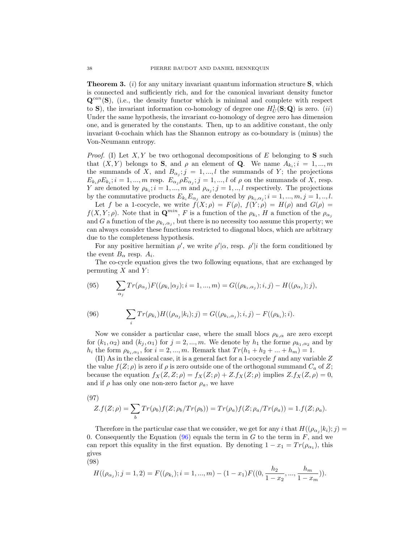<span id="page-39-0"></span>**Theorem 3.** (i) for any unitary invariant quantum information structure  $S$ , which is connected and sufficiently rich, and for the canonical invariant density functor  $\mathbf{Q}^{can}(\mathbf{S})$ , (i.e., the density functor which is minimal and complete with respect to S), the invariant information co-homology of degree one  $H_U^1(S; Q)$  is zero. (ii) Under the same hypothesis, the invariant co-homology of degree zero has dimension one, and is generated by the constants. Then, up to an additive constant, the only invariant 0-cochain which has the Shannon entropy as co-boundary is (minus) the Von-Neumann entropy.

*Proof.* (I) Let  $X, Y$  be two orthogonal decompositions of E belonging to S such that  $(X, Y)$  belongs to **S**, and  $\rho$  an element of **Q**. We name  $A_{k_i}; i = 1, ..., m$ the summands of X, and  $B_{\alpha_j}; j = 1,...,l$  the summands of Y; the projections  $E_{k_i} \rho E_{k_i}; i = 1, ..., m$  resp.  $E_{\alpha_j} \rho E_{\alpha_j}; j = 1, ..., l$  of  $\rho$  on the summands of X, resp. Y are denoted by  $\rho_{k_i}; i = 1, ..., m$  and  $\rho_{\alpha_j}; j = 1, ..., l$  respectively. The projections by the commutative products  $E_{k_i} E_{\alpha_j}$  are denoted by  $\rho_{k_i,\alpha_j}$ ;  $i = 1, ..., m, j = 1, ..., l$ .

Let f be a 1-cocycle, we write  $f(X; \rho) = F(\rho)$ ,  $f(Y; \rho) = H(\rho)$  and  $G(\rho) =$  $f(X, Y; \rho)$ . Note that in  $\mathbf{Q}^{min}$ , F is a function of the  $\rho_{k_i}$ , H a function of the  $\rho_{\alpha_j}$ and G a function of the  $\rho_{k_i,\alpha_j}$ , but there is no necessity too assume this property; we can always consider these functions restricted to diagonal blocs, which are arbitrary due to the completeness hypothesis.

For any positive hermitian  $\rho'$ , we write  $\rho'|\alpha$ , resp.  $\rho'|i$  the form conditioned by the event  $B_{\alpha}$  resp.  $A_i$ .

The co-cycle equation gives the two following equations, that are exchanged by permuting  $X$  and  $Y$ :

(95) 
$$
\sum_{\alpha_j} Tr(\rho_{\alpha_j}) F((\rho_{k_i} | \alpha_j); i = 1, ..., m) = G((\rho_{k_i, \alpha_j}); i, j) - H((\rho_{\alpha_j}); j),
$$

<span id="page-39-1"></span>(96) 
$$
\sum_{i} Tr(\rho_{k_i}) H((\rho_{\alpha_j}|k_i);j) = G((\rho_{k_i,\alpha_j});i,j) - F((\rho_{k_i});i).
$$

Now we consider a particular case, where the small blocs  $\rho_{k,\alpha}$  are zero except for  $(k_1, \alpha_2)$  and  $(k_j, \alpha_1)$  for  $j = 2, ..., m$ . We denote by  $h_1$  the forme  $\rho_{k_1, \alpha_2}$  and by  $h_i$  the form  $\rho_{k_i,\alpha_1}$ , for  $i = 2,...,m$ . Remark that  $Tr(h_1 + h_2 + ... + h_m) = 1$ .

(II) As in the classical case, it is a general fact for a 1-cocycle  $f$  and any variable  $Z$ the value  $f(Z; \rho)$  is zero if  $\rho$  is zero outside one of the orthogonal summand  $C_a$  of  $Z$ ; because the equation  $f_X(Z, Z; \rho) = f_X(Z; \rho) + Z.f_X(Z; \rho)$  implies  $Z.f_X(Z, \rho) = 0$ , and if  $\rho$  has only one non-zero factor  $\rho_a$ , we have

(97)

$$
Z.f(Z; \rho) = \sum_{b} Tr(\rho_b) f(Z; \rho_b / Tr(\rho_b)) = Tr(\rho_a) f(Z; \rho_a / Tr(\rho_a)) = 1.f(Z; \rho_a).
$$

Therefore in the particular case that we consider, we get for any i that  $H((\rho_{\alpha_j}|k_i); j) =$ 0. Consequently the Equation  $(96)$  equals the term in G to the term in F, and we can report this equality in the first equation. By denoting  $1 - x_1 = Tr(\rho_{\alpha_1})$ , this gives

(98)

$$
H((\rho_{\alpha_j}); j = 1, 2) = F((\rho_{k_i}); i = 1, ..., m) - (1 - x_1)F((0, \frac{h_2}{1 - x_2}, ..., \frac{h_m}{1 - x_m})).
$$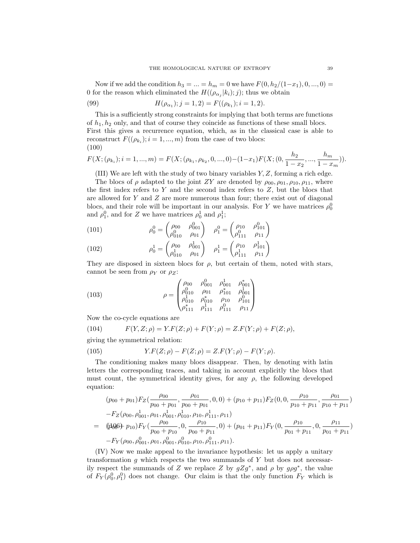Now if we add the condition  $h_3 = ... = h_m = 0$  we have  $F(0, h_2/(1-x_1), 0, ..., 0) =$ 0 for the reason which eliminated the  $H((\rho_{\alpha_j}|k_i);j)$ ; thus we obtain

(99) 
$$
H(\rho_{\alpha_1}); j = 1, 2) = F((\rho_{k_1}); i = 1, 2).
$$

This is a sufficiently strong constraints for implying that both terms are functions of  $h_1, h_2$  only, and that of course they coincide as functions of these small blocs. First this gives a recurrence equation, which, as in the classical case is able to reconstruct  $F((\rho_{k_i}); i = 1, ..., m)$  from the case of two blocs: (100)

<span id="page-40-0"></span>
$$
F(X; (\rho_{k_i}); i = 1, ..., m) = F(X; (\rho_{k_1}, \rho_{k_2}, 0, ..., 0) - (1 - x_1)F(X; (0, \frac{h_2}{1 - x_2}, ..., \frac{h_m}{1 - x_m})).
$$

(III) We are left with the study of two binary variables Y, Z, forming a rich edge.

The blocs of  $\rho$  adapted to the joint ZY are denoted by  $\rho_{00}, \rho_{01}, \rho_{10}, \rho_{11}$ , where the first index refers to  $Y$  and the second index refers to  $Z$ , but the blocs that are allowed for  $Y$  and  $Z$  are more numerous than four; there exist out of diagonal blocs, and their role will be important in our analysis. For Y we have matrices  $\rho_0^0$ and  $\rho_1^0$ , and for Z we have matrices  $\rho_0^1$  and  $\rho_1^1$ ;

(101) 
$$
\rho_0^0 = \begin{pmatrix} \rho_{00} & \rho_{001}^0 \\ \rho_{010}^0 & \rho_{01} \end{pmatrix} \quad \rho_1^0 = \begin{pmatrix} \rho_{10} & \rho_{101}^0 \\ \rho_{111}^0 & \rho_{11} \end{pmatrix}
$$

(102) 
$$
\rho_0^1 = \begin{pmatrix} \rho_{00} & \rho_{001}^1 \\ \rho_{010}^1 & \rho_{01} \end{pmatrix} \quad \rho_1^1 = \begin{pmatrix} \rho_{10} & \rho_{101}^1 \\ \rho_{111}^1 & \rho_{11} \end{pmatrix}
$$

They are disposed in sixteen blocs for  $\rho$ , but certain of them, noted with stars, cannot be seen from  $\rho_Y$  or  $\rho_Z$ :

(103) 
$$
\rho = \begin{pmatrix}\n\rho_{00} & \rho_{001}^0 & \rho_{001}^1 & \rho_{001}^* \\
\rho_{010}^0 & \rho_{01} & \rho_{101}^* & \rho_{001}^1 \\
\rho_{010}^1 & \rho_{010}^* & \rho_{10} & \rho_{101}^0 \\
\rho_{111}^* & \rho_{111}^1 & \rho_{111}^0 & \rho_{11}^1\n\end{pmatrix}
$$

Now the co-cycle equations are

(104) 
$$
F(Y, Z; \rho) = Y.F(Z; \rho) + F(Y; \rho) = Z.F(Y; \rho) + F(Z; \rho),
$$

giving the symmetrical relation:

(105) 
$$
Y.F(Z; \rho) - F(Z; \rho) = Z.F(Y; \rho) - F(Y; \rho).
$$

The conditioning makes many blocs disappear. Then, by denoting with latin letters the corresponding traces, and taking in account explicitly the blocs that must count, the symmetrical identity gives, for any  $\rho$ , the following developed equation:

<span id="page-40-1"></span>
$$
(p_{00} + p_{01})F_Z(\frac{\rho_{00}}{p_{00} + p_{01}}, \frac{\rho_{01}}{p_{00} + p_{01}}, 0, 0) + (p_{10} + p_{11})F_Z(0, 0, \frac{\rho_{10}}{p_{10} + p_{11}}, \frac{\rho_{01}}{p_{10} + p_{11}}) -F_Z(\rho_{00}, \rho_{001}^1, \rho_{01}, \rho_{001}^1, \rho_{100}^1, \rho_{10}, \rho_{111}^1, \rho_{11})
$$
  
=  $((\cancel{1006}) + \cancel{p_{10}})F_Y(\frac{\rho_{00}}{p_{00} + p_{10}}, 0, \frac{\rho_{10}}{p_{00} + p_{11}}, 0) + (\rho_{01} + p_{11})F_Y(0, \frac{\rho_{10}}{p_{01} + p_{11}}, 0, \frac{\rho_{11}}{p_{01} + p_{11}}) -F_Y(\rho_{00}, \rho_{001}^0, \rho_{01}, \rho_{001}^0, \rho_{100}^0, \rho_{111}^0, \rho_{11}).$ 

(IV) Now we make appeal to the invariance hypothesis: let us apply a unitary transformation  $g$  which respects the two summands of  $Y$  but does not necessarily respect the summands of Z we replace Z by  $gZg^*$ , and  $\rho$  by  $g\rho g^*$ , the value of  $F_Y(\rho_0^0, \rho_1^0)$  does not change. Our claim is that the only function  $F_Y$  which is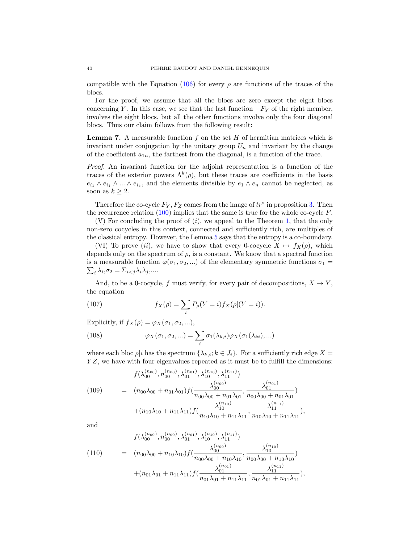compatible with the Equation [\(106\)](#page-40-1) for every  $\rho$  are functions of the traces of the blocs.

For the proof, we assume that all the blocs are zero except the eight blocs concerning Y. In this case, we see that the last function  $-F_Y$  of the right member, involves the eight blocs, but all the other functions involve only the four diagonal blocs. Thus our claim follows from the following result:

**Lemma 7.** A measurable function  $f$  on the set  $H$  of hermitian matrices which is invariant under conjugation by the unitary group  $U_n$  and invariant by the change of the coefficient  $a_{1n}$ , the farthest from the diagonal, is a function of the trace.

Proof. An invariant function for the adjoint representation is a function of the traces of the exterior powers  $\Lambda^k(\rho)$ , but these traces are coefficients in the basis  $e_{i_1} \wedge e_{i_1} \wedge ... \wedge e_{i_k}$ , and the elements divisible by  $e_1 \wedge e_n$  cannot be neglected, as soon as  $k \geq 2$ .

Therefore the co-cycle  $F_Y, F_Z$  comes from the image of  $tr^*$  in proposition [3.](#page-38-0) Then the recurrence relation  $(100)$  implies that the same is true for the whole co-cycle F.

 $(V)$  For concluding the proof of  $(i)$ , we appeal to the Theorem [1,](#page-22-0) that the only non-zero cocycles in this context, connected and sufficiently rich, are multiples of the classical entropy. However, the Lemma [5](#page-37-0) says that the entropy is a co-boundary.

(VI) To prove (ii), we have to show that every 0-cocycle  $X \mapsto f_X(\rho)$ , which depends only on the spectrum of  $\rho$ , is a constant. We know that a spectral function  $\sum_i \lambda_i, \sigma_2 = \sum_{i < j} \lambda_i \lambda_j, \dots$ is a measurable function  $\varphi(\sigma_1, \sigma_2, ...)$  of the elementary symmetric functions  $\sigma_1 =$ 

And, to be a 0-cocycle, f must verify, for every pair of decompositions,  $X \to Y$ , the equation

(107) 
$$
f_X(\rho) = \sum_i P_\rho(Y = i) f_X(\rho | (Y = i)).
$$

Explicitly, if  $f_X(\rho) = \varphi_X(\sigma_1, \sigma_2, \ldots),$ 

(108) 
$$
\varphi_X(\sigma_1, \sigma_2, \ldots) = \sum_i \sigma_1(\lambda_{k,i}) \varphi_X(\sigma_1(\lambda_{ki}), \ldots)
$$

where each bloc  $\rho|i$  has the spectrum  $\{\lambda_{k,i}; k \in J_i\}$ . For a sufficiently rich edge  $X =$ YZ, we have with four eigenvalues repeated as it must be to fulfill the dimensions:

(109) 
$$
f(\lambda_{00}^{(n_{00})}, n_{00}^{(n_{00})}, \lambda_{01}^{(n_{11})}, \lambda_{10}^{(n_{10})}, \lambda_{11}^{(n_{11})})
$$

$$
= (n_{00}\lambda_{00} + n_{01}\lambda_{01})f(\frac{\lambda_{00}^{(n_{00})}}{n_{00}\lambda_{00} + n_{01}\lambda_{01}}, \frac{\lambda_{01}^{(n_{01})}}{n_{00}\lambda_{00} + n_{01}\lambda_{01}})
$$

$$
+ (n_{10}\lambda_{10} + n_{11}\lambda_{11})f(\frac{\lambda_{10}^{(n_{10})}}{n_{10}\lambda_{10} + n_{11}\lambda_{11}}, \frac{\lambda_{11}^{(n_{11})}}{n_{10}\lambda_{10} + n_{11}\lambda_{11}}),
$$

and

$$
(110) \qquad = (n_{00}\lambda_{00} + n_{10}\lambda_{10})f(\frac{\lambda_{00}^{(n_{10})}, \lambda_{11}^{(n_{11})})}{n_{00}\lambda_{00} + n_{10}\lambda_{10}}, \frac{\lambda_{10}^{(n_{10})}}{n_{00}\lambda_{00} + n_{10}\lambda_{10}}, \frac{\lambda_{10}^{(n_{10})}}{n_{00}\lambda_{00} + n_{10}\lambda_{10}}) + (n_{01}\lambda_{01} + n_{11}\lambda_{11})f(\frac{\lambda_{01}^{(n_{11})}}{n_{01}\lambda_{01} + n_{11}\lambda_{11}}, \frac{\lambda_{11}^{(n_{11})}}{n_{01}\lambda_{01} + n_{11}\lambda_{11}}),
$$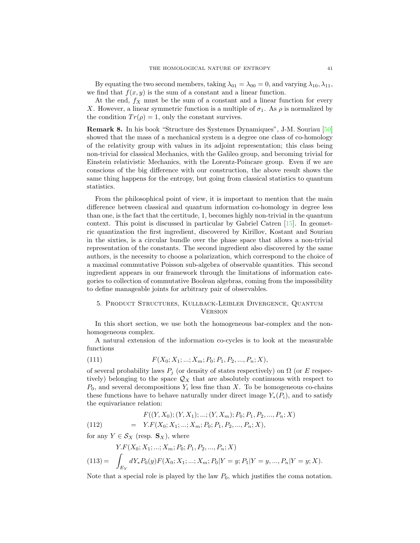By equating the two second members, taking  $\lambda_{01} = \lambda_{00} = 0$ , and varying  $\lambda_{10}, \lambda_{11}$ , we find that  $f(x, y)$  is the sum of a constant and a linear function.

At the end,  $f_X$  must be the sum of a constant and a linear function for every X. However, a linear symmetric function is a multiple of  $\sigma_1$ . As  $\rho$  is normalized by the condition  $Tr(\rho) = 1$ , only the constant survives.

Remark 8. In his book "Structure des Systemes Dynamiques", J-M. Souriau [\[50\]](#page-65-15) showed that the mass of a mechanical system is a degree one class of co-homology of the relativity group with values in its adjoint representation; this class being non-trivial for classical Mechanics, with the Galileo group, and becoming trivial for Einstein relativistic Mechanics, with the Lorentz-Poincare group. Even if we are conscious of the big difference with our construction, the above result shows the same thing happens for the entropy, but going from classical statistics to quantum statistics.

From the philosophical point of view, it is important to mention that the main difference between classical and quantum information co-homology in degree less than one, is the fact that the certitude, 1, becomes highly non-trivial in the quantum context. This point is discussed in particular by Gabriel Catren [\[15\]](#page-64-24). In geometric quantization the first ingredient, discovered by Kirillov, Kostant and Souriau in the sixties, is a circular bundle over the phase space that allows a non-trivial representation of the constants. The second ingredient also discovered by the same authors, is the necessity to choose a polarization, which correspond to the choice of a maximal commutative Poisson sub-algebra of observable quantities. This second ingredient appears in our framework through the limitations of information categories to collection of commutative Boolean algebras, coming from the impossibility to define manageable joints for arbitrary pair of observables.

# <span id="page-42-0"></span>5. Product Structures, Kullback-Leibler Divergence, Quantum **VERSION**

In this short section, we use both the homogeneous bar-complex and the nonhomogeneous complex.

A natural extension of the information co-cycles is to look at the measurable functions

(111) 
$$
F(X_0; X_1; \ldots; X_m; P_0; P_1, P_2, \ldots, P_n; X),
$$

of several probability laws  $P_i$  (or density of states respectively) on  $\Omega$  (or E respectively) belonging to the space  $\mathcal{Q}_X$  that are absolutely continuous with respect to  $P_0$ , and several decompositions  $Y_i$  less fine than X. To be homogeneous co-chains these functions have to behave naturally under direct image  $Y_*(P_i)$ , and to satisfy the equivariance relation:

(112) 
$$
F((Y, X_0); (Y, X_1); \dots; (Y, X_m); P_0; P_1, P_2, \dots, P_n; X)
$$

$$
= Y.F(X_0; X_1; \dots; X_m; P_0; P_1, P_2, \dots, P_n; X),
$$

for any  $Y \in \mathcal{S}_X$  (resp.  $\mathbf{S}_X$ ), where

$$
Y.F(X_0; X_1; ...; X_m; P_0; P_1, P_2, ..., P_n; X)
$$
  
(113) = 
$$
\int_{E_Y} dY_* P_0(y) F(X_0; X_1; ...; X_m; P_0|Y = y; P_1|Y = y, ..., P_n|Y = y; X).
$$

Note that a special role is played by the law  $P_0$ , which justifies the coma notation.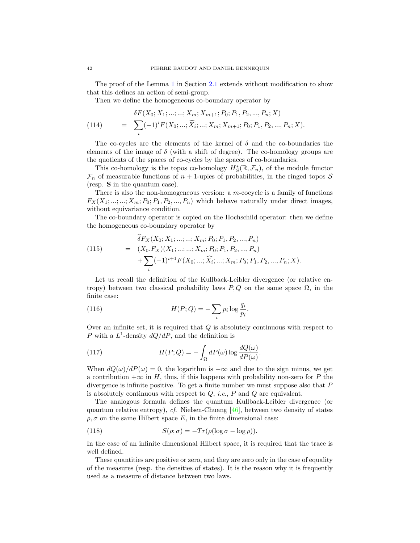The proof of the Lemma [1](#page-14-1) in Section [2.1](#page-11-2) extends without modification to show that this defines an action of semi-group.

Then we define the homogeneous co-boundary operator by

(114) 
$$
\delta F(X_0; X_1; \dots; \dots; X_m; X_{m+1}; P_0; P_1, P_2, \dots, P_n; X) = \sum_i (-1)^i F(X_0; \dots; \widehat{X}_i; \dots; X_m; X_{m+1}; P_0; P_1, P_2, \dots, P_n; X).
$$

The co-cycles are the elements of the kernel of  $\delta$  and the co-boundaries the elements of the image of  $\delta$  (with a shift of degree). The co-homology groups are the quotients of the spaces of co-cycles by the spaces of co-boundaries.

This co-homology is the topos co-homology  $H^*_{\mathcal{S}}(\mathbb{R},\mathcal{F}_n)$ , of the module functor  $\mathcal{F}_n$  of measurable functions of  $n + 1$ -uples of probabilities, in the ringed topos S (resp. S in the quantum case).

There is also the non-homogeneous version: a  $m$ -cocycle is a family of functions  $F_X(X_1; \ldots; \ldots; X_m; P_0; P_1, P_2, \ldots, P_n)$  which behave naturally under direct images, without equivariance condition.

The co-boundary operator is copied on the Hochschild operator: then we define the homogeneous co-boundary operator by

(115) 
$$
\delta F_X(X_0; X_1; \dots; \dots; X_m; P_0; P_1, P_2, \dots, P_n)
$$

$$
= (X_0.F_X)(X_1; \dots; \dots; X_m; P_0; P_1, P_2, \dots, P_n)
$$

$$
+ \sum_i (-1)^{i+1} F(X_0; \dots; \widehat{X_i}; \dots; X_m; P_0; P_1, P_2, \dots, P_n; X).
$$

Let us recall the definition of the Kullback-Leibler divergence (or relative entropy) between two classical probability laws  $P, Q$  on the same space  $\Omega$ , in the finite case:

(116) 
$$
H(P;Q) = -\sum_{i} p_i \log \frac{q_i}{p_i}.
$$

Over an infinite set, it is required that  $Q$  is absolutely continuous with respect to P with a  $L^1$ -density  $dQ/dP$ , and the definition is

.

(117) 
$$
H(P;Q) = -\int_{\Omega} dP(\omega) \log \frac{dQ(\omega)}{dP(\omega)}
$$

When  $dQ(\omega)/dP(\omega) = 0$ , the logarithm is  $-\infty$  and due to the sign minus, we get a contribution  $+\infty$  in H, thus, if this happens with probability non-zero for P the divergence is infinite positive. To get a finite number we must suppose also that  $P$ is absolutely continuous with respect to  $Q$ , *i.e.*,  $P$  and  $Q$  are equivalent.

The analogous formula defines the quantum Kullback-Leibler divergence (or quantum relative entropy),  $cf.$  Nielsen-Chuang [\[46\]](#page-65-4), between two density of states  $\rho, \sigma$  on the same Hilbert space E, in the finite dimensional case:

(118) 
$$
S(\rho; \sigma) = -Tr(\rho(\log \sigma - \log \rho)).
$$

In the case of an infinite dimensional Hilbert space, it is required that the trace is well defined.

These quantities are positive or zero, and they are zero only in the case of equality of the measures (resp. the densities of states). It is the reason why it is frequently used as a measure of distance between two laws.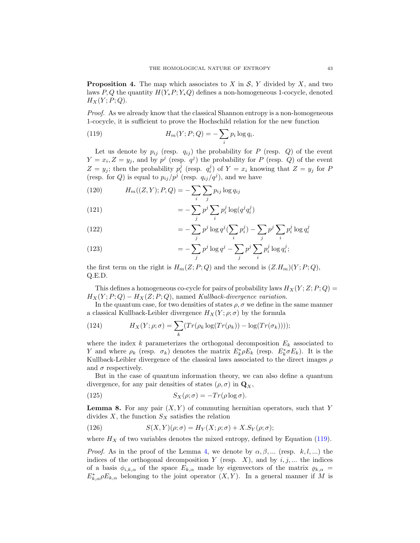**Proposition 4.** The map which associates to X in  $S$ , Y divided by X, and two laws P, Q the quantity  $H(Y_*P; Y_*Q)$  defines a non-homogeneous 1-cocycle, denoted  $H_X(Y; P; Q)$ .

Proof. As we already know that the classical Shannon entropy is a non-homogeneous 1-cocycle, it is sufficient to prove the Hochschild relation for the new function

<span id="page-44-0"></span>(119) 
$$
H_m(Y; P; Q) = -\sum_i p_i \log q_i.
$$

Let us denote by  $p_{ij}$  (resp.  $q_{ij}$ ) the probability for P (resp. Q) of the event  $Y = x_i, Z = y_j$ , and by  $p^j$  (resp.  $q^j$ ) the probability for P (resp. Q) of the event  $Z = y_j$ ; then the probability  $p_i^j$  (resp.  $q_i^j$ ) of  $Y = x_i$  knowing that  $Z = y_j$  for P (resp. for Q) is equal to  $p_{ij}/p^j$  (resp.  $q_{ij}/q^j$ ), and we have

(120) 
$$
H_m((Z, Y); P, Q) = -\sum_{i} \sum_{j} p_{ij} \log q_{ij}
$$

(121) 
$$
= -\sum_{j} p^{j} \sum_{i} p_{i}^{j} \log(q^{j} q_{i}^{j})
$$

(122) 
$$
= -\sum_{j} p^{j} \log q^{j} (\sum_{i} p_{i}^{j}) - \sum_{j} p^{j} \sum_{i} p_{i}^{j} \log q_{i}^{j}
$$

(123) 
$$
= -\sum_{j} p^{j} \log q^{j} - \sum_{j} p^{j} \sum_{i} p_{i}^{j} \log q_{i}^{j};
$$

the first term on the right is  $H_m(Z; P; Q)$  and the second is  $(Z,H_m)(Y; P; Q)$ , Q.E.D.

This defines a homogeneous co-cycle for pairs of probability laws  $H_X(Y;Z;P;Q)$  =  $H_X(Y; P; Q) - H_X(Z; P; Q)$ , named Kullback-divergence variation.

In the quantum case, for two densities of states  $\rho$ ,  $\sigma$  we define in the same manner a classical Kullback-Leibler divergence  $H_X(Y; \rho; \sigma)$  by the formula

(124) 
$$
H_X(Y; \rho; \sigma) = \sum_k (Tr(\rho_k \log(Tr(\rho_k)) - \log(Tr(\sigma_k))));
$$

where the index k parameterizes the orthogonal decomposition  $E_k$  associated to Y and where  $\rho_k$  (resp.  $\sigma_k$ ) denotes the matrix  $E_k^* \rho E_k$  (resp.  $E_k^* \sigma E_k$ ). It is the Kullback-Leibler divergence of the classical laws associated to the direct images  $\rho$ and  $\sigma$  respectively.

But in the case of quantum information theory, we can also define a quantum divergence, for any pair densities of states  $(\rho, \sigma)$  in  $\mathbf{Q}_X$ ,

(125) 
$$
S_X(\rho;\sigma) = -Tr(\rho \log \sigma).
$$

**Lemma 8.** For any pair  $(X, Y)$  of commuting hermitian operators, such that Y divides  $X$ , the function  $S_X$  satisfies the relation

(126) 
$$
S(X,Y)(\rho;\sigma) = H_Y(X;\rho;\sigma) + X.S_Y(\rho;\sigma);
$$

where  $H_X$  of two variables denotes the mixed entropy, defined by Equation [\(119\)](#page-44-0).

*Proof.* As in the proof of the Lemma [4,](#page-34-0) we denote by  $\alpha, \beta, ...$  (resp. k, l, ...) the indices of the orthogonal decomposition  $Y$  (resp.  $X$ ), and by  $i, j, ...$  the indices of a basis  $\phi_{i,k,\alpha}$  of the space  $E_{k,\alpha}$  made by eigenvectors of the matrix  $\rho_{k,\alpha}$  =  $E_{k,\alpha}^*\rho E_{k,\alpha}$  belonging to the joint operator  $(X,Y)$ . In a general manner if M is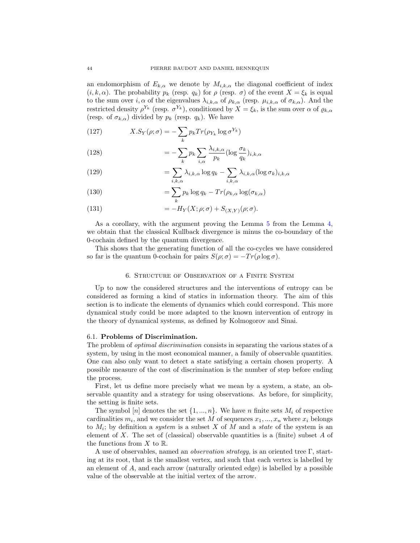an endomorphism of  $E_{k,\alpha}$  we denote by  $M_{i,k,\alpha}$  the diagonal coefficient of index  $(i, k, \alpha)$ . The probability  $p_k$  (resp.  $q_k$ ) for  $\rho$  (resp.  $\sigma$ ) of the event  $X = \xi_k$  is equal to the sum over  $i, \alpha$  of the eigenvalues  $\lambda_{i,k,\alpha}$  of  $\rho_{k,\alpha}$  (resp.  $\mu_{i,k,\alpha}$  of  $\sigma_{k,\alpha}$ ). And the restricted density  $\rho^{Y_k}$  (resp.  $\sigma^{Y_k}$ ), conditioned by  $X = \xi_k$ , is the sum over  $\alpha$  of  $\varrho_{k,\alpha}$ (resp. of  $\sigma_{k,\alpha}$ ) divided by  $p_k$  (resp.  $q_k$ ). We have

(127) 
$$
X.S_Y(\rho;\sigma) = -\sum_k p_k Tr(\rho_{Y_k} \log \sigma^{Y_k})
$$

(128) 
$$
= -\sum_{k} p_k \sum_{i,\alpha} \frac{\lambda_{i,k,\alpha}}{p_k} (\log \frac{\sigma_k}{q_k})_{i,k,\alpha}
$$

(129) 
$$
= \sum_{i,k,\alpha} \lambda_{i,k,\alpha} \log q_k - \sum_{i,k,\alpha} \lambda_{i,k,\alpha} (\log \sigma_k)_{i,k,\alpha}
$$

(130) 
$$
= \sum_{k} p_k \log q_k - Tr(\rho_{k,\alpha} \log(\sigma_{k,\alpha}))
$$

(131) 
$$
= -H_Y(X; \rho; \sigma) + S_{(X,Y)}(\rho; \sigma).
$$

As a corollary, with the argument proving the Lemma [5](#page-37-0) from the Lemma [4,](#page-34-0) we obtain that the classical Kullback divergence is minus the co-boundary of the 0-cochain defined by the quantum divergence.

This shows that the generating function of all the co-cycles we have considered so far is the quantum 0-cochain for pairs  $S(\rho;\sigma) = -Tr(\rho \log \sigma)$ .

# 6. Structure of Observation of a Finite System

<span id="page-45-0"></span>Up to now the considered structures and the interventions of entropy can be considered as forming a kind of statics in information theory. The aim of this section is to indicate the elements of dynamics which could correspond. This more dynamical study could be more adapted to the known intervention of entropy in the theory of dynamical systems, as defined by Kolmogorov and Sinai.

## <span id="page-45-1"></span>6.1. Problems of Discrimination.

The problem of *optimal discrimination* consists in separating the various states of a system, by using in the most economical manner, a family of observable quantities. One can also only want to detect a state satisfying a certain chosen property. A possible measure of the cost of discrimination is the number of step before ending the process.

First, let us define more precisely what we mean by a system, a state, an observable quantity and a strategy for using observations. As before, for simplicity, the setting is finite sets.

The symbol [n] denotes the set  $\{1, ..., n\}$ . We have n finite sets  $M_i$  of respective cardinalities  $m_i$ , and we consider the set M of sequences  $x_1, ..., x_n$  where  $x_i$  belongs to  $M_i$ ; by definition a *system* is a subset X of M and a *state* of the system is an element of X. The set of (classical) observable quantities is a (finite) subset A of the functions from  $X$  to  $\mathbb{R}$ .

A use of observables, named an *observation strategy*, is an oriented tree  $\Gamma$ , starting at its root, that is the smallest vertex, and such that each vertex is labelled by an element of A, and each arrow (naturally oriented edge) is labelled by a possible value of the observable at the initial vertex of the arrow.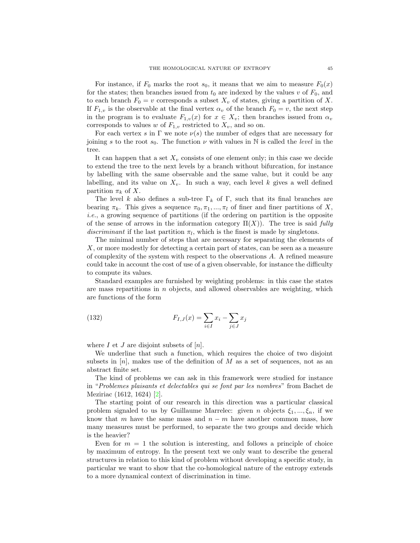For instance, if  $F_0$  marks the root  $s_0$ , it means that we aim to measure  $F_0(x)$ for the states; then branches issued from  $t_0$  are indexed by the values v of  $F_0$ , and to each branch  $F_0 = v$  corresponds a subset  $X_v$  of states, giving a partition of X. If  $F_{1,v}$  is the observable at the final vertex  $\alpha_v$  of the branch  $F_0 = v$ , the next step in the program is to evaluate  $F_{1,v}(x)$  for  $x \in X_v$ ; then branches issued from  $\alpha_v$ corresponds to values w of  $F_{1,v}$  restricted to  $X_v$ , and so on.

For each vertex s in  $\Gamma$  we note  $\nu(s)$  the number of edges that are necessary for joining s to the root  $s_0$ . The function  $\nu$  with values in N is called the *level* in the tree.

It can happen that a set  $X_v$  consists of one element only; in this case we decide to extend the tree to the next levels by a branch without bifurcation, for instance by labelling with the same observable and the same value, but it could be any labelling, and its value on  $X_v$ . In such a way, each level k gives a well defined partition  $\pi_k$  of X.

The level k also defines a sub-tree  $\Gamma_k$  of  $\Gamma$ , such that its final branches are bearing  $\pi_k$ . This gives a sequence  $\pi_0, \pi_1, ..., \pi_l$  of finer and finer partitions of X, i.e., a growing sequence of partitions (if the ordering on partition is the opposite of the sense of arrows in the information category  $\Pi(X)$ ). The tree is said fully discriminant if the last partition  $\pi_l$ , which is the finest is made by singletons.

The minimal number of steps that are necessary for separating the elements of X, or more modestly for detecting a certain part of states, can be seen as a measure of complexity of the system with respect to the observations A. A refined measure could take in account the cost of use of a given observable, for instance the difficulty to compute its values.

Standard examples are furnished by weighting problems: in this case the states are mass repartitions in  $n$  objects, and allowed observables are weighting, which are functions of the form

<span id="page-46-0"></span>(132) 
$$
F_{I,J}(x) = \sum_{i \in I} x_i - \sum_{j \in J} x_j
$$

where  $I$  et  $J$  are disjoint subsets of  $[n]$ .

We underline that such a function, which requires the choice of two disjoint subsets in  $[n]$ , makes use of the definition of M as a set of sequences, not as an abstract finite set.

The kind of problems we can ask in this framework were studied for instance in "Problemes plaisants et delectables qui se font par les nombres" from Bachet de Meziriac (1612, 1624) [\[2\]](#page-63-8).

The starting point of our research in this direction was a particular classical problem signaled to us by Guillaume Marrelec: given n objects  $\xi_1, ..., \xi_n$ , if we know that m have the same mass and  $n - m$  have another common mass, how many measures must be performed, to separate the two groups and decide which is the heavier?

Even for  $m = 1$  the solution is interesting, and follows a principle of choice by maximum of entropy. In the present text we only want to describe the general structures in relation to this kind of problem without developing a specific study, in particular we want to show that the co-homological nature of the entropy extends to a more dynamical context of discrimination in time.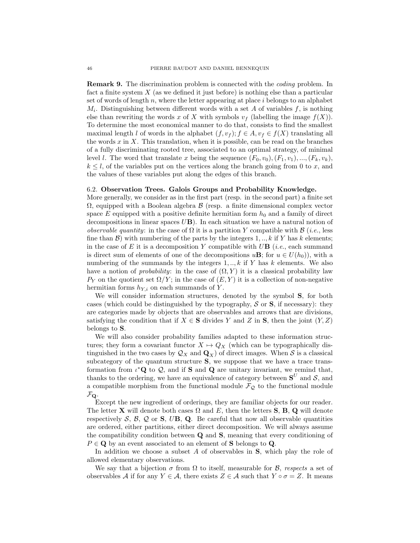Remark 9. The discrimination problem is connected with the coding problem. In fact a finite system  $X$  (as we defined it just before) is nothing else than a particular set of words of length  $n$ , where the letter appearing at place  $i$  belongs to an alphabet  $M_i$ . Distinguishing between different words with a set A of variables  $f$ , is nothing else than rewriting the words x of X with symbols  $v_f$  (labelling the image  $f(X)$ ). To determine the most economical manner to do that, consists to find the smallest maximal length l of words in the alphabet  $(f, v_f)$ ;  $f \in A$ ,  $v_f \in f(X)$  translating all the words  $x$  in  $X$ . This translation, when it is possible, can be read on the branches of a fully discriminating rooted tree, associated to an optimal strategy, of minimal level *l*. The word that translate x being the sequence  $(F_0, v_0), (F_1, v_1), ..., (F_k, v_k)$ ,  $k \leq l$ , of the variables put on the vertices along the branch going from 0 to x, and the values of these variables put along the edges of this branch.

# <span id="page-47-0"></span>6.2. Observation Trees. Galois Groups and Probability Knowledge.

More generally, we consider as in the first part (resp. in the second part) a finite set  $\Omega$ , equipped with a Boolean algebra  $\beta$  (resp. a finite dimensional complex vector space  $E$  equipped with a positive definite hermitian form  $h_0$  and a family of direct decompositions in linear spaces  $UB$ ). In each situation we have a natural notion of *observable quantity:* in the case of  $\Omega$  it is a partition Y compatible with  $\beta$  (*i.e.*, less fine than  $\mathcal{B}$ ) with numbering of the parts by the integers 1, .., k if Y has k elements; in the case of E it is a decomposition Y compatible with  $U\mathbf{B}$  (*i.e.*, each summand is direct sum of elements of one of the decompositions  $u\mathbf{B}$ ; for  $u \in U(h_0)$ , with a numbering of the summands by the integers  $1, \ldots, k$  if Y has k elements. We also have a notion of *probability*: in the case of  $(\Omega, Y)$  it is a classical probability law  $P_Y$  on the quotient set  $\Omega/Y$ ; in the case of  $(E, Y)$  it is a collection of non-negative hermitian forms  $h_{Y,i}$  on each summands of Y.

We will consider information structures, denoted by the symbol S, for both cases (which could be distinguished by the typography,  $S$  or  $S$ , if necessary): they are categories made by objects that are observables and arrows that are divisions, satisfying the condition that if  $X \in S$  divides Y and Z in S, then the joint  $(Y, Z)$ belongs to S.

We will also consider probability families adapted to these information structures; they form a covariant functor  $X \mapsto Q_X$  (which can be typographically distinguished in the two cases by  $\mathcal{Q}_X$  and  $\mathbf{Q}_X$ ) of direct images. When S is a classical subcategory of the quantum structure S, we suppose that we have a trace transformation from  $\iota^*{\bf Q}$  to  $\mathcal{Q}$ , and if **S** and **Q** are unitary invariant, we remind that, thanks to the ordering, we have an equivalence of category between  $S^U$  and S, and a compatible morphism from the functional module  $\mathcal{F}_{\mathcal{Q}}$  to the functional module  $\mathcal{F}_{\mathbf{Q}}$ .

Except the new ingredient of orderings, they are familiar objects for our reader. The letter **X** will denote both cases  $\Omega$  and E, then the letters **S**, **B**, **Q** will denote respectively  $S, \mathcal{B}, \mathcal{Q}$  or  $S, \mathcal{UB}, \mathbf{Q}$ . Be careful that now all observable quantities are ordered, either partitions, either direct decomposition. We will always assume the compatibility condition between Q and S, meaning that every conditioning of  $P \in \mathbf{Q}$  by an event associated to an element of **S** belongs to **Q**.

In addition we choose a subset  $A$  of observables in  $S$ , which play the role of allowed elementary observations.

We say that a bijection  $\sigma$  from  $\Omega$  to itself, measurable for  $\mathcal{B}$ , respects a set of observables A if for any  $Y \in \mathcal{A}$ , there exists  $Z \in \mathcal{A}$  such that  $Y \circ \sigma = Z$ . It means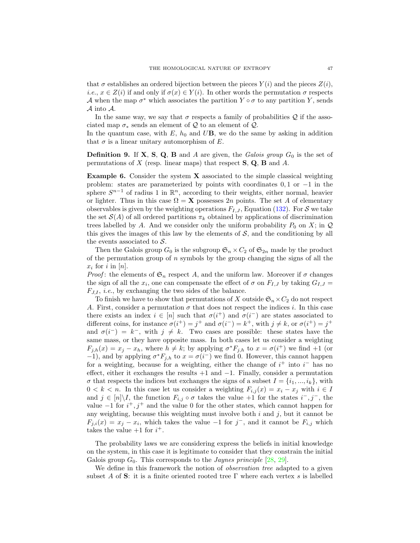that  $\sigma$  establishes an ordered bijection between the pieces  $Y(i)$  and the pieces  $Z(i)$ , *i.e.*,  $x \in Z(i)$  if and only if  $\sigma(x) \in Y(i)$ . In other words the permutation  $\sigma$  respects A when the map  $\sigma^*$  which associates the partition  $Y \circ \sigma$  to any partition Y, sends A into A.

In the same way, we say that  $\sigma$  respects a family of probabilities Q if the associated map  $\sigma_*$  sends an element of Q to an element of Q.

In the quantum case, with  $E$ ,  $h_0$  and  $U\mathbf{B}$ , we do the same by asking in addition that  $\sigma$  is a linear unitary automorphism of E.

**Definition 9.** If **X**, **S**, **Q**, **B** and *A* are given, the Galois group  $G_0$  is the set of permutations of X (resp. linear maps) that respect  $S$ ,  $Q$ ,  $B$  and  $A$ .

Example 6. Consider the system X associated to the simple classical weighting problem: states are parameterized by points with coordinates  $0, 1$  or  $-1$  in the sphere  $S^{n-1}$  of radius 1 in  $\mathbb{R}^n$ , according to their weights, either normal, heavier or lighter. Thus in this case  $\Omega = \mathbf{X}$  possesses 2n points. The set A of elementary observables is given by the weighting operations  $F_{I,J}$ , Equation [\(132\)](#page-46-0). For S we take the set  $\mathcal{S}(A)$  of all ordered partitions  $\pi_k$  obtained by applications of discrimination trees labelled by A. And we consider only the uniform probability  $P_0$  on X; in  $\mathcal Q$ this gives the images of this law by the elements of  $S$ , and the conditioning by all the events associated to  $S$ .

Then the Galois group  $G_0$  is the subgroup  $\mathfrak{S}_n \times C_2$  of  $\mathfrak{S}_{2n}$  made by the product of the permutation group of  $n$  symbols by the group changing the signs of all the  $x_i$  for i in [n].

*Proof*: the elements of  $\mathfrak{S}_n$  respect A, and the uniform law. Moreover if  $\sigma$  changes the sign of all the  $x_i$ , one can compensate the effect of  $\sigma$  on  $F_{I,J}$  by taking  $G_{I,J}$  $F_{J,I}$ , *i.e.*, by exchanging the two sides of the balance.

To finish we have to show that permutations of X outside  $\mathfrak{S}_n \times C_2$  do not respect A. First, consider a permutation  $\sigma$  that does not respect the indices i. In this case there exists an index  $i \in [n]$  such that  $\sigma(i^+)$  and  $\sigma(i^-)$  are states associated to different coins, for instance  $\sigma(i^+) = j^+$  and  $\sigma(i^-) = k^+$ , with  $j \neq k$ , or  $\sigma(i^+) = j^+$ and  $\sigma(i^{-}) = k^{-}$ , with  $j \neq k$ . Two cases are possible: these states have the same mass, or they have opposite mass. In both cases let us consider a weighting  $F_{j,h}(x) = x_j - x_h$ , where  $h \neq k$ ; by applying  $\sigma^* F_{j,h}$  to  $x = \sigma(i^+)$  we find +1 (or  $(-1)$ , and by applying  $\sigma^* F_{j,h}$  to  $x = \sigma(i^-)$  we find 0. However, this cannot happen for a weighting, because for a weighting, either the change of  $i^+$  into  $i^-$  has no effect, either it exchanges the results +1 and −1. Finally, consider a permutation  $\sigma$  that respects the indices but exchanges the signs of a subset  $I = \{i_1, ..., i_k\}$ , with  $0 < k < n$ . In this case let us consider a weighting  $F_{i,j}(x) = x_i - x_j$  with  $i \in I$ and  $j \in [n] \backslash I$ , the function  $F_{i,j} \circ \sigma$  takes the value +1 for the states  $i^-, j^-,$  the value  $-1$  for  $i^{+}$ ,  $j^{+}$  and the value 0 for the other states, which cannot happen for any weighting, because this weighting must involve both  $i$  and  $j$ , but it cannot be  $F_{j,i}(x) = x_j - x_i$ , which takes the value -1 for j<sup>-</sup>, and it cannot be  $F_{i,j}$  which takes the value  $+1$  for  $i^+$ .

The probability laws we are considering express the beliefs in initial knowledge on the system, in this case it is legitimate to consider that they constrain the initial Galois group  $G_0$ . This corresponds to the *Jaynes principle* [\[28,](#page-64-25) [29\]](#page-64-26).

We define in this framework the notion of *observation tree* adapted to a given subset A of S: it is a finite oriented rooted tree  $\Gamma$  where each vertex s is labelled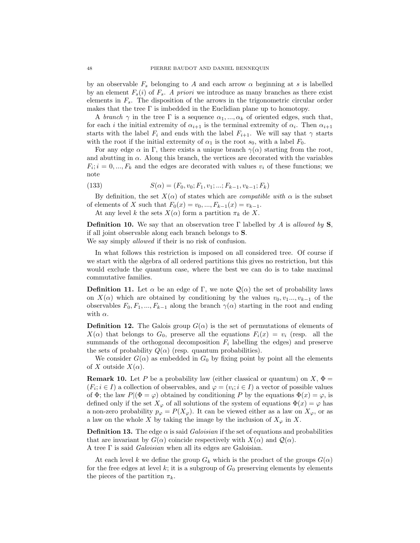by an observable  $F_s$  belonging to A and each arrow  $\alpha$  beginning at s is labelled by an element  $F_s(i)$  of  $F_s$ . A priori we introduce as many branches as there exist elements in  $F_s$ . The disposition of the arrows in the trigonometric circular order makes that the tree  $\Gamma$  is imbedded in the Euclidian plane up to homotopy.

A branch  $\gamma$  in the tree  $\Gamma$  is a sequence  $\alpha_1, ..., \alpha_k$  of oriented edges, such that, for each *i* the initial extremity of  $\alpha_{i+1}$  is the terminal extremity of  $\alpha_i$ . Then  $\alpha_{i+1}$ starts with the label  $F_i$  and ends with the label  $F_{i+1}$ . We will say that  $\gamma$  starts with the root if the initial extremity of  $\alpha_1$  is the root  $s_0$ , with a label  $F_0$ .

For any edge  $\alpha$  in Γ, there exists a unique branch  $\gamma(\alpha)$  starting from the root, and abutting in  $\alpha$ . Along this branch, the vertices are decorated with the variables  $F_i$ ;  $i = 0, ..., F_k$  and the edges are decorated with values  $v_i$  of these functions; we note

(133) 
$$
S(\alpha) = (F_0, v_0; F_1, v_1; ...; F_{k-1}, v_{k-1}; F_k)
$$

By definition, the set  $X(\alpha)$  of states which are *compatible with*  $\alpha$  is the subset of elements of X such that  $F_0(x) = v_0, ..., F_{k-1}(x) = v_{k-1}$ .

At any level k the sets  $X(\alpha)$  form a partition  $\pi_k$  de X.

**Definition 10.** We say that an observation tree Γ labelled by A is allowed by S, if all joint observable along each branch belongs to S. We say simply allowed if their is no risk of confusion.

In what follows this restriction is imposed on all considered tree. Of course if we start with the algebra of all ordered partitions this gives no restriction, but this would exclude the quantum case, where the best we can do is to take maximal commutative families.

**Definition 11.** Let  $\alpha$  be an edge of Γ, we note  $\mathcal{Q}(\alpha)$  the set of probability laws on  $X(\alpha)$  which are obtained by conditioning by the values  $v_0, v_1, \ldots, v_{k-1}$  of the observables  $F_0, F_1, ..., F_{k-1}$  along the branch  $\gamma(\alpha)$  starting in the root and ending with  $\alpha$ .

**Definition 12.** The Galois group  $G(\alpha)$  is the set of permutations of elements of  $X(\alpha)$  that belongs to  $G_0$ , preserve all the equations  $F_i(x) = v_i$  (resp. all the summands of the orthogonal decomposition  $F_i$  labelling the edges) and preserve the sets of probability  $Q(\alpha)$  (resp. quantum probabilities).

We consider  $G(\alpha)$  as embedded in  $G_0$  by fixing point by point all the elements of X outside  $X(\alpha)$ .

**Remark 10.** Let P be a probability law (either classical or quantum) on  $X$ ,  $\Phi =$  $(F_i; i \in I)$  a collection of observables, and  $\varphi = (v_i; i \in I)$  a vector of possible values of  $\Phi$ ; the law  $P|(\Phi = \varphi)$  obtained by conditioning P by the equations  $\Phi(x) = \varphi$ , is defined only if the set  $X_{\varphi}$  of all solutions of the system of equations  $\Phi(x) = \varphi$  has a non-zero probability  $p_{\varphi} = P(X_{\varphi})$ . It can be viewed either as a law on  $X_{\varphi}$ , or as a law on the whole X by taking the image by the inclusion of  $X_{\varphi}$  in X.

**Definition 13.** The edge  $\alpha$  is said *Galoisian* if the set of equations and probabilities that are invariant by  $G(\alpha)$  coincide respectively with  $X(\alpha)$  and  $\mathcal{Q}(\alpha)$ . A tree Γ is said Galoisian when all its edges are Galoisian.

At each level k we define the group  $G_k$  which is the product of the groups  $G(\alpha)$ for the free edges at level k; it is a subgroup of  $G_0$  preserving elements by elements the pieces of the partition  $\pi_k$ .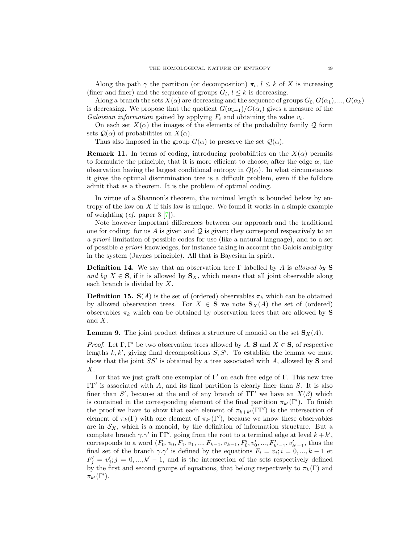Along the path  $\gamma$  the partition (or decomposition)  $\pi_l$ ,  $l \leq k$  of X is increasing (finer and finer) and the sequence of groups  $G_l, l \leq k$  is decreasing.

Along a branch the sets  $X(\alpha)$  are decreasing and the sequence of groups  $G_0, G(\alpha_1), ..., G(\alpha_k)$ is decreasing. We propose that the quotient  $G(\alpha_{i+1})/G(\alpha_i)$  gives a measure of the Galoisian information gained by applying  $F_i$  and obtaining the value  $v_i$ .

On each set  $X(\alpha)$  the images of the elements of the probability family Q form sets  $\mathcal{Q}(\alpha)$  of probabilities on  $X(\alpha)$ .

Thus also imposed in the group  $G(\alpha)$  to preserve the set  $\mathcal{Q}(\alpha)$ .

**Remark 11.** In terms of coding, introducing probabilities on the  $X(\alpha)$  permits to formulate the principle, that it is more efficient to choose, after the edge  $\alpha$ , the observation having the largest conditional entropy in  $Q(\alpha)$ . In what circumstances it gives the optimal discrimination tree is a difficult problem, even if the folklore admit that as a theorem. It is the problem of optimal coding.

In virtue of a Shannon's theorem, the minimal length is bounded below by entropy of the law on  $X$  if this law is unique. We found it works in a simple example of weighting  $(cf.$  paper 3  $[7]$ ).

Note however important differences between our approach and the traditional one for coding: for us A is given and  $\mathcal Q$  is given; they correspond respectively to an a priori limitation of possible codes for use (like a natural language), and to a set of possible a priori knowledges, for instance taking in account the Galois ambiguity in the system (Jaynes principle). All that is Bayesian in spirit.

**Definition 14.** We say that an observation tree Γ labelled by A is allowed by S and by  $X \in S$ , if it is allowed by  $S_X$ , which means that all joint observable along each branch is divided by X.

**Definition 15.**  $S(A)$  is the set of (ordered) observables  $\pi_k$  which can be obtained by allowed observation trees. For  $X \in \mathbf{S}$  we note  $\mathbf{S}_X(A)$  the set of (ordered) observables  $\pi_k$  which can be obtained by observation trees that are allowed by S and X.

<span id="page-50-0"></span>**Lemma 9.** The joint product defines a structure of monoid on the set  $S_X(A)$ .

*Proof.* Let  $\Gamma, \Gamma'$  be two observation trees allowed by A, S and  $X \in S$ , of respective lengths  $k, k'$ , giving final decompositions  $S, S'$ . To establish the lemma we must show that the joint  $SS'$  is obtained by a tree associated with A, allowed by S and X.

For that we just graft one exemplar of  $\Gamma'$  on each free edge of Γ. This new tree  $\Gamma\Gamma'$  is associated with A, and its final partition is clearly finer than S. It is also finer than S', because at the end of any branch of  $\Gamma\Gamma'$  we have an  $X(\beta)$  which is contained in the corresponding element of the final partition  $\pi_{k'}(\Gamma')$ . To finish the proof we have to show that each element of  $\pi_{k+k'}(\Gamma\Gamma')$  is the intersection of element of  $\pi_k(\Gamma)$  with one element of  $\pi_{k'}(\Gamma')$ , because we know these observables are in  $\mathcal{S}_X$ , which is a monoid, by the definition of information structure. But a complete branch  $\gamma \gamma'$  in  $\Gamma \Gamma'$ , going from the root to a terminal edge at level  $k + k'$ , corresponds to a word  $(F_0, v_0, F_1, v_1, ..., F_{k-1}, v_{k-1}, F'_0, v'_0, ..., F'_{k'-1}, v'_{k'-1},$  thus the final set of the branch  $\gamma \cdot \gamma'$  is defined by the equations  $F_i = v_i; i = 0, ..., k - 1$  et  $F'_{j} = v'_{j}; j = 0, ..., k' - 1$ , and is the intersection of the sets respectively defined by the first and second groups of equations, that belong respectively to  $\pi_k(\Gamma)$  and  $\pi_{k'}(\Gamma').$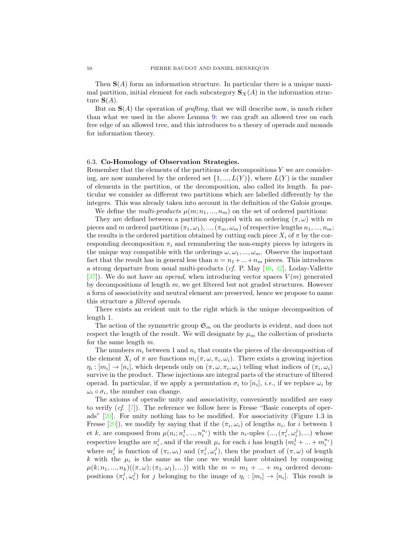Then  $S(A)$  form an information structure. In particular there is a unique maximal partition, initial element for each subcategory  $\mathbf{S}_X(A)$  in the information structure  $S(A)$ .

But on  $S(A)$  the operation of *grafting*, that we will describe now, is much richer than what we used in the above Lemma [9:](#page-50-0) we can graft an allowed tree on each free edge of an allowed tree, and this introduces to a theory of operads and monads for information theory.

# <span id="page-51-0"></span>6.3. Co-Homology of Observation Strategies.

Remember that the elements of the partitions or decompositions  $Y$  we are considering, are now numbered by the ordered set  $\{1, ..., L(Y)\}\$ , where  $L(Y)$  is the number of elements in the partition, or the decomposition, also called its length. In particular we consider as different two partitions which are labelled differently by the integers. This was already taken into account in the definition of the Galois groups. We define the *multi-products*  $\mu(m; n_1, ..., n_m)$  on the set of ordered partitions:

They are defined between a partition equipped with an ordering  $(\pi, \omega)$  with m pieces and m ordered partitions  $(\pi_1, \omega_1), ..., (\pi_m, \omega_m)$  of respective lengths  $n_1, ..., n_m$ ; the results is the ordered partition obtained by cutting each piece  $X_i$  of  $\pi$  by the corresponding decomposition  $\pi_i$  and renumbering the non-empty pieces by integers in the unique way compatible with the orderings  $\omega, \omega_1, ..., \omega_m$ . Observe the important fact that the result has in general less than  $n = n_1 + ... + n_m$  pieces. This introduces a strong departure from usual multi-products (*cf.* P. May  $[16, 42]$  $[16, 42]$ , Loday-Vallette [\[37\]](#page-64-5)). We do not have an *operad*, when introducing vector spaces  $V(m)$  generated by decompositions of length  $m$ , we get filtered but not graded structures. However a form of associativity and neutral element are preserved, hence we propose to name this structure a filtered operads.

There exists an evident unit to the right which is the unique decomposition of length 1.

The action of the symmetric group  $\mathfrak{S}_m$  on the products is evident, and does not respect the length of the result. We will designate by  $\mu_m$  the collection of products for the same length  $m$ .

The numbers  $m_i$  between 1 and  $n_i$  that counts the pieces of the decomposition of the element  $X_i$  of  $\pi$  are functions  $m_i(\pi, \omega, \pi_i, \omega_i)$ . There exists a growing injection  $\eta_i: [m_i] \to [n_i]$ , which depends only on  $(\pi, \omega, \pi_i, \omega_i)$  telling what indices of  $(\pi_i, \omega_i)$ survive in the product. These injections are integral parts of the structure of filtered operad. In particular, if we apply a permutation  $\sigma_i$  to  $[n_i]$ , *i.e.*, if we replace  $\omega_i$  by  $\omega_i \circ \sigma_i$ , the number can change.

The axioms of operadic unity and associativity, conveniently modified are easy to verify  $(cf. [7])$  $(cf. [7])$  $(cf. [7])$ . The reference we follow here is Fresse "Basic concepts of operads" [\[20\]](#page-64-7). For unity nothing has to be modified. For associativity (Figure 1.3 in Fresse  $[20]$ ), we modify by saying that if the  $(\pi_i, \omega_i)$  of lengths  $n_i$ , for i between 1 et k, are composed from  $\mu(n_i; n_i^1, ..., n_i^{n_i})$  with the  $n_i$ -uples  $(..., (\pi_i^j, \omega_i^j), ...)$  whose respective lengths are  $n_i^j$ , and if the result  $\mu_i$  for each i has length  $(m_i^1 + ... + m_i^{n_i})$ where  $m_i^j$  is function of  $(\pi_i, \omega_i)$  and  $(\pi_i^j, \omega_i^j)$ , then the product of  $(\pi, \omega)$  of length k with the  $\mu_i$  is the same as the one we would have obtained by composing  $\mu(k; n_1, ..., n_k)((\pi, \omega); (\pi_1, \omega_1), ...)$  with the  $m = m_1 + ... + m_k$  ordered decompositions  $(\pi_i^j, \omega_i^j)$  for j belonging to the image of  $\eta_i : [m_i] \to [n_i]$ . This result is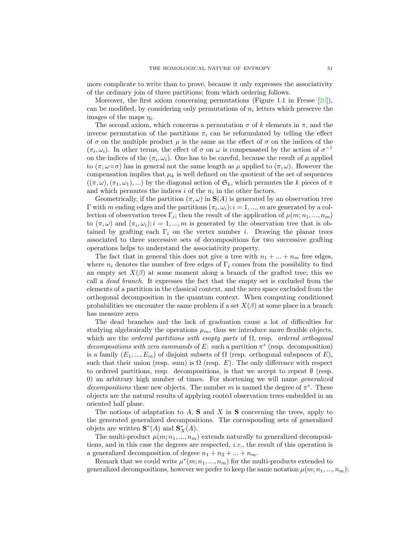more complicate to write than to prove, because it only expresses the associativity of the ordinary join of three partitions; from which ordering follows.

Moreover, the first axiom concerning permutations (Figure 1.1 in Fresse [\[20\]](#page-64-7)), can be modified, by considering only permutations of  $n_i$  letters which preserve the images of the maps  $\eta_i$ .

The second axiom, which concerns a permutation  $\sigma$  of k elements in  $\pi$ , and the inverse permutation of the partitions  $\pi_i$  can be reformulated by telling the effect of  $\sigma$  on the multiple product  $\mu$  is the same as the effect of  $\sigma$  on the indices of the  $(\pi_i, \omega_i)$ . In other terms, the effect of  $\sigma$  on  $\omega$  is compensated by the action of  $\sigma^{-1}$ on the indices of the  $(\pi_i, \omega_i)$ . One has to be careful, because the result of  $\mu$  applied to  $(\pi, \omega \circ \sigma)$  has in general not the same length as  $\mu$  applied to  $(\pi, \omega)$ . However the compensation implies that  $\mu_k$  is well defined on the quotient of the set of sequences  $((\pi,\omega),(\pi_1,\omega_1),\ldots)$  by the diagonal action of  $\mathfrak{S}_k$ , which permutes the k pieces of  $\pi$ and which permutes the indices  $i$  of the  $n_i$  in the other factors.

Geometrically, if the partition  $(\pi, \omega)$  in  $S(A)$  is generated by an observation tree  $Γ$  with m ending edges and the partitions  $(π<sub>i</sub>, ω<sub>i</sub>)$ ;  $i = 1, ..., m$  are generated by a collection of observation trees  $\Gamma_i$ ; then the result of the application of  $\mu(m; n_1, ..., n_m)$ to  $(\pi,\omega)$  and  $(\pi_i,\omega_i); i = 1,...,m$  is generated by the observation tree that is obtained by grafting each  $\Gamma_i$  on the vertex number i. Drawing the planar trees associated to three successive sets of decompositions for two successive grafting operations helps to understand the associativity property.

The fact that in general this does not give a tree with  $n_1 + ... + n_m$  free edges, where  $n_i$  denotes the number of free edges of  $\Gamma_i$  comes from the possibility to find an empty set  $X(\beta)$  at some moment along a branch of the grafted tree; this we call a dead branch. It expresses the fact that the empty set is excluded from the elements of a partition in the classical context, and the zero space excluded from the orthogonal decomposition in the quantum context. When computing conditioned probabilities we encounter the same problem if a set  $X(\beta)$  at some place in a branch has measure zero.

The dead branches and the lack of graduation cause a lot of difficulties for studying algebraically the operations  $\mu_m$ , thus we introduce more flexible objects, which are the ordered partitions with empty parts of  $\Omega$ , resp. ordered orthogonal decompositions with zero summands of E: such a partition  $\pi^*$  (resp. decomposition) is a family  $(E_1, ..., E_m)$  of disjoint subsets of  $\Omega$  (resp. orthogonal subspaces of E), such that their union (resp. sum) is  $\Omega$  (resp. E). The only difference with respect to ordered partitions, resp. decompositions, is that we accept to repeat  $\emptyset$  (resp. 0) an arbitrary high number of times. For shortening we will name generalized decompositions these new objects. The number m is named the degree of  $\pi^*$ . These objects are the natural results of applying rooted observation trees embedded in an oriented half plane.

The notions of adaptation to  $A$ ,  $S$  and  $X$  in  $S$  concerning the trees, apply to the generated generalized decompositions. The corresponding sets of generalized objets are written  $\mathbf{S}^*(A)$  and  $\mathbf{S}_X^*(A)$ .

The multi-product  $\mu(m; n_1, ..., n_m)$  extends naturally to generalized decompositions, and in this case the degrees are respected, i.e., the result of this operation is a generalized decomposition of degree  $n_1 + n_2 + ... + n_m$ .

Remark that we could write  $\mu^*(m; n_1, ..., n_m)$  for the multi-products extended to generalized decompositions, however we prefer to keep the same notation  $\mu(m; n_1, ..., n_m);$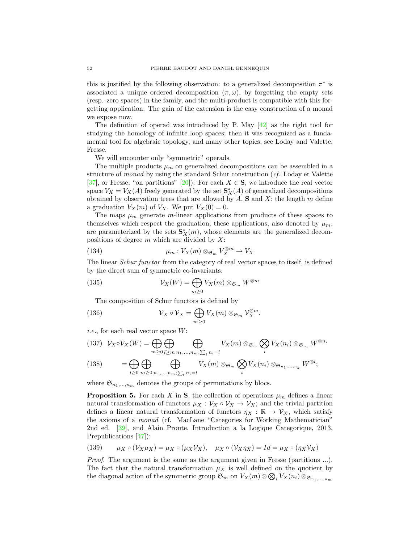this is justified by the following observation: to a generalized decomposition  $\pi^*$  is associated a unique ordered decomposition  $(\pi, \omega)$ , by forgetting the empty sets (resp. zero spaces) in the family, and the multi-product is compatible with this forgetting application. The gain of the extension is the easy construction of a monad we expose now.

The definition of operad was introduced by P. May [\[42\]](#page-65-5) as the right tool for studying the homology of infinite loop spaces; then it was recognized as a fundamental tool for algebraic topology, and many other topics, see Loday and Valette, Fresse.

We will encounter only "symmetric" operads.

The multiple products  $\mu_m$  on generalized decompositions can be assembled in a structure of monad by using the standard Schur construction (cf. Loday et Valette [\[37\]](#page-64-5), or Fresse, "on partitions" [\[20\]](#page-64-7)): For each  $X \in S$ , we introduce the real vector space  $V_X = V_X(A)$  freely generated by the set  $\mathbf{S}_X^*(A)$  of generalized decompositions obtained by observation trees that are allowed by  $A$ ,  $S$  and  $X$ ; the length  $m$  define a graduation  $V_X(m)$  of  $V_X$ . We put  $V_X(0) = 0$ .

The maps  $\mu_m$  generate m-linear applications from products of these spaces to themselves which respect the graduation; these applications, also denoted by  $\mu_m$ , are parameterized by the sets  $\mathbf{S}_{X}^{*}(m)$ , whose elements are the generalized decompositions of degree  $m$  which are divided by  $X$ :

(134) 
$$
\mu_m: V_X(m) \otimes_{\mathfrak{S}_m} V_X^{\otimes m} \to V_X
$$

The linear *Schur functor* from the category of real vector spaces to itself, is defined by the direct sum of symmetric co-invariants:

(135) 
$$
\mathcal{V}_X(W) = \bigoplus_{m \geq 0} V_X(m) \otimes_{\mathfrak{S}_m} W^{\otimes m}
$$

The composition of Schur functors is defined by

(136) 
$$
\mathcal{V}_X \circ \mathcal{V}_X = \bigoplus_{m \geq 0} V_X(m) \otimes_{\mathfrak{S}_m} \mathcal{V}_X^{\otimes m}.
$$

*i.e.*, for each real vector space  $W$ :

(137) 
$$
V_X \circ V_X(W) = \bigoplus_{m \geq 0} \bigoplus_{l \geq m} \bigoplus_{n_1, \dots, n_m; \sum_i n_i = l} V_X(m) \otimes_{\mathfrak{S}_m} \bigotimes_i V_X(n_i) \otimes_{\mathfrak{S}_{n_i}} W^{\otimes n_i}
$$
  
(138) 
$$
= \bigoplus_{l \geq 0} \bigoplus_{m \geq 0} \bigoplus_{n_1, \dots, n_m; \sum_i n_i = l} V_X(m) \otimes_{\mathfrak{S}_m} \bigotimes_i V_X(n_i) \otimes_{\mathfrak{S}_{n_1, \dots, n_k}} W^{\otimes l};
$$

where  $\mathfrak{S}_{n_1,\ldots,n_m}$  denotes the groups of permutations by blocs.

<span id="page-53-0"></span>**Proposition 5.** For each X in **S**, the collection of operations  $\mu_m$  defines a linear natural transformation of functors  $\mu_X : \mathcal{V}_X \circ \mathcal{V}_X \to \mathcal{V}_X$ ; and the trivial partition defines a linear natural transformation of functors  $\eta_X : \mathbb{R} \to \mathcal{V}_X$ , which satisfy the axioms of a monad (cf. MacLane "Categories for Working Mathematician" 2nd ed. [\[39\]](#page-65-2), and Alain Proute, Introduction a la Logique Categorique, 2013, Prepublications [\[47\]](#page-65-16)):

(139) 
$$
\mu_X \circ (\mathcal{V}_X \mu_X) = \mu_X \circ (\mu_X \mathcal{V}_X), \quad \mu_X \circ (\mathcal{V}_X \eta_X) = Id = \mu_X \circ (\eta_X \mathcal{V}_X)
$$

Proof. The argument is the same as the argument given in Fresse (partitions ...). The fact that the natural transformation  $\mu_X$  is well defined on the quotient by the diagonal action of the symmetric group  $\mathfrak{S}_m$  on  $V_X(m) \otimes \mathfrak{D}_i V_X(n_i) \otimes_{\mathfrak{S}_{n_1,...,n_m}}$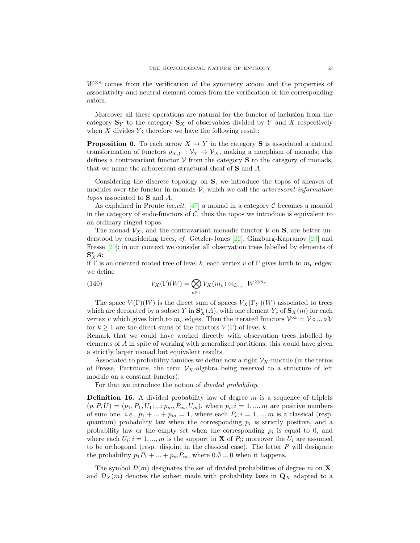W<sup>⊗s</sup> comes from the verification of the symmetry axiom and the properties of associativity and neutral element comes from the verification of the corresponding axiom.

Moreover all these operations are natural for the functor of inclusion from the category  $\mathbf{S}_Y$  to the category  $\mathbf{S}_X$  of observables divided by Y and X respectively when  $X$  divides  $Y$ ; therefore we have the following result:

**Proposition 6.** To each arrow  $X \to Y$  in the category **S** is associated a natural transformation of functors  $\rho_{X,Y} : \mathcal{V}_Y \to \mathcal{V}_X$ , making a morphism of monads; this defines a contravariant functor  $V$  from the category  $S$  to the category of monads, that we name the arborescent structural sheaf of S and A.

Considering the discrete topology on S, we introduce the topos of sheaves of modules over the functor in monads  $V$ , which we call the *arborescent information* topos associated to S and A.

As explained in Proute *loc.cit.* [\[47\]](#page-65-16) a monad in a category  $\mathcal C$  becomes a monoid in the category of endo-functors of  $C$ , thus the topos we introduce is equivalent to an ordinary ringed topos.

The monad  $\mathcal{V}_X$ , and the contravariant monadic functor  $\mathcal V$  on  $S$ , are better understood by considering trees, cf. Getzler-Jones [\[22\]](#page-64-28), Ginzburg-Kapranov [\[23\]](#page-64-29) and Fresse [\[20\]](#page-64-7); in our context we consider all observation trees labelled by elements of  $\mathbf{S}_X^*A$ :

if Γ is an oriented rooted tree of level k, each vertex v of Γ gives birth to  $m_v$  edges; we define

(140) 
$$
V_X(\Gamma)(W) = \bigotimes_{v \in \Gamma} V_X(m_v) \otimes_{\mathfrak{S}_{m_v}} W^{\otimes m_v}.
$$

The space  $V(\Gamma)(W)$  is the direct sum of spaces  $V_X(\Gamma_Y)(W)$  associated to trees which are decorated by a subset Y in  $\mathbf{S}_{X}^{*}(A)$ , with one element  $Y_v$  of  $\mathbf{S}_{X}(m)$  for each vertex v which gives birth to  $m_v$  edges. Then the iterated functors  $\mathcal{V}^{\circ k} = \mathcal{V} \circ ... \circ \mathcal{V}$ for  $k \geq 1$  are the direct sums of the functors  $V(\Gamma)$  of level k.

Remark that we could have worked directly with observation trees labelled by elements of A in spite of working with generalized partitions; this would have given a strictly larger monad but equivalent results.

Associated to probability families we define now a right  $\mathcal{V}_X$ -module (in the terms of Fresse, Partitions, the term  $V_X$ -algebra being reserved to a structure of left module on a constant functor).

For that we introduce the notion of *divided probability*.

**Definition 16.** A divided probability law of degree  $m$  is a sequence of triplets  $(p, P, U) = (p_1, P_1, U_1; \dots; p_m, P_m, U_m)$ , where  $p_i; i = 1, \dots, m$  are positive numbers of sum one, *i.e.*,  $p_1 + \ldots + p_m = 1$ , where each  $P_i$ ;  $i = 1, \ldots, m$  is a classical (resp. quantum) probability law when the corresponding  $p_i$  is strictly positive, and a probability law or the empty set when the corresponding  $p_i$  is equal to 0, and where each  $U_i$ ;  $i = 1, ..., m$  is the support in **X** of  $P_i$ ; moreover the  $U_i$  are assumed to be orthogonal (resp. disjoint in the classical case). The letter  $P$  will designate the probability  $p_1P_1 + ... + p_mP_m$ , where  $0.\emptyset = 0$  when it happens.

The symbol  $\mathcal{D}(m)$  designates the set of divided probabilities of degree m on **X**, and  $\mathcal{D}_X(m)$  denotes the subset made with probability laws in  $\mathbf{Q}_X$  adapted to a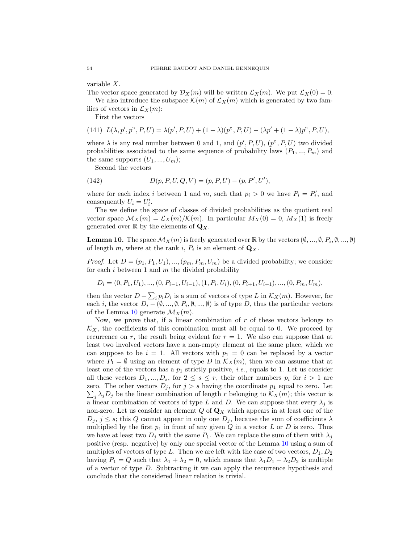variable X.

The vector space generated by  $\mathcal{D}_X(m)$  will be written  $\mathcal{L}_X(m)$ . We put  $\mathcal{L}_X(0) = 0$ .

We also introduce the subspace  $\mathcal{K}(m)$  of  $\mathcal{L}_X(m)$  which is generated by two families of vectors in  $\mathcal{L}_X(m)$ :

First the vectors

(141) 
$$
L(\lambda, p', p'', P, U) = \lambda(p', P, U) + (1 - \lambda)(p'', P, U) - (\lambda p' + (1 - \lambda)p'', P, U),
$$

where  $\lambda$  is any real number between 0 and 1, and  $(p', P, U)$ ,  $(p'', P, U)$  two divided probabilities associated to the same sequence of probability laws  $(P_1, ..., P_m)$  and the same supports  $(U_1, ..., U_m)$ ;

Second the vectors

(142) 
$$
D(p, P, U, Q, V) = (p, P, U) - (p, P', U'),
$$

where for each index *i* between 1 and *m*, such that  $p_i > 0$  we have  $P_i = P'_i$ , and consequently  $U_i = U'_i$ .

The we define the space of classes of divided probabilities as the quotient real vector space  $\mathcal{M}_X(m) = \mathcal{L}_X(m)/\mathcal{K}(m)$ . In particular  $M_X(0) = 0$ ,  $M_X(1)$  is freely generated over  $\mathbb R$  by the elements of  $\mathbf Q_X$ .

<span id="page-55-0"></span>**Lemma 10.** The space  $\mathcal{M}_X(m)$  is freely generated over  $\mathbb{R}$  by the vectors  $(\emptyset, ..., \emptyset, P_i, \emptyset, ..., \emptyset)$ of length m, where at the rank i,  $P_i$  is an element of  $\mathbf{Q}_X$ .

*Proof.* Let  $D = (p_1, P_1, U_1), ..., (p_m, P_m, U_m)$  be a divided probability; we consider for each i between 1 and  $m$  the divided probability

$$
D_i = (0, P_1, U_1), \dots, (0, P_{i-1}, U_{i-1}), (1, P_i, U_i), (0, P_{i+1}, U_{i+1}), \dots, (0, P_m, U_m),
$$

then the vector  $D - \sum_i p_i D_i$  is a sum of vectors of type L in  $\mathcal{K}_X(m)$ . However, for each *i*, the vector  $D_i - (\emptyset, ..., \emptyset, P_i, \emptyset, ..., \emptyset)$  is of type D, thus the particular vectors of the Lemma [10](#page-55-0) generate  $\mathcal{M}_X(m)$ .

Now, we prove that, if a linear combination of  $r$  of these vectors belongs to  $\mathcal{K}_X$ , the coefficients of this combination must all be equal to 0. We proceed by recurrence on r, the result being evident for  $r = 1$ . We also can suppose that at least two involved vectors have a non-empty element at the same place, which we can suppose to be  $i = 1$ . All vectors with  $p_1 = 0$  can be replaced by a vector where  $P_1 = \emptyset$  using an element of type D in  $\mathcal{K}_X(m)$ , then we can assume that at least one of the vectors has a  $p_1$  strictly positive, *i.e.*, equals to 1. Let us consider all these vectors  $D_1, ..., D_s$ , for  $2 \leq s \leq r$ , their other numbers  $p_i$  for  $i > 1$  are zero. The other vectors  $D_j$ , for  $j > s$  having the coordinate  $p_1$  equal to zero. Let  $\sum_j \lambda_j D_j$  be the linear combination of length r belonging to  $\mathcal{K}_X(m)$ ; this vector is a linear combination of vectors of type L and D. We can suppose that every  $\lambda_j$  is non-zero. Let us consider an element  $Q$  of  $\mathbf{Q}_X$  which appears in at least one of the  $D_j$ ,  $j \leq s$ ; this Q cannot appear in only one  $D_j$ , because the sum of coefficients  $\lambda$ multiplied by the first  $p_1$  in front of any given  $Q$  in a vector  $L$  or  $D$  is zero. Thus we have at least two  $D_j$  with the same  $P_1$ . We can replace the sum of them with  $\lambda_j$ positive (resp. negative) by only one special vector of the Lemma [10](#page-55-0) using a sum of multiples of vectors of type L. Then we are left with the case of two vectors,  $D_1, D_2$ having  $P_1 = Q$  such that  $\lambda_1 + \lambda_2 = 0$ , which means that  $\lambda_1 D_1 + \lambda_2 D_2$  is multiple of a vector of type D. Subtracting it we can apply the recurrence hypothesis and conclude that the considered linear relation is trivial.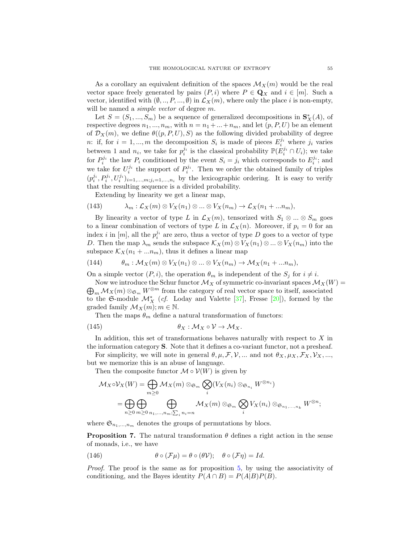As a corollary an equivalent definition of the spaces  $\mathcal{M}_X(m)$  would be the real vector space freely generated by pairs  $(P, i)$  where  $P \in \mathbf{Q}_X$  and  $i \in [m]$ . Such a vector, identified with  $(\emptyset, ..., P, ..., \emptyset)$  in  $\mathcal{L}_X(m)$ , where only the place i is non-empty, will be named a *simple vector* of degree m.

Let  $S = (S_1, ..., S_m)$  be a sequence of generalized decompositions in  $\mathbf{S}_{X}^{*}(A)$ , of respective degrees  $n_1, ..., n_m$ , with  $n = n_1 + ... + n_m$ , and let  $(p, P, U)$  be an element of  $\mathcal{D}_X(m)$ , we define  $\theta((p, P, U), S)$  as the following divided probability of degree n: if, for  $i = 1, ..., m$  the decomposition  $S_i$  is made of pieces  $E_i^{j_i}$  where  $j_i$  varies between 1 and  $n_i$ , we take for  $p_i^{j_i}$  is the classical probability  $\mathbb{P}(E_i^{j_i} \cap U_i)$ ; we take for  $P_i^{j_i}$  the law  $P_i$  conditioned by the event  $S_i = j_i$  which corresponds to  $E_i^{j_i}$ ; and we take for  $U_i^{j_i}$  the support of  $P_i^{j_i}$ . Then we order the obtained family of triples  $(p_i^{j_i}, P_i^{j_i}, U_i^{j_i})_{i=1,\dots,m; j_i=1,\dots,n_i}$  by the lexicographic ordering. It is easy to verify that the resulting sequence is a divided probability.

Extending by linearity we get a linear map,

(143) 
$$
\lambda_m : \mathcal{L}_X(m) \otimes V_X(n_1) \otimes \ldots \otimes V_X(n_m) \to \mathcal{L}_X(n_1 + \ldots n_m),
$$

By linearity a vector of type L in  $\mathcal{L}_X(m)$ , tensorized with  $S_1 \otimes ... \otimes S_m$  goes to a linear combination of vectors of type L in  $\mathcal{L}_X(n)$ . Moreover, if  $p_i = 0$  for an index *i* in  $[m]$ , all the  $p_i^{j_i}$  are zero, thus a vector of type D goes to a vector of type D. Then the map  $\lambda_m$  sends the subspace  $\mathcal{K}_X(m) \otimes V_X(n_1) \otimes ... \otimes V_X(n_m)$  into the subspace  $\mathcal{K}_X(n_1 + ... n_m)$ , thus it defines a linear map

(144) 
$$
\theta_m : \mathcal{M}_X(m) \otimes V_X(n_1) \otimes \ldots \otimes V_X(n_m) \to \mathcal{M}_X(n_1 + \ldots n_m),
$$

On a simple vector  $(P, i)$ , the operation  $\theta_m$  is independent of the  $S_j$  for  $i \neq i$ .

 $\bigoplus_m \mathcal{M}_X(m) \otimes_{\mathfrak{S}_m} W^{\otimes m}$  from the category of real vector space to itself, associated Now we introduce the Schur functor  $\mathcal{M}_X$  of symmetric co-invariant spaces  $\mathcal{M}_X(W)$  = to the G-module  $\mathcal{M}^*_X$  (*cf.* Loday and Valette [\[37\]](#page-64-5), Fresse [\[20\]](#page-64-7)), formed by the graded family  $\mathcal{M}_X(m); m \in \mathbb{N}$ .

Then the maps  $\theta_m$  define a natural transformation of functors:

(145) 
$$
\theta_X : \mathcal{M}_X \circ \mathcal{V} \to \mathcal{M}_X.
$$

In addition, this set of transformations behaves naturally with respect to  $X$  in the information category S. Note that it defines a co-variant functor, not a presheaf.

For simplicity, we will note in general  $\theta, \mu, \mathcal{F}, \mathcal{V}, \dots$  and not  $\theta_X, \mu_X, \mathcal{F}_X, \mathcal{V}_X, \dots$ but we memorize this is an abuse of language.

Then the composite functor  $\mathcal{M} \circ \mathcal{V}(W)$  is given by

$$
\mathcal{M}_X \circ \mathcal{V}_X(W) = \bigoplus_{m \geq 0} \mathcal{M}_X(m) \otimes_{\mathfrak{S}_m} \bigotimes_i (V_X(n_i) \otimes_{\mathfrak{S}_{n_i}} W^{\otimes n_i})
$$
  
= 
$$
\bigoplus_{n \geq 0} \bigoplus_{m \geq 0} \bigoplus_{n_1, \dots, n_m; \sum_i n_i = n} \mathcal{M}_X(m) \otimes_{\mathfrak{S}_m} \bigotimes_i V_X(n_i) \otimes_{\mathfrak{S}_{n_1, \dots, n_k}} W^{\otimes n};
$$

where  $\mathfrak{S}_{n_1,...,n_m}$  denotes the groups of permutations by blocs.

**Proposition 7.** The natural transformation  $\theta$  defines a right action in the sense of monads, i.e., we have

(146) 
$$
\theta \circ (\mathcal{F}\mu) = \theta \circ (\theta \mathcal{V}); \quad \theta \circ (\mathcal{F}\eta) = Id.
$$

Proof. The proof is the same as for proposition [5,](#page-53-0) by using the associativity of conditioning, and the Bayes identity  $P(A \cap B) = P(A|B)P(B)$ .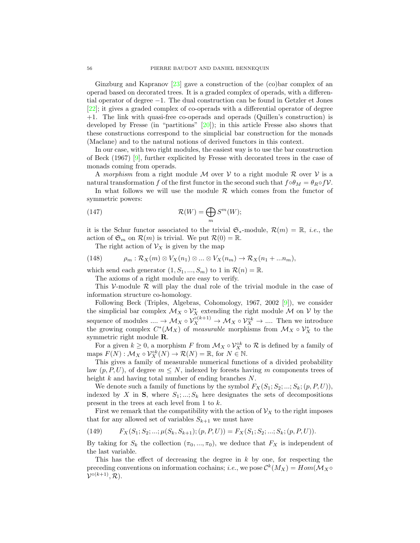Ginzburg and Kapranov [\[23\]](#page-64-29) gave a construction of the (co)bar complex of an operad based on decorated trees. It is a graded complex of operads, with a differential operator of degree −1. The dual construction can be found in Getzler et Jones [\[22\]](#page-64-28); it gives a graded complex of co-operads with a differential operator of degree +1. The link with quasi-free co-operads and operads (Quillen's construction) is developed by Fresse (in "partitions"  $[20]$ ); in this article Fresse also shows that these constructions correspond to the simplicial bar construction for the monads (Maclane) and to the natural notions of derived functors in this context.

In our case, with two right modules, the easiest way is to use the bar construction of Beck (1967) [\[9\]](#page-64-8), further explicited by Fresse with decorated trees in the case of monads coming from operads.

A morphism from a right module M over V to a right module R over V is a natural transformation f of the first functor in the second such that  $f \circ \theta_M = \theta_R \circ f \mathcal{V}$ .

In what follows we will use the module  $R$  which comes from the functor of symmetric powers:

(147) 
$$
\mathcal{R}(W) = \bigoplus_{m} S^{m}(W);
$$

it is the Schur functor associated to the trivial  $\mathfrak{S}_*$ -module,  $\mathcal{R}(m) = \mathbb{R}$ , *i.e.*, the action of  $\mathfrak{S}_m$  on  $\mathcal{R}(m)$  is trivial. We put  $\mathcal{R}(0) = \mathbb{R}$ .

The right action of  $\mathcal{V}_X$  is given by the map

(148) 
$$
\rho_m: \mathcal{R}_X(m) \otimes V_X(n_1) \otimes ... \otimes V_X(n_m) \to \mathcal{R}_X(n_1+...n_m),
$$

which send each generator  $(1, S_1, ..., S_m)$  to 1 in  $\mathcal{R}(n) = \mathbb{R}$ .

The axioms of a right module are easy to verify.

This V-module  $R$  will play the dual role of the trivial module in the case of information structure co-homology.

Following Beck (Triples, Algebras, Cohomology, 1967, 2002 [\[9\]](#page-64-8)), we consider the simplicial bar complex  $\mathcal{M}_X \circ \mathcal{V}_X^*$  extending the right module  $\mathcal M$  on  $\mathcal V$  by the sequence of modules  $\ldots \to \mathcal{M}_X \circ \mathcal{V}_X^{\circ(k+1)} \to \mathcal{M}_X \circ \mathcal{V}_X^{\circ k} \to \ldots$  Then we introduce the growing complex  $C^*(\mathcal{M}_X)$  of measurable morphisms from  $\mathcal{M}_X \circ \mathcal{V}_X^*$  to the symmetric right module R.

For a given  $k \geq 0$ , a morphism F from  $\mathcal{M}_X \circ \mathcal{V}_X^{\circ k}$  to R is defined by a family of maps  $F(N) : \mathcal{M}_X \circ \mathcal{V}_X^{\circ k}(N) \to \mathcal{R}(N) = \mathbb{R}$ , for  $N \in \mathbb{N}$ .

This gives a family of measurable numerical functions of a divided probability law  $(p, P, U)$ , of degree  $m \leq N$ , indexed by forests having m components trees of height k and having total number of ending branches N.

We denote such a family of functions by the symbol  $F_X(S_1; S_2; \ldots; S_k; (p, P, U)),$ indexed by X in S, where  $S_1; \ldots; S_k$  here designates the sets of decompositions present in the trees at each level from 1 to k.

First we remark that the compatibility with the action of  $\mathcal{V}_X$  to the right imposes that for any allowed set of variables  $S_{k+1}$  we must have

(149) 
$$
F_X(S_1; S_2; \ldots; \mu(S_k, S_{k+1}); (p, P, U)) = F_X(S_1; S_2; \ldots; S_k; (p, P, U)).
$$

By taking for  $S_k$  the collection  $(\pi_0, ..., \pi_0)$ , we deduce that  $F_X$  is independent of the last variable.

This has the effect of decreasing the degree in  $k$  by one, for respecting the preceding conventions on information cochains; *i.e.*, we pose  $\mathcal{C}^k(M_X) = Hom(\mathcal{M}_X \circ$  $\mathcal{V}^{\circ (k+1)}, \mathcal{R}$ ).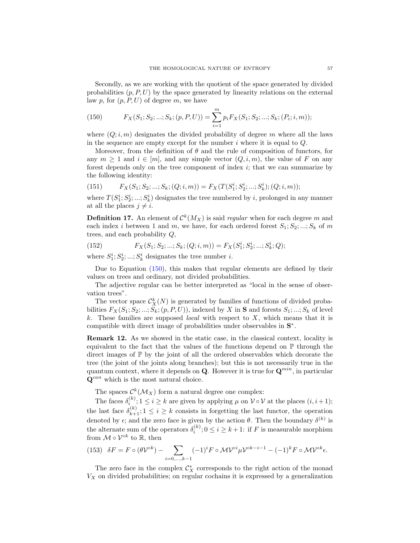Secondly, as we are working with the quotient of the space generated by divided probabilities  $(p, P, U)$  by the space generated by linearity relations on the external law p, for  $(p, P, U)$  of degree m, we have

<span id="page-58-0"></span>(150) 
$$
F_X(S_1; S_2; ...; S_k; (p, P, U)) = \sum_{i=1}^m p_i F_X(S_1; S_2; ...; S_k; (P_i; i, m));
$$

where  $(Q; i, m)$  designates the divided probability of degree m where all the laws in the sequence are empty except for the number  $i$  where it is equal to  $Q$ .

Moreover, from the definition of  $\theta$  and the rule of composition of functors, for any  $m \geq 1$  and  $i \in [m]$ , and any simple vector  $(Q, i, m)$ , the value of F on any forest depends only on the tree component of index  $i$ ; that we can summarize by the following identity:

(151) 
$$
F_X(S_1; S_2; \dots; S_k; (Q; i, m)) = F_X(T(S_1^i; S_2^i; \dots; S_k^i); (Q; i, m));
$$

where  $T(S_1^i; S_2^i; \ldots; S_k^i)$  designates the tree numbered by i, prolonged in any manner at all the places  $j \neq i$ .

**Definition 17.** An element of  $\mathcal{C}^k(M_X)$  is said *regular* when for each degree m and each index i between 1 and m, we have, for each ordered forest  $S_1; S_2; \ldots; S_k$  of m trees, and each probability Q,

(152) 
$$
F_X(S_1; S_2; \dots; S_k; (Q; i, m)) = F_X(S_1^i; S_2^i; \dots; S_k^i; Q);
$$

where  $S_1^i; S_2^i; \ldots; S_k^i$  designates the tree number *i*.

Due to Equation [\(150\)](#page-58-0), this makes that regular elements are defined by their values on trees and ordinary, not divided probabilities.

The adjective regular can be better interpreted as "local in the sense of observation trees".

The vector space  $\mathcal{C}_X^k(N)$  is generated by families of functions of divided probabilities  $F_X(S_1; S_2; \ldots; S_k; (p, P, U))$ , indexed by X in S and forests  $S_1; \ldots; S_k$  of level k. These families are supposed *local* with respect to  $X$ , which means that it is compatible with direct image of probabilities under observables in  $S^*$ .

Remark 12. As we showed in the static case, in the classical context, locality is equivalent to the fact that the values of the functions depend on  $\mathbb P$  through the direct images of  $\mathbb P$  by the joint of all the ordered observables which decorate the tree (the joint of the joints along branches); but this is not necessarily true in the quantum context, where it depends on **Q**. However it is true for  $\mathbf{Q}^{min}$ , in particular  $\mathbf{Q}^{can}$  which is the most natural choice.

The spaces  $\mathcal{C}^k(\mathcal{M}_X)$  form a natural degree one complex:

The faces  $\delta_i^{(k)}$ ;  $1 \leq i \geq k$  are given by applying  $\mu$  on  $\mathcal{V} \circ \mathcal{V}$  at the places  $(i, i + 1)$ ; the last face  $\delta_{k+1}^{(k)}$ ;  $1 \leq i \geq k$  consists in forgetting the last functor, the operation denoted by  $\epsilon$ ; and the zero face is given by the action  $\theta$ . Then the boundary  $\delta^{(k)}$  is the alternate sum of the operators  $\delta_i^{(k)}$ ;  $0 \le i \ge k+1$ : if F is measurable morphism from  $\mathcal{M} \circ \mathcal{V}^{\circ k}$  to  $\mathbb{R}$ , then

<span id="page-58-1"></span>(153) 
$$
\delta F = F \circ (\theta \mathcal{V}^{\circ k}) - \sum_{i=0,...,k-1} (-1)^i F \circ \mathcal{M} \mathcal{V}^{\circ i} \mu \mathcal{V}^{\circ k-i-1} - (-1)^k F \circ \mathcal{M} \mathcal{V}^{\circ k} \epsilon.
$$

The zero face in the complex  $\mathcal{C}_X^*$  corresponds to the right action of the monad  $V_X$  on divided probabilities; on regular cochains it is expressed by a generalization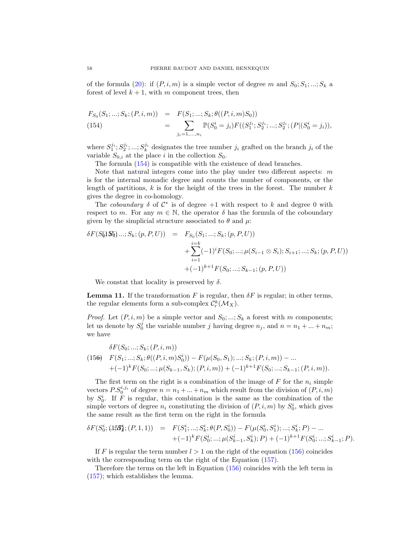of the formula [\(20\)](#page-16-2): if  $(P, i, m)$  is a simple vector of degree m and  $S_0; S_1; \ldots; S_k$  a forest of level  $k + 1$ , with m component trees, then

<span id="page-59-0"></span>
$$
F_{S_0}(S_1; \ldots; S_k; (P, i, m)) = F(S_1; \ldots; S_k; \theta((P, i, m)S_0))
$$
  
(154)
$$
= \sum_{j_i=1,\ldots,n_i} \mathbb{P}(S_0^i = j_i) F((S_1^{j_i}; S_2^{j_i}; \ldots; S_2^{j_i}; (P | (S_0^i = j_i)),
$$

where  $S_1^{j_i}; S_2^{j_i}; \dots; S_k^{j_i}$  designates the tree number  $j_i$  grafted on the branch  $j_i$  of the variable  $S_{0,i}$  at the place i in the collection  $S_0$ .

The formula [\(154\)](#page-59-0) is compatible with the existence of dead branches.

Note that natural integers come into the play under two different aspects:  $m$ is for the internal monadic degree and counts the number of components, or the length of partitions,  $k$  is for the height of the trees in the forest. The number  $k$ gives the degree in co-homology.

The coboundary  $\delta$  of  $\mathcal{C}^*$  is of degree  $+1$  with respect to k and degree 0 with respect to m. For any  $m \in \mathbb{N}$ , the operator  $\delta$  has the formula of the coboundary given by the simplicial structure associated to  $\theta$  and  $\mu$ .

$$
\delta F(S(\mathbf{155})...; S_k; (p, P, U)) = F_{S_0}(S_1; ...; S_k; (p, P, U))
$$
  
+ 
$$
\sum_{i=1}^{i=k} (-1)^i F(S_0; ...; \mu(S_{i-1} \otimes S_i); S_{i+1}; ...; S_k; (p, P, U))
$$
  
+ 
$$
(-1)^{k+1} F(S_0; ...; S_{k-1}; (p, P, U))
$$

We constat that locality is preserved by  $\delta$ .

**Lemma 11.** If the transformation F is regular, then  $\delta F$  is regular; in other terms, the regular elements form a sub-complex  $\mathcal{C}_r^k(\mathcal{M}_X)$ .

*Proof.* Let  $(P, i, m)$  be a simple vector and  $S_0; \ldots; S_k$  a forest with m components; let us denote by  $S_0^j$  the variable number j having degree  $n_j$ , and  $n = n_1 + ... + n_m$ ; we have

<span id="page-59-1"></span>
$$
\delta F(S_0; \ldots; S_k; (P, i, m))
$$
\n
$$
(156) \quad F(S_1; \ldots; S_k; \theta((P, i, m)S_0^i)) - F(\mu(S_0, S_1); \ldots; S_k; (P, i, m)) - \ldots
$$
\n
$$
+ (-1)^k F(S_0; \ldots; \mu(S_{k-1}, S_k); (P, i, m)) + (-1)^{k+1} F(S_0; \ldots; S_{k-1}; (P, i, m)).
$$

The first term on the right is a combination of the image of  $F$  for the  $n_i$  simple vectors  $PS_0^{i,j_i}$  of degree  $n = n_1 + ... + n_m$  which result from the division of  $(P, i, m)$ by  $S_0^i$ . If F is regular, this combination is the same as the combination of the simple vectors of degree  $n_i$  constituting the division of  $(P, i, m)$  by  $S_0^i$ , which gives the same result as the first term on the right in the formula

<span id="page-59-2"></span>
$$
\delta F(S_0^i; (15S_k^i; (P, 1, 1)) = F(S_1^i; \dots; S_k^i; \theta(P, S_0^i)) - F(\mu(S_0^i, S_1^i); \dots; S_k^i; P) - \dots + (-1)^k F(S_0^i; \dots; \mu(S_{k-1}^i, S_k^i); P) + (-1)^{k+1} F(S_0^i; \dots; S_{k-1}^i; P).
$$

If F is regular the term number  $l > 1$  on the right of the equation [\(156\)](#page-59-1) coincides with the corresponding term on the right of the Equation  $(157)$ .

Therefore the terms on the left in Equation [\(156\)](#page-59-1) coincides with the left term in [\(157\)](#page-59-2); which establishes the lemma.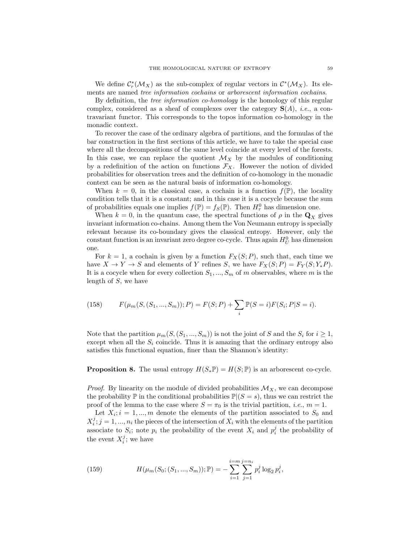We define  $\mathcal{C}_r^*(\mathcal{M}_X)$  as the sub-complex of regular vectors in  $\mathcal{C}^*(\mathcal{M}_X)$ . Its elements are named tree information cochains or arborescent information cochains.

By definition, the *tree information co-homology* is the homology of this regular complex, considered as a sheaf of complexes over the category  $S(A)$ , *i.e.*, a contravariant functor. This corresponds to the topos information co-homology in the monadic context.

To recover the case of the ordinary algebra of partitions, and the formulas of the bar construction in the first sections of this article, we have to take the special case where all the decompositions of the same level coincide at every level of the forests. In this case, we can replace the quotient  $\mathcal{M}_X$  by the modules of conditioning by a redefinition of the action on functions  $\mathcal{F}_X$ . However the notion of divided probabilities for observation trees and the definition of co-homology in the monadic context can be seen as the natural basis of information co-homology.

When  $k = 0$ , in the classical case, a cochain is a function  $f(\mathbb{P})$ , the locality condition tells that it is a constant; and in this case it is a cocycle because the sum of probabilities equals one implies  $f(\mathbb{P}) = f_S(\mathbb{P})$ . Then  $H^0_\tau$  has dimension one.

When  $k = 0$ , in the quantum case, the spectral functions of  $\rho$  in the  $\mathbf{Q}_X$  gives invariant information co-chains. Among them the Von Neumann entropy is specially relevant because its co-boundary gives the classical entropy. However, only the constant function is an invariant zero degree co-cycle. Thus again  $H_U^0$  has dimension one.

For  $k = 1$ , a cochain is given by a function  $F_X(S; P)$ , such that, each time we have  $X \to Y \to S$  and elements of Y refines S, we have  $F_X(S; P) = F_Y(S; Y_*P)$ . It is a cocycle when for every collection  $S_1, ..., S_m$  of m observables, where m is the length of S, we have

(158) 
$$
F(\mu_m(S, (S_1, ..., S_m)); P) = F(S; P) + \sum_i \mathbb{P}(S = i) F(S_i; P | S = i).
$$

Note that the partition  $\mu_m(S,(S_1,...,S_m))$  is not the joint of S and the  $S_i$  for  $i \geq 1$ , except when all the  $S_i$  coincide. Thus it is amazing that the ordinary entropy also satisfies this functional equation, finer than the Shannon's identity:

**Proposition 8.** The usual entropy  $H(S_*\mathbb{P}) = H(S; \mathbb{P})$  is an arborescent co-cycle.

*Proof.* By linearity on the module of divided probabilities  $\mathcal{M}_X$ , we can decompose the probability  $\mathbb P$  in the conditional probabilities  $\mathbb P|(S=s)$ , thus we can restrict the proof of the lemma to the case where  $S = \pi_0$  is the trivial partition, *i.e.*,  $m = 1$ .

Let  $X_i$ ;  $i = 1, ..., m$  denote the elements of the partition associated to  $S_0$  and  $X_i^j$ ;  $j = 1, ..., n_i$  the pieces of the intersection of  $X_i$  with the elements of the partition associate to  $S_i$ ; note  $p_i$  the probability of the event  $X_i$  and  $p_i^j$  the probability of the event  $X_i^j$ ; we have

(159) 
$$
H(\mu_m(S_0; (S_1, ..., S_m)); \mathbb{P}) = -\sum_{i=1}^{i=m} \sum_{j=1}^{j=n_i} p_i^j \log_2 p_i^j,
$$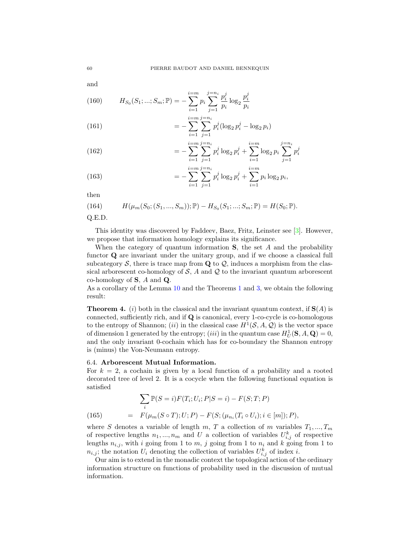and

(160) 
$$
H_{S_0}(S_1; ...; S_m; \mathbb{P}) = -\sum_{i=1}^{i=m} p_i \sum_{j=1}^{j=n_i} \frac{p_i^j}{p_i} \log_2 \frac{p_i^j}{p_i}
$$

(161) 
$$
= -\sum_{i=1}^{i=m} \sum_{j=1}^{j=n_i} p_i^j (\log_2 p_i^j - \log_2 p_i)
$$

(162) 
$$
= -\sum_{i=1}^{i=m} \sum_{j=1}^{j=n_i} p_i^j \log_2 p_i^j + \sum_{i=1}^{i=m} \log_2 p_i \sum_{j=1}^{j=n_i} p_i^j
$$

(163) 
$$
= -\sum_{i=1}^{i=m} \sum_{j=1}^{j=n_i} p_i^j \log_2 p_i^j + \sum_{i=1}^{i=m} p_i \log_2 p_i,
$$

then

(164) 
$$
H(\mu_m(S_0; (S_1, ..., S_m)); \mathbb{P}) - H_{S_0}(S_1; ...; S_m; \mathbb{P}) = H(S_0; \mathbb{P}).
$$

Q.E.D.

This identity was discovered by Faddeev, Baez, Fritz, Leinster see [\[3\]](#page-63-4). However, we propose that information homology explains its significance.

When the category of quantum information  $S$ , the set A and the probability functor Q are invariant under the unitary group, and if we choose a classical full subcategory  $S$ , there is trace map from  $Q$  to  $Q$ , induces a morphism from the classical arborescent co-homology of  $S$ ,  $A$  and  $Q$  to the invariant quantum arborescent co-homology of  $S$ , A and  $Q$ .

As a corollary of the Lemma [10](#page-55-0) and the Theorems [1](#page-22-0) and [3,](#page-39-0) we obtain the following result:

<span id="page-61-1"></span>**Theorem 4.** (i) both in the classical and the invariant quantum context, if  $S(A)$  is connected, sufficiently rich, and if Q is canonical, every 1-co-cycle is co-homologous to the entropy of Shannon; *(ii)* in the classical case  $H^1(\mathcal{S}, A, \mathcal{Q})$  is the vector space of dimension 1 generated by the entropy; (*iii*) in the quantum case  $H_U^1(\mathbf{S}, A, \mathbf{Q}) = 0$ , and the only invariant 0-cochain which has for co-boundary the Shannon entropy is (minus) the Von-Neumann entropy.

# <span id="page-61-0"></span>6.4. Arborescent Mutual Information.

For  $k = 2$ , a cochain is given by a local function of a probability and a rooted decorated tree of level 2. It is a cocycle when the following functional equation is satisfied

<span id="page-61-2"></span>(165) 
$$
\sum_{i} \mathbb{P}(S = i) F(T_i; U_i; P | S = i) - F(S; T; P)
$$

$$
= F(\mu_m(S \circ T); U; P) - F(S; (\mu_{n_i}(T_i \circ U_i); i \in [m]); P),
$$

where S denotes a variable of length m, T a collection of m variables  $T_1, ..., T_m$ of respective lengths  $n_1, ..., n_m$  and U a collection of variables  $U_{i,j}^k$  of respective lengths  $n_{i,j}$ , with i going from 1 to m, j going from 1 to  $n_i$  and k going from 1 to  $n_{i,j}$ ; the notation  $U_i$  denoting the collection of variables  $U_{i,j}^k$  of index i.

Our aim is to extend in the monadic context the topological action of the ordinary information structure on functions of probability used in the discussion of mutual information.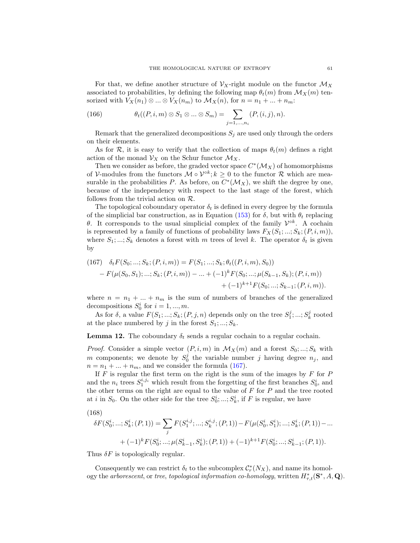For that, we define another structure of  $\mathcal{V}_X$ -right module on the functor  $\mathcal{M}_X$ associated to probabilities, by defining the following map  $\theta_t(m)$  from  $\mathcal{M}_X(m)$  tensorized with  $V_X(n_1) \otimes ... \otimes V_X(n_m)$  to  $\mathcal{M}_X(n)$ , for  $n = n_1 + ... + n_m$ :

(166) 
$$
\theta_t((P, i, m) \otimes S_1 \otimes ... \otimes S_m) = \sum_{j=1,...,n_i} (P, (i, j), n).
$$

Remark that the generalized decompositions  $S_i$  are used only through the orders on their elements.

As for R, it is easy to verify that the collection of maps  $\theta_t(m)$  defines a right action of the monad  $\mathcal{V}_X$  on the Schur functor  $\mathcal{M}_X$ .

Then we consider as before, the graded vector space  $C^*(\mathcal{M}_X)$  of homomorphisms of V-modules from the functors  $\mathcal{M} \circ \mathcal{V}^{\circ k}$ ;  $k \geq 0$  to the functor  $\mathcal{R}$  which are measurable in the probabilities P. As before, on  $C^*(\mathcal{M}_X)$ , we shift the degree by one, because of the independency with respect to the last stage of the forest, which follows from the trivial action on R.

The topological coboundary operator  $\delta_t$  is defined in every degree by the formula of the simplicial bar construction, as in Equation [\(153\)](#page-58-1) for  $\delta$ , but with  $\theta_t$  replacing θ. It corresponds to the usual simplicial complex of the family  $\mathcal{V}^{ok}$ . A cochain is represented by a family of functions of probability laws  $F_X(S_1; \ldots; S_k; (P, i, m))$ , where  $S_1, ..., S_k$  denotes a forest with m trees of level k. The operator  $\delta_t$  is given by

<span id="page-62-0"></span>(167) 
$$
\delta_t F(S_0; \dots; S_k; (P, i, m)) = F(S_1; \dots; S_k; \theta_t((P, i, m), S_0))
$$

$$
- F(\mu(S_0, S_1); \dots; S_k; (P, i, m)) - \dots + (-1)^k F(S_0; \dots; \mu(S_{k-1}, S_k); (P, i, m))
$$

$$
+ (-1)^{k+1} F(S_0; \dots; S_{k-1}; (P, i, m)).
$$

where  $n = n_1 + ... + n_m$  is the sum of numbers of branches of the generalized decompositions  $S_0^i$  for  $i = 1, ..., m$ .

As for  $\delta$ , a value  $F(S_1; \ldots; S_k; (P, j, n)$  depends only on the tree  $S_1^j; \ldots; S_k^j$  rooted at the place numbered by j in the forest  $S_1; \ldots; S_k$ .

**Lemma 12.** The coboundary  $\delta_t$  sends a regular cochain to a regular cochain.

*Proof.* Consider a simple vector  $(P, i, m)$  in  $\mathcal{M}_X(m)$  and a forest  $S_0; \ldots; S_k$  with m components; we denote by  $S_0^j$  the variable number j having degree  $n_j$ , and  $n = n_1 + \ldots + n_m$ , and we consider the formula [\(167\)](#page-62-0).

If  $F$  is regular the first term on the right is the sum of the images by  $F$  for  $P$ and the  $n_i$  trees  $S_1^{i,j_i}$  which result from the forgetting of the first branches  $S_0^i$ , and the other terms on the right are equal to the value of  $F$  for  $P$  and the tree rooted at *i* in  $S_0$ . On the other side for the tree  $S_0^i$ , ...;  $S_k^i$ , if F is regular, we have

$$
(168)
$$

$$
\delta F(S_0^i; ...; S_k^i; (P, 1)) = \sum_j F(S_1^{i,j}; ...; S_k^{i,j}; (P, 1)) - F(\mu(S_0^i, S_1^i); ...; S_k^i; (P, 1)) - ... + (-1)^k F(S_0^i; ...; \mu(S_{k-1}^i, S_k^i); (P, 1)) + (-1)^{k+1} F(S_0^i; ...; S_{k-1}^i; (P, 1)).
$$

Thus  $\delta F$  is topologically regular.

Consequently we can restrict  $\delta_t$  to the subcomplex  $\mathcal{C}_r^*(N_X)$ , and name its homology the arborescent, or tree, topological information co-homology, written  $H^*_{\tau,t}(\mathbf{S}^*,A,\mathbf{Q})$ .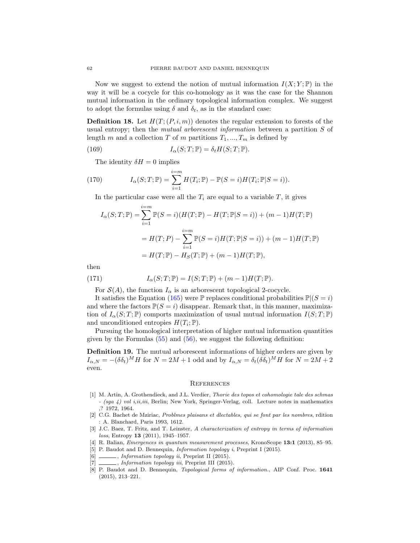Now we suggest to extend the notion of mutual information  $I(X; Y; \mathbb{P})$  in the way it will be a cocycle for this co-homology as it was the case for the Shannon mutual information in the ordinary topological information complex. We suggest to adopt the formulas using  $\delta$  and  $\delta_t$ , as in the standard case:

**Definition 18.** Let  $H(T; (P, i, m))$  denotes the regular extension to forests of the usual entropy; then the *mutual arborescent information* between a partition S of length m and a collection T of m partitions  $T_1, ..., T_m$  is defined by

(169) 
$$
I_{\alpha}(S;T; \mathbb{P}) = \delta_t H(S;T; \mathbb{P}).
$$

The identity  $\delta H = 0$  implies

(170) 
$$
I_{\alpha}(S;T; \mathbb{P}) = \sum_{i=1}^{i=m} H(T_i; \mathbb{P}) - \mathbb{P}(S = i)H(T_i; \mathbb{P}|S = i)).
$$

In the particular case were all the  $T_i$  are equal to a variable  $T$ , it gives

$$
I_{\alpha}(S;T; \mathbb{P}) = \sum_{i=1}^{i=m} \mathbb{P}(S=i)(H(T; \mathbb{P}) - H(T; \mathbb{P}|S=i)) + (m-1)H(T; \mathbb{P})
$$
  
=  $H(T; P) - \sum_{i=1}^{i=m} \mathbb{P}(S=i)H(T; \mathbb{P}|S=i)) + (m-1)H(T; \mathbb{P})$   
=  $H(T; \mathbb{P}) - H_{S}(T; \mathbb{P}) + (m-1)H(T; \mathbb{P}),$ 

then

(171) 
$$
I_{\alpha}(S;T; \mathbb{P}) = I(S;T; \mathbb{P}) + (m-1)H(T; \mathbb{P}).
$$

For  $\mathcal{S}(A)$ , the function  $I_{\alpha}$  is an arborescent topological 2-cocycle.

It satisfies the Equation [\(165\)](#page-61-2) were P replaces conditional probabilities  $\mathbb{P}((S = i)$ and where the factors  $\mathbb{P}(S = i)$  disappear. Remark that, in this manner, maximization of  $I_{\alpha}(S;T;\mathbb{P})$  comports maximization of usual mutual information  $I(S;T;\mathbb{P})$ and unconditioned entropies  $H(T_i; \mathbb{P})$ .

Pursuing the homological interpretation of higher mutual information quantities given by the Formulas  $(55)$  and  $(56)$ , we suggest the following definition:

Definition 19. The mutual arborescent informations of higher orders are given by  $I_{\alpha,N} = -(\delta \delta_t)^M H$  for  $N = 2M + 1$  odd and by  $I_{\alpha,N} = \delta_t(\check{\delta \delta_t})^M H$  for  $N = 2M + 2$ even.

#### <span id="page-63-0"></span>**REFERENCES**

- <span id="page-63-6"></span>[1] M. Artin, A. Grothendieck, and J.L. Verdier, Thorie des topos et cohomologie tale des schmas  $-$  (sga 4) vol *i,ii,iii*, Berlin; New York, Springer-Verlag, coll. Lecture notes in mathematics ,? 1972, 1964.
- <span id="page-63-8"></span>[2] C.G. Bachet de Mziriac, Problmes plaisans et dlectables, qui se font par les nombres, rdition : A. Blanchard, Paris 1993, 1612.
- <span id="page-63-4"></span>[3] J.C. Baez, T. Fritz, and T. Leinster, A characterization of entropy in terms of information loss, Entropy 13 (2011), 1945–1957.
- <span id="page-63-7"></span>[4] R. Balian, Emergences in quantum measurement processes, KronoScope 13:1 (2013), 85–95.
- <span id="page-63-1"></span>[5] P. Baudot and D. Bennequin, *Information topology i*, Preprint I (2015).
- <span id="page-63-3"></span> $[6]$   $\_\_\_\_\_\$ , *Information topology ii*, Preprint II (2015).
- <span id="page-63-5"></span>[7] \_\_\_\_\_\_, *Information topology iii*, Preprint III (2015).
- <span id="page-63-2"></span>[8] P. Baudot and D. Bennequin, Topological forms of information., AIP Conf. Proc. 1641 (2015), 213–221.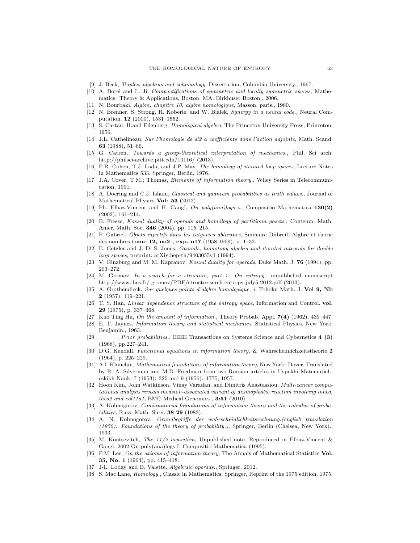- <span id="page-64-8"></span>[9] J. Beck, Triples, algebras and cohomology, Dissertation, Columbia University., 1967.
- <span id="page-64-22"></span>[10] A. Borel and L. Ji, Compactifications of symmetric and locally symmetric spaces, Mathematics: Theory & Applications, Boston, MA: Birkhuser Boston., 2006.
- <span id="page-64-15"></span>[11] N. Bourbaki, Algbre, chapitre 10, algbre homologique, Masson, paris., 1980.
- <span id="page-64-6"></span>[12] N. Brenner, S. Strong, R. Koberle, and W. Bialek, Synergy in a neural code., Neural Computation. 12 (2000), 1531–1552.
- <span id="page-64-16"></span>[13] S. Cartan, H.and Eilenberg, Homological algebra, The Princeton University Press, Princeton, 1956.
- <span id="page-64-4"></span>[14] J.L. Cathelineau, Sur l'homologie de sl2 a coefficients dans l'action adjointe, Math. Scand. 63 (1988), 51–86.
- <span id="page-64-24"></span>[15] G. Catren, Towards a group-theoretical interpretation of mechanics., Phil. Sci arch. http://philsci-archive.pitt.edu/10116/ (2013).
- <span id="page-64-27"></span>[16] F.R. Cohen, T.J. Lada, and J.P. May, The homology of iterated loop spaces, Lecture Notes in Mathematics 533, Springer, Berlin, 1976.
- <span id="page-64-21"></span>[17] J.A. Cover, T.M.; Thomas, Elements of information theory., Wiley Series in Telecommunication, 1991.
- <span id="page-64-23"></span>[18] A. Doering and C.J. Isham, Classical and quantum probabilities as truth values., Journal of Mathematical Physics Vol: 53 (2012).
- <span id="page-64-3"></span>[19] Ph. Elbaz-Vincent and H. Gangl, On poly(ana)logs i., Compositio Mathematica 130(2) (2002), 161–214.
- <span id="page-64-7"></span>[20] B. Fresse, Koszul duality of operads and homology of partitionn posets., Contemp. Math. Amer. Math. Soc. 346 (2004), pp. 115–215.
- <span id="page-64-14"></span>[21] P. Gabriel, Objets injectifs dans les catgories abliennes, Sminaire Dubreil. Algbre et thorie des nombres tome 12, no2 , exp. n17 (1958-1959), p. 1–32.
- <span id="page-64-28"></span>[22] E. Getzler and J. D. S. Jones, Operads, homotopy algebra and iterated integrals for double loop spaces, preprint. arXiv:hep-th/9403055v1 (1994).
- <span id="page-64-29"></span>[23] V. Ginzburg and M. M. Kapranov, *Koszul duality for operads*, Duke Math. J. **76** (1994), pp. 203–272.
- <span id="page-64-9"></span>[24] M. Gromov, In a search for a structure, part 1: On entropy., unpublished manuscript http://www.ihes.fr/ gromov/PDF/structre-serch-entropy-july5-2012.pdf (2013).
- <span id="page-64-13"></span>[25] A. Grothendieck, Sur quelques points d'algbre homologique, i, Tohoku Math. J. Vol 9, Nb  $2(1957), 119-221.$
- <span id="page-64-11"></span>[26] T. S. Han, Linear dependence structure of the entropy space, Information and Control. vol. 29 (1975), p. 337–368.
- <span id="page-64-2"></span>[27] Kuo Ting Hu, On the amount of information., Theory Probab. Appl. 7(4) (1962), 439–447.
- <span id="page-64-25"></span>[28] E. T. Jaynes, Information theory and statistical mechanics, Statistical Physics. New York: Benjamin., 1963.
- <span id="page-64-26"></span>[29] , Prior probabilities., IEEE Transactions on Systems Science and Cybernetics 4 (3) (1968), pp.227–241.
- <span id="page-64-17"></span>[30] D.G. Kendall, Functional equations in information theory, Z. Wahrscheinlichkeitstheorie 2 (1964), p. 225–229.
- <span id="page-64-20"></span>[31] A.I. Khinchin, Mathematical foundations of information theory, New York: Dover. Translated by R. A. Silverman and M.D. Friedman from two Russian articles in Uspekhi Matematicheskikh Nauk, 7 (1953): 320 and 9 (1956): 1775, 1957.
- <span id="page-64-10"></span>[32] Hoon Kim, John Watkinson, Vinay Varadan, and Dimitris Anastassiou, Multi-cancer computational analysis reveals invasion-associated variant of desmoplastic reaction involving inhba, thbs2 and col11a1, BMC Medical Genomics , 3:51 (2010).
- <span id="page-64-0"></span>[33] A. Kolmogorov, Combinatorial foundations of information theory and the calculus of probabilities, Russ. Math. Surv. 38 29 (1983).
- <span id="page-64-12"></span>[34] A. N. Kolmogorov, Grundbegriffe der wahrscheinlichkeitsrechnung.(english translation (1950): Foundations of the theory of probability.), Springer, Berlin (Chelsea, New York)., 1933.
- <span id="page-64-19"></span>[35] M. Kontsevitch, The 11/2 logarithm, Unpublished note. Reproduced in Elbaz-Vincent & Gangl, 2002 On poly(ana)logs I. Compositio Mathematica (1995).
- <span id="page-64-18"></span>[36] P.M. Lee, On the axioms of information theory, The Annals of Mathematical Statistics Vol. 35, No. 1 (1964), pp. 415–418.
- <span id="page-64-5"></span>[37] J-L. Loday and B. Valette, Algebraic operads., Springer, 2012.
- <span id="page-64-1"></span>[38] S. Mac Lane, Homology., Classic in Mathematics, Springer, Reprint of the 1975 edition, 1975.